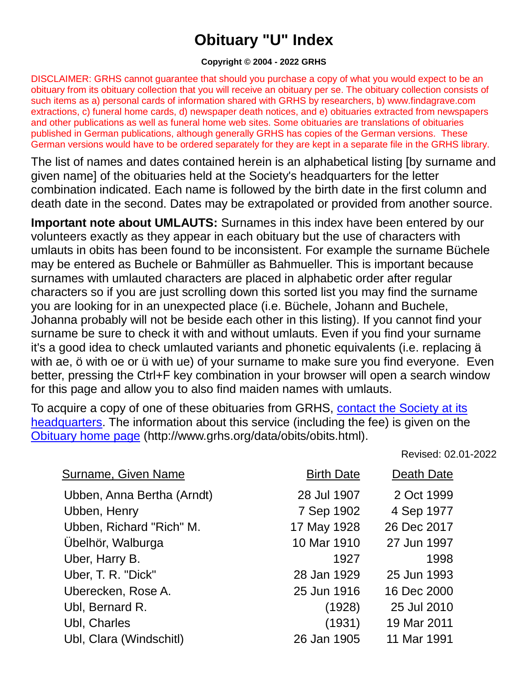## **Obituary "U" Index**

## **Copyright © 2004 - 2022 GRHS**

DISCLAIMER: GRHS cannot guarantee that should you purchase a copy of what you would expect to be an obituary from its obituary collection that you will receive an obituary per se. The obituary collection consists of such items as a) personal cards of information shared with GRHS by researchers, b) www.findagrave.com extractions, c) funeral home cards, d) newspaper death notices, and e) obituaries extracted from newspapers and other publications as well as funeral home web sites. Some obituaries are translations of obituaries published in German publications, although generally GRHS has copies of the German versions. These German versions would have to be ordered separately for they are kept in a separate file in the GRHS library.

The list of names and dates contained herein is an alphabetical listing [by surname and given name] of the obituaries held at the Society's headquarters for the letter combination indicated. Each name is followed by the birth date in the first column and death date in the second. Dates may be extrapolated or provided from another source.

**Important note about UMLAUTS:** Surnames in this index have been entered by our volunteers exactly as they appear in each obituary but the use of characters with umlauts in obits has been found to be inconsistent. For example the surname Büchele may be entered as Buchele or Bahmüller as Bahmueller. This is important because surnames with umlauted characters are placed in alphabetic order after regular characters so if you are just scrolling down this sorted list you may find the surname you are looking for in an unexpected place (i.e. Büchele, Johann and Buchele, Johanna probably will not be beside each other in this listing). If you cannot find your surname be sure to check it with and without umlauts. Even if you find your surname it's a good idea to check umlauted variants and phonetic equivalents (i.e. replacing ä with ae, ö with oe or ü with ue) of your surname to make sure you find everyone. Even better, pressing the Ctrl+F key combination in your browser will open a search window for this page and allow you to also find maiden names with umlauts.

To acquire a copy of one of these obituaries from GRHS, [contact the Society at its](https://www.grhs.org/pages/contact)  [headquarters.](https://www.grhs.org/pages/contact) The information about this service (including the fee) is given on the [Obituary home page](https://www.grhs.org/pages/obits) (http://www.grhs.org/data/obits/obits.html).

Revised: 02.01-2022

| <b>Surname, Given Name</b> | <b>Birth Date</b> | Death Date  |
|----------------------------|-------------------|-------------|
| Ubben, Anna Bertha (Arndt) | 28 Jul 1907       | 2 Oct 1999  |
| Ubben, Henry               | 7 Sep 1902        | 4 Sep 1977  |
| Ubben, Richard "Rich" M.   | 17 May 1928       | 26 Dec 2017 |
| Ubelhör, Walburga          | 10 Mar 1910       | 27 Jun 1997 |
| Uber, Harry B.             | 1927              | 1998        |
| Uber, T. R. "Dick"         | 28 Jan 1929       | 25 Jun 1993 |
| Uberecken, Rose A.         | 25 Jun 1916       | 16 Dec 2000 |
| Ubl, Bernard R.            | (1928)            | 25 Jul 2010 |
| Ubl, Charles               | (1931)            | 19 Mar 2011 |
| Ubl, Clara (Windschitl)    | 26 Jan 1905       | 11 Mar 1991 |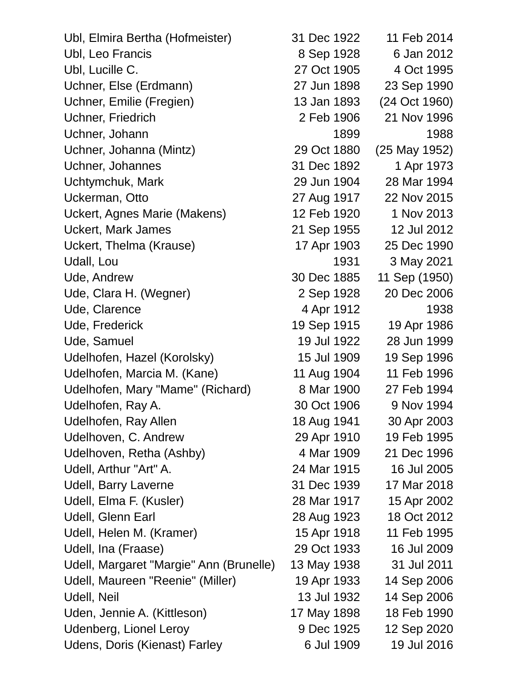| Ubl, Elmira Bertha (Hofmeister)         | 31 Dec 1922 | 11 Feb 2014   |
|-----------------------------------------|-------------|---------------|
| Ubl, Leo Francis                        | 8 Sep 1928  | 6 Jan 2012    |
| Ubl, Lucille C.                         | 27 Oct 1905 | 4 Oct 1995    |
| Uchner, Else (Erdmann)                  | 27 Jun 1898 | 23 Sep 1990   |
| Uchner, Emilie (Fregien)                | 13 Jan 1893 | (24 Oct 1960) |
| Uchner, Friedrich                       | 2 Feb 1906  | 21 Nov 1996   |
| Uchner, Johann                          | 1899        | 1988          |
| Uchner, Johanna (Mintz)                 | 29 Oct 1880 | (25 May 1952) |
| Uchner, Johannes                        | 31 Dec 1892 | 1 Apr 1973    |
| Uchtymchuk, Mark                        | 29 Jun 1904 | 28 Mar 1994   |
| Uckerman, Otto                          | 27 Aug 1917 | 22 Nov 2015   |
| Uckert, Agnes Marie (Makens)            | 12 Feb 1920 | 1 Nov 2013    |
| <b>Uckert, Mark James</b>               | 21 Sep 1955 | 12 Jul 2012   |
| Uckert, Thelma (Krause)                 | 17 Apr 1903 | 25 Dec 1990   |
| Udall, Lou                              | 1931        | 3 May 2021    |
| Ude, Andrew                             | 30 Dec 1885 | 11 Sep (1950) |
| Ude, Clara H. (Wegner)                  | 2 Sep 1928  | 20 Dec 2006   |
| Ude, Clarence                           | 4 Apr 1912  | 1938          |
| Ude, Frederick                          | 19 Sep 1915 | 19 Apr 1986   |
| Ude, Samuel                             | 19 Jul 1922 | 28 Jun 1999   |
| Udelhofen, Hazel (Korolsky)             | 15 Jul 1909 | 19 Sep 1996   |
| Udelhofen, Marcia M. (Kane)             | 11 Aug 1904 | 11 Feb 1996   |
| Udelhofen, Mary "Mame" (Richard)        | 8 Mar 1900  | 27 Feb 1994   |
| Udelhofen, Ray A.                       | 30 Oct 1906 | 9 Nov 1994    |
| Udelhofen, Ray Allen                    | 18 Aug 1941 | 30 Apr 2003   |
| Udelhoven, C. Andrew                    | 29 Apr 1910 | 19 Feb 1995   |
| Udelhoven, Retha (Ashby)                | 4 Mar 1909  | 21 Dec 1996   |
| Udell, Arthur "Art" A.                  | 24 Mar 1915 | 16 Jul 2005   |
| Udell, Barry Laverne                    | 31 Dec 1939 | 17 Mar 2018   |
| Udell, Elma F. (Kusler)                 | 28 Mar 1917 | 15 Apr 2002   |
| Udell, Glenn Earl                       | 28 Aug 1923 | 18 Oct 2012   |
| Udell, Helen M. (Kramer)                | 15 Apr 1918 | 11 Feb 1995   |
| Udell, Ina (Fraase)                     | 29 Oct 1933 | 16 Jul 2009   |
| Udell, Margaret "Margie" Ann (Brunelle) | 13 May 1938 | 31 Jul 2011   |
| Udell, Maureen "Reenie" (Miller)        | 19 Apr 1933 | 14 Sep 2006   |
| Udell, Neil                             | 13 Jul 1932 | 14 Sep 2006   |
| Uden, Jennie A. (Kittleson)             | 17 May 1898 | 18 Feb 1990   |
| Udenberg, Lionel Leroy                  | 9 Dec 1925  | 12 Sep 2020   |
| Udens, Doris (Kienast) Farley           | 6 Jul 1909  | 19 Jul 2016   |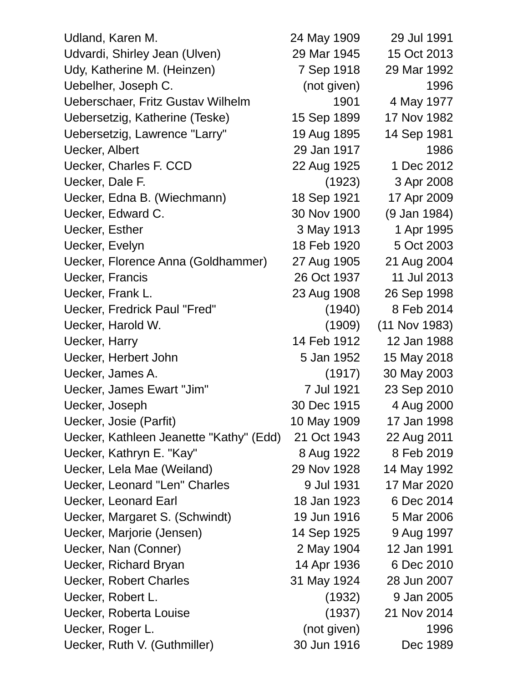| Udland, Karen M.                        | 24 May 1909 | 29 Jul 1991     |
|-----------------------------------------|-------------|-----------------|
| Udvardi, Shirley Jean (Ulven)           | 29 Mar 1945 | 15 Oct 2013     |
| Udy, Katherine M. (Heinzen)             | 7 Sep 1918  | 29 Mar 1992     |
| Uebelher, Joseph C.                     | (not given) | 1996            |
| Ueberschaer, Fritz Gustav Wilhelm       | 1901        | 4 May 1977      |
| Uebersetzig, Katherine (Teske)          | 15 Sep 1899 | 17 Nov 1982     |
| Uebersetzig, Lawrence "Larry"           | 19 Aug 1895 | 14 Sep 1981     |
| Uecker, Albert                          | 29 Jan 1917 | 1986            |
| Uecker, Charles F. CCD                  | 22 Aug 1925 | 1 Dec 2012      |
| Uecker, Dale F.                         | (1923)      | 3 Apr 2008      |
| Uecker, Edna B. (Wiechmann)             | 18 Sep 1921 | 17 Apr 2009     |
| Uecker, Edward C.                       | 30 Nov 1900 | (9 Jan 1984)    |
| Uecker, Esther                          | 3 May 1913  | 1 Apr 1995      |
| Uecker, Evelyn                          | 18 Feb 1920 | 5 Oct 2003      |
| Uecker, Florence Anna (Goldhammer)      | 27 Aug 1905 | 21 Aug 2004     |
| <b>Uecker, Francis</b>                  | 26 Oct 1937 | 11 Jul 2013     |
| Uecker, Frank L.                        | 23 Aug 1908 | 26 Sep 1998     |
| Uecker, Fredrick Paul "Fred"            | (1940)      | 8 Feb 2014      |
| Uecker, Harold W.                       | (1909)      | $(11$ Nov 1983) |
| Uecker, Harry                           | 14 Feb 1912 | 12 Jan 1988     |
| Uecker, Herbert John                    | 5 Jan 1952  | 15 May 2018     |
| Uecker, James A.                        | (1917)      | 30 May 2003     |
| Uecker, James Ewart "Jim"               | 7 Jul 1921  | 23 Sep 2010     |
| Uecker, Joseph                          | 30 Dec 1915 | 4 Aug 2000      |
| Uecker, Josie (Parfit)                  | 10 May 1909 | 17 Jan 1998     |
| Uecker, Kathleen Jeanette "Kathy" (Edd) | 21 Oct 1943 | 22 Aug 2011     |
| Uecker, Kathryn E. "Kay"                | 8 Aug 1922  | 8 Feb 2019      |
| Uecker, Lela Mae (Weiland)              | 29 Nov 1928 | 14 May 1992     |
| Uecker, Leonard "Len" Charles           | 9 Jul 1931  | 17 Mar 2020     |
| <b>Uecker, Leonard Earl</b>             | 18 Jan 1923 | 6 Dec 2014      |
| Uecker, Margaret S. (Schwindt)          | 19 Jun 1916 | 5 Mar 2006      |
| Uecker, Marjorie (Jensen)               | 14 Sep 1925 | 9 Aug 1997      |
| Uecker, Nan (Conner)                    | 2 May 1904  | 12 Jan 1991     |
| <b>Uecker, Richard Bryan</b>            | 14 Apr 1936 | 6 Dec 2010      |
| <b>Uecker, Robert Charles</b>           | 31 May 1924 | 28 Jun 2007     |
| Uecker, Robert L.                       | (1932)      | 9 Jan 2005      |
| Uecker, Roberta Louise                  | (1937)      | 21 Nov 2014     |
| Uecker, Roger L.                        | (not given) | 1996            |
| Uecker, Ruth V. (Guthmiller)            | 30 Jun 1916 | Dec 1989        |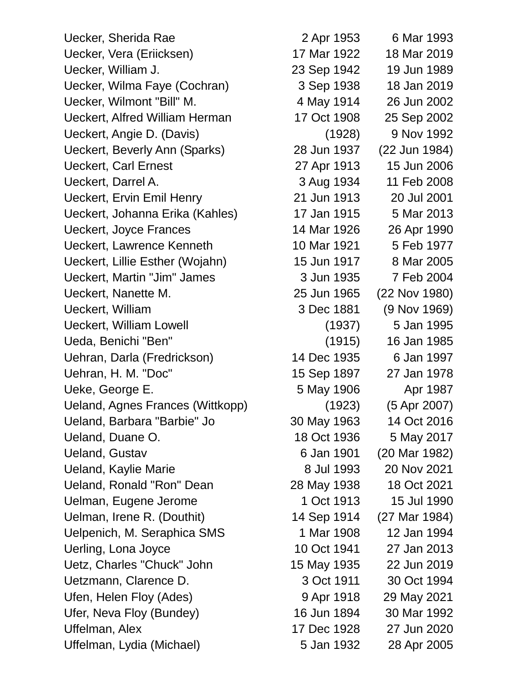Uecker, Sherida Rae 2 Apr 1953 6 Mar 1993 Uecker, Vera (Eriicksen) 17 Mar 1922 18 Mar 2019 Uecker, William J. 23 Sep 1942 19 Jun 1989 Uecker, Wilma Faye (Cochran) 3 Sep 1938 18 Jan 2019 Uecker, Wilmont "Bill" M. 4 May 1914 26 Jun 2002 Ueckert, Alfred William Herman 17 Oct 1908 25 Sep 2002 Ueckert, Angie D. (Davis) (1928) 9 Nov 1992 Ueckert, Beverly Ann (Sparks) 28 Jun 1937 (22 Jun 1984) Ueckert, Carl Ernest 27 Apr 1913 15 Jun 2006 Ueckert, Darrel A. 3 Aug 1934 11 Feb 2008 Ueckert, Ervin Emil Henry 21 Jun 1913 20 Jul 2001 Ueckert, Johanna Erika (Kahles) 17 Jan 1915 5 Mar 2013 Ueckert, Joyce Frances 14 Mar 1926 26 Apr 1990 Ueckert, Lawrence Kenneth 10 Mar 1921 5 Feb 1977 Ueckert, Lillie Esther (Wojahn) 15 Jun 1917 8 Mar 2005 Ueckert, Martin "Jim" James 3 Jun 1935 7 Feb 2004 Ueckert, Nanette M. 25 Jun 1965 (22 Nov 1980) Ueckert, William 3 Dec 1881 (9 Nov 1969) Ueckert, William Lowell (1937) 5 Jan 1995 Ueda, Benichi "Ben" (1915) 16 Jan 1985 Uehran, Darla (Fredrickson) 14 Dec 1935 6 Jan 1997 Uehran, H. M. "Doc" 15 Sep 1897 27 Jan 1978 Ueke, George E. The Contract of the SMay 1906 Apr 1987 Ueland, Agnes Frances (Wittkopp) (1923) (5 Apr 2007) Ueland, Barbara "Barbie" Jo 30 May 1963 14 Oct 2016 Ueland, Duane O. 18 Oct 1936 5 May 2017 Ueland, Gustav 6 Jan 1901 (20 Mar 1982) Ueland, Kaylie Marie **8 Jul 1993** 20 Nov 2021 Ueland, Ronald "Ron" Dean 28 May 1938 18 Oct 2021 Uelman, Eugene Jerome 1 Oct 1913 15 Jul 1990 Uelman, Irene R. (Douthit) 14 Sep 1914 (27 Mar 1984) Uelpenich, M. Seraphica SMS 1 Mar 1908 12 Jan 1994 Uerling, Lona Joyce 10 Oct 1941 27 Jan 2013 Uetz, Charles "Chuck" John 15 May 1935 22 Jun 2019 Uetzmann, Clarence D. 3 Oct 1911 30 Oct 1994 Ufen, Helen Floy (Ades) 8 9 Apr 1918 29 May 2021 Ufer, Neva Floy (Bundey) 16 Jun 1894 30 Mar 1992 Uffelman, Alex 17 Dec 1928 27 Jun 2020 Uffelman, Lydia (Michael) 5 Jan 1932 28 Apr 2005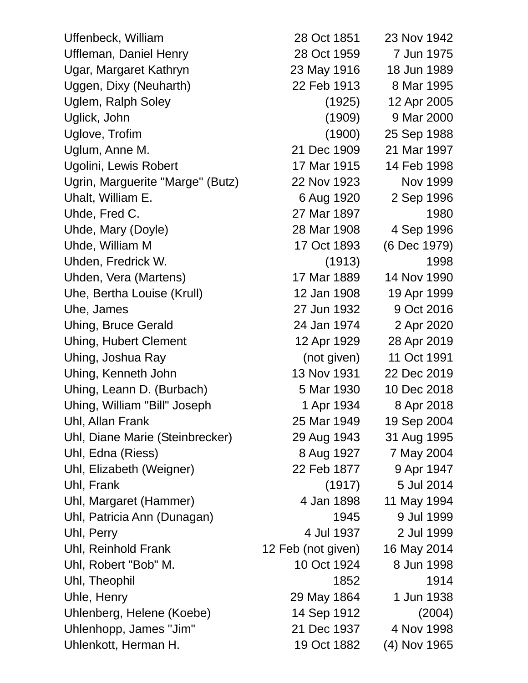| Uffenbeck, William               | 28 Oct 1851        | 23 Nov 1942  |
|----------------------------------|--------------------|--------------|
| <b>Uffleman, Daniel Henry</b>    | 28 Oct 1959        | 7 Jun 1975   |
| Ugar, Margaret Kathryn           | 23 May 1916        | 18 Jun 1989  |
| Uggen, Dixy (Neuharth)           | 22 Feb 1913        | 8 Mar 1995   |
| Uglem, Ralph Soley               | (1925)             | 12 Apr 2005  |
| Uglick, John                     | (1909)             | 9 Mar 2000   |
| Uglove, Trofim                   | (1900)             | 25 Sep 1988  |
| Uglum, Anne M.                   | 21 Dec 1909        | 21 Mar 1997  |
| Ugolini, Lewis Robert            | 17 Mar 1915        | 14 Feb 1998  |
| Ugrin, Marguerite "Marge" (Butz) | 22 Nov 1923        | Nov 1999     |
| Uhalt, William E.                | 6 Aug 1920         | 2 Sep 1996   |
| Uhde, Fred C.                    | 27 Mar 1897        | 1980         |
| Uhde, Mary (Doyle)               | 28 Mar 1908        | 4 Sep 1996   |
| Uhde, William M                  | 17 Oct 1893        | (6 Dec 1979) |
| Uhden, Fredrick W.               | (1913)             | 1998         |
| Uhden, Vera (Martens)            | 17 Mar 1889        | 14 Nov 1990  |
| Uhe, Bertha Louise (Krull)       | 12 Jan 1908        | 19 Apr 1999  |
| Uhe, James                       | 27 Jun 1932        | 9 Oct 2016   |
| <b>Uhing, Bruce Gerald</b>       | 24 Jan 1974        | 2 Apr 2020   |
| <b>Uhing, Hubert Clement</b>     | 12 Apr 1929        | 28 Apr 2019  |
| Uhing, Joshua Ray                | (not given)        | 11 Oct 1991  |
| Uhing, Kenneth John              | 13 Nov 1931        | 22 Dec 2019  |
| Uhing, Leann D. (Burbach)        | 5 Mar 1930         | 10 Dec 2018  |
| Uhing, William "Bill" Joseph     | 1 Apr 1934         | 8 Apr 2018   |
| Uhl, Allan Frank                 | 25 Mar 1949        | 19 Sep 2004  |
| Uhl, Diane Marie (Steinbrecker)  | 29 Aug 1943        | 31 Aug 1995  |
| Uhl, Edna (Riess)                | 8 Aug 1927         | 7 May 2004   |
| Uhl, Elizabeth (Weigner)         | 22 Feb 1877        | 9 Apr 1947   |
| Uhl, Frank                       | (1917)             | 5 Jul 2014   |
| Uhl, Margaret (Hammer)           | 4 Jan 1898         | 11 May 1994  |
| Uhl, Patricia Ann (Dunagan)      | 1945               | 9 Jul 1999   |
| Uhl, Perry                       | 4 Jul 1937         | 2 Jul 1999   |
| Uhl, Reinhold Frank              | 12 Feb (not given) | 16 May 2014  |
| Uhl, Robert "Bob" M.             | 10 Oct 1924        | 8 Jun 1998   |
| Uhl, Theophil                    | 1852               | 1914         |
| Uhle, Henry                      | 29 May 1864        | 1 Jun 1938   |
| Uhlenberg, Helene (Koebe)        | 14 Sep 1912        | (2004)       |
| Uhlenhopp, James "Jim"           | 21 Dec 1937        | 4 Nov 1998   |
| Uhlenkott, Herman H.             | 19 Oct 1882        | (4) Nov 1965 |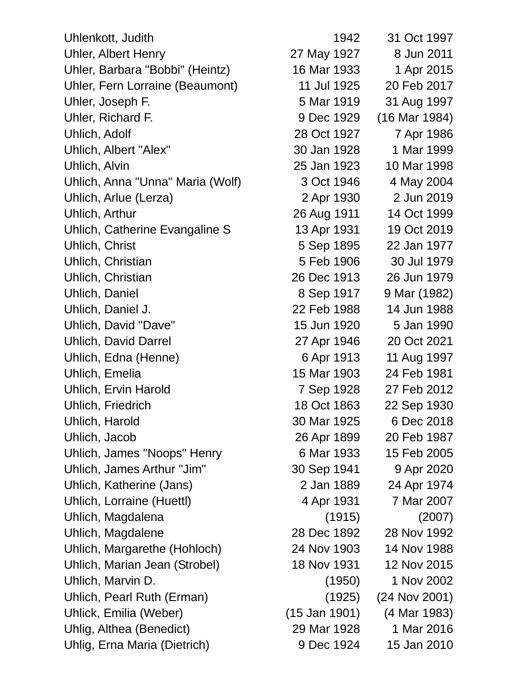| Uhlenkott, Judith                | 1942          | 31 Oct 1997   |
|----------------------------------|---------------|---------------|
| <b>Uhler, Albert Henry</b>       | 27 May 1927   | 8 Jun 2011    |
| Uhler, Barbara "Bobbi" (Heintz)  | 16 Mar 1933   | 1 Apr 2015    |
| Uhler, Fern Lorraine (Beaumont)  | 11 Jul 1925   | 20 Feb 2017   |
| Uhler, Joseph F.                 | 5 Mar 1919    | 31 Aug 1997   |
| Uhler, Richard F.                | 9 Dec 1929    | (16 Mar 1984) |
| Uhlich, Adolf                    | 28 Oct 1927   | 7 Apr 1986    |
| Uhlich, Albert "Alex"            | 30 Jan 1928   | 1 Mar 1999    |
| Uhlich, Alvin                    | 25 Jan 1923   | 10 Mar 1998   |
| Uhlich, Anna "Unna" Maria (Wolf) | 3 Oct 1946    | 4 May 2004    |
| Uhlich, Arlue (Lerza)            | 2 Apr 1930    | 2 Jun 2019    |
| Uhlich, Arthur                   | 26 Aug 1911   | 14 Oct 1999   |
| Uhlich, Catherine Evangaline S   | 13 Apr 1931   | 19 Oct 2019   |
| Uhlich, Christ                   | 5 Sep 1895    | 22 Jan 1977   |
| Uhlich, Christian                | 5 Feb 1906    | 30 Jul 1979   |
| Uhlich, Christian                | 26 Dec 1913   | 26 Jun 1979   |
| Uhlich, Daniel                   | 8 Sep 1917    | 9 Mar (1982)  |
| Uhlich, Daniel J.                | 22 Feb 1988   | 14 Jun 1988   |
| Uhlich, David "Dave"             | 15 Jun 1920   | 5 Jan 1990    |
| <b>Uhlich, David Darrel</b>      | 27 Apr 1946   | 20 Oct 2021   |
| Uhlich, Edna (Henne)             | 6 Apr 1913    | 11 Aug 1997   |
| Uhlich, Emelia                   | 15 Mar 1903   | 24 Feb 1981   |
| <b>Uhlich, Ervin Harold</b>      | 7 Sep 1928    | 27 Feb 2012   |
| Uhlich, Friedrich                | 18 Oct 1863   | 22 Sep 1930   |
| Uhlich, Harold                   | 30 Mar 1925   | 6 Dec 2018    |
| Uhlich, Jacob                    | 26 Apr 1899   | 20 Feb 1987   |
| Uhlich, James "Noops" Henry      | 6 Mar 1933    | 15 Feb 2005   |
| Uhlich, James Arthur "Jim"       | 30 Sep 1941   | 9 Apr 2020    |
| Uhlich, Katherine (Jans)         | 2 Jan 1889    | 24 Apr 1974   |
| Uhlich, Lorraine (Huettl)        | 4 Apr 1931    | 7 Mar 2007    |
| Uhlich, Magdalena                | (1915)        | (2007)        |
| Uhlich, Magdalene                | 28 Dec 1892   | 28 Nov 1992   |
| Uhlich, Margarethe (Hohloch)     | 24 Nov 1903   | 14 Nov 1988   |
| Uhlich, Marian Jean (Strobel)    | 18 Nov 1931   | 12 Nov 2015   |
| Uhlich, Marvin D.                | (1950)        | 1 Nov 2002    |
| Uhlich, Pearl Ruth (Erman)       | (1925)        | (24 Nov 2001) |
| Uhlick, Emilia (Weber)           | (15 Jan 1901) | (4 Mar 1983)  |
| Uhlig, Althea (Benedict)         | 29 Mar 1928   | 1 Mar 2016    |
| Uhlig, Erna Maria (Dietrich)     | 9 Dec 1924    | 15 Jan 2010   |
|                                  |               |               |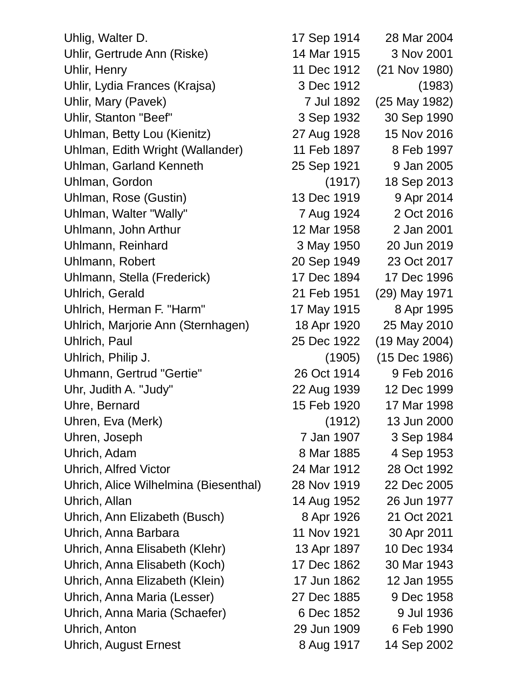| Uhlig, Walter D.                      | 17 Sep 1914 | 28 Mar 2004   |
|---------------------------------------|-------------|---------------|
| Uhlir, Gertrude Ann (Riske)           | 14 Mar 1915 | 3 Nov 2001    |
| Uhlir, Henry                          | 11 Dec 1912 | (21 Nov 1980) |
| Uhlir, Lydia Frances (Krajsa)         | 3 Dec 1912  | (1983)        |
| Uhlir, Mary (Pavek)                   | 7 Jul 1892  | (25 May 1982) |
| <b>Uhlir, Stanton "Beef"</b>          | 3 Sep 1932  | 30 Sep 1990   |
| Uhlman, Betty Lou (Kienitz)           | 27 Aug 1928 | 15 Nov 2016   |
| Uhlman, Edith Wright (Wallander)      | 11 Feb 1897 | 8 Feb 1997    |
| Uhlman, Garland Kenneth               | 25 Sep 1921 | 9 Jan 2005    |
| Uhlman, Gordon                        | (1917)      | 18 Sep 2013   |
| Uhlman, Rose (Gustin)                 | 13 Dec 1919 | 9 Apr 2014    |
| Uhlman, Walter "Wally"                | 7 Aug 1924  | 2 Oct 2016    |
| Uhlmann, John Arthur                  | 12 Mar 1958 | 2 Jan 2001    |
| Uhlmann, Reinhard                     | 3 May 1950  | 20 Jun 2019   |
| Uhlmann, Robert                       | 20 Sep 1949 | 23 Oct 2017   |
| Uhlmann, Stella (Frederick)           | 17 Dec 1894 | 17 Dec 1996   |
| Uhlrich, Gerald                       | 21 Feb 1951 | (29) May 1971 |
| Uhlrich, Herman F. "Harm"             | 17 May 1915 | 8 Apr 1995    |
| Uhlrich, Marjorie Ann (Sternhagen)    | 18 Apr 1920 | 25 May 2010   |
| Uhlrich, Paul                         | 25 Dec 1922 | (19 May 2004) |
| Uhlrich, Philip J.                    | (1905)      | (15 Dec 1986) |
| Uhmann, Gertrud "Gertie"              | 26 Oct 1914 | 9 Feb 2016    |
| Uhr, Judith A. "Judy"                 | 22 Aug 1939 | 12 Dec 1999   |
| Uhre, Bernard                         | 15 Feb 1920 | 17 Mar 1998   |
| Uhren, Eva (Merk)                     | (1912)      | 13 Jun 2000   |
| Uhren, Joseph                         | 7 Jan 1907  | 3 Sep 1984    |
| Uhrich, Adam                          | 8 Mar 1885  | 4 Sep 1953    |
| <b>Uhrich, Alfred Victor</b>          | 24 Mar 1912 | 28 Oct 1992   |
| Uhrich, Alice Wilhelmina (Biesenthal) | 28 Nov 1919 | 22 Dec 2005   |
| Uhrich, Allan                         | 14 Aug 1952 | 26 Jun 1977   |
| Uhrich, Ann Elizabeth (Busch)         | 8 Apr 1926  | 21 Oct 2021   |
| Uhrich, Anna Barbara                  | 11 Nov 1921 | 30 Apr 2011   |
| Uhrich, Anna Elisabeth (Klehr)        | 13 Apr 1897 | 10 Dec 1934   |
| Uhrich, Anna Elisabeth (Koch)         | 17 Dec 1862 | 30 Mar 1943   |
| Uhrich, Anna Elizabeth (Klein)        | 17 Jun 1862 | 12 Jan 1955   |
| Uhrich, Anna Maria (Lesser)           | 27 Dec 1885 | 9 Dec 1958    |
| Uhrich, Anna Maria (Schaefer)         | 6 Dec 1852  | 9 Jul 1936    |
| Uhrich, Anton                         | 29 Jun 1909 | 6 Feb 1990    |
| <b>Uhrich, August Ernest</b>          | 8 Aug 1917  | 14 Sep 2002   |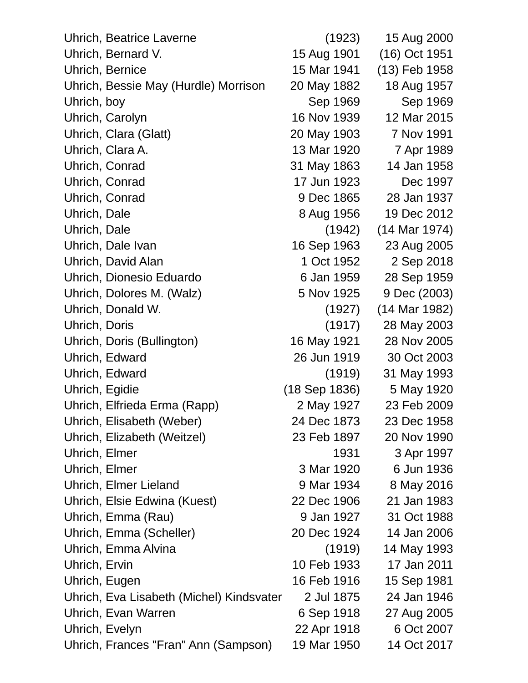| Uhrich, Beatrice Laverne                 | (1923)        | 15 Aug 2000   |
|------------------------------------------|---------------|---------------|
| Uhrich, Bernard V.                       | 15 Aug 1901   | (16) Oct 1951 |
| Uhrich, Bernice                          | 15 Mar 1941   | (13) Feb 1958 |
| Uhrich, Bessie May (Hurdle) Morrison     | 20 May 1882   | 18 Aug 1957   |
| Uhrich, boy                              | Sep 1969      | Sep 1969      |
| Uhrich, Carolyn                          | 16 Nov 1939   | 12 Mar 2015   |
| Uhrich, Clara (Glatt)                    | 20 May 1903   | 7 Nov 1991    |
| Uhrich, Clara A.                         | 13 Mar 1920   | 7 Apr 1989    |
| Uhrich, Conrad                           | 31 May 1863   | 14 Jan 1958   |
| Uhrich, Conrad                           | 17 Jun 1923   | Dec 1997      |
| Uhrich, Conrad                           | 9 Dec 1865    | 28 Jan 1937   |
| Uhrich, Dale                             | 8 Aug 1956    | 19 Dec 2012   |
| Uhrich, Dale                             | (1942)        | (14 Mar 1974) |
| Uhrich, Dale Ivan                        | 16 Sep 1963   | 23 Aug 2005   |
| Uhrich, David Alan                       | 1 Oct 1952    | 2 Sep 2018    |
| Uhrich, Dionesio Eduardo                 | 6 Jan 1959    | 28 Sep 1959   |
| Uhrich, Dolores M. (Walz)                | 5 Nov 1925    | 9 Dec (2003)  |
| Uhrich, Donald W.                        | (1927)        | (14 Mar 1982) |
| Uhrich, Doris                            | (1917)        | 28 May 2003   |
| Uhrich, Doris (Bullington)               | 16 May 1921   | 28 Nov 2005   |
| Uhrich, Edward                           | 26 Jun 1919   | 30 Oct 2003   |
| Uhrich, Edward                           | (1919)        | 31 May 1993   |
| Uhrich, Egidie                           | (18 Sep 1836) | 5 May 1920    |
| Uhrich, Elfrieda Erma (Rapp)             | 2 May 1927    | 23 Feb 2009   |
| Uhrich, Elisabeth (Weber)                | 24 Dec 1873   | 23 Dec 1958   |
| Uhrich, Elizabeth (Weitzel)              | 23 Feb 1897   | 20 Nov 1990   |
| Uhrich, Elmer                            | 1931          | 3 Apr 1997    |
| Uhrich, Elmer                            | 3 Mar 1920    | 6 Jun 1936    |
| Uhrich, Elmer Lieland                    | 9 Mar 1934    | 8 May 2016    |
| Uhrich, Elsie Edwina (Kuest)             | 22 Dec 1906   | 21 Jan 1983   |
| Uhrich, Emma (Rau)                       | 9 Jan 1927    | 31 Oct 1988   |
| Uhrich, Emma (Scheller)                  | 20 Dec 1924   | 14 Jan 2006   |
| Uhrich, Emma Alvina                      | (1919)        | 14 May 1993   |
| Uhrich, Ervin                            | 10 Feb 1933   | 17 Jan 2011   |
| Uhrich, Eugen                            | 16 Feb 1916   | 15 Sep 1981   |
| Uhrich, Eva Lisabeth (Michel) Kindsvater | 2 Jul 1875    | 24 Jan 1946   |
| Uhrich, Evan Warren                      | 6 Sep 1918    | 27 Aug 2005   |
| Uhrich, Evelyn                           | 22 Apr 1918   | 6 Oct 2007    |
| Uhrich, Frances "Fran" Ann (Sampson)     | 19 Mar 1950   | 14 Oct 2017   |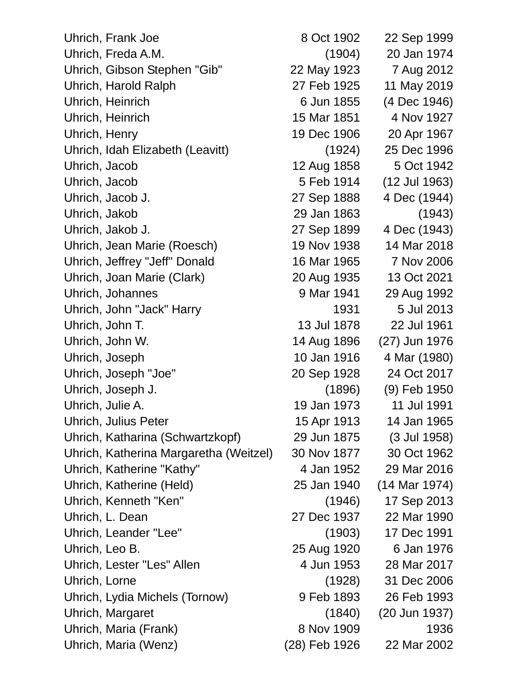| Uhrich, Frank Joe                      | 8 Oct 1902    | 22 Sep 1999   |
|----------------------------------------|---------------|---------------|
| Uhrich, Freda A.M.                     | (1904)        | 20 Jan 1974   |
| Uhrich, Gibson Stephen "Gib"           | 22 May 1923   | 7 Aug 2012    |
| Uhrich, Harold Ralph                   | 27 Feb 1925   | 11 May 2019   |
| Uhrich, Heinrich                       | 6 Jun 1855    | (4 Dec 1946)  |
| Uhrich, Heinrich                       | 15 Mar 1851   | 4 Nov 1927    |
| Uhrich, Henry                          | 19 Dec 1906   | 20 Apr 1967   |
| Uhrich, Idah Elizabeth (Leavitt)       | (1924)        | 25 Dec 1996   |
| Uhrich, Jacob                          | 12 Aug 1858   | 5 Oct 1942    |
| Uhrich, Jacob                          | 5 Feb 1914    | (12 Jul 1963) |
| Uhrich, Jacob J.                       | 27 Sep 1888   | 4 Dec (1944)  |
| Uhrich, Jakob                          | 29 Jan 1863   | (1943)        |
| Uhrich, Jakob J.                       | 27 Sep 1899   | 4 Dec (1943)  |
| Uhrich, Jean Marie (Roesch)            | 19 Nov 1938   | 14 Mar 2018   |
| Uhrich, Jeffrey "Jeff" Donald          | 16 Mar 1965   | 7 Nov 2006    |
| Uhrich, Joan Marie (Clark)             | 20 Aug 1935   | 13 Oct 2021   |
| Uhrich, Johannes                       | 9 Mar 1941    | 29 Aug 1992   |
| Uhrich, John "Jack" Harry              | 1931          | 5 Jul 2013    |
| Uhrich, John T.                        | 13 Jul 1878   | 22 Jul 1961   |
| Uhrich, John W.                        | 14 Aug 1896   | (27) Jun 1976 |
| Uhrich, Joseph                         | 10 Jan 1916   | 4 Mar (1980)  |
| Uhrich, Joseph "Joe"                   | 20 Sep 1928   | 24 Oct 2017   |
| Uhrich, Joseph J.                      | (1896)        | (9) Feb 1950  |
| Uhrich, Julie A.                       | 19 Jan 1973   | 11 Jul 1991   |
| <b>Uhrich, Julius Peter</b>            | 15 Apr 1913   | 14 Jan 1965   |
| Uhrich, Katharina (Schwartzkopf)       | 29 Jun 1875   | (3 Jul 1958)  |
| Uhrich, Katherina Margaretha (Weitzel) | 30 Nov 1877   | 30 Oct 1962   |
| Uhrich, Katherine "Kathy"              | 4 Jan 1952    | 29 Mar 2016   |
| Uhrich, Katherine (Held)               | 25 Jan 1940   | (14 Mar 1974) |
| Uhrich, Kenneth "Ken"                  | (1946)        | 17 Sep 2013   |
| Uhrich, L. Dean                        | 27 Dec 1937   | 22 Mar 1990   |
| Uhrich, Leander "Lee"                  | (1903)        | 17 Dec 1991   |
| Uhrich, Leo B.                         | 25 Aug 1920   | 6 Jan 1976    |
| Uhrich, Lester "Les" Allen             | 4 Jun 1953    | 28 Mar 2017   |
| Uhrich, Lorne                          | (1928)        | 31 Dec 2006   |
| Uhrich, Lydia Michels (Tornow)         | 9 Feb 1893    | 26 Feb 1993   |
| Uhrich, Margaret                       | (1840)        | (20 Jun 1937) |
| Uhrich, Maria (Frank)                  | 8 Nov 1909    | 1936          |
| Uhrich, Maria (Wenz)                   | (28) Feb 1926 | 22 Mar 2002   |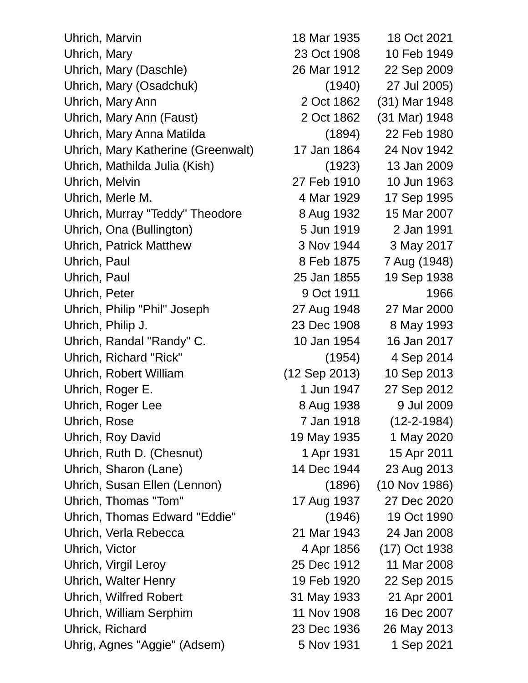| Uhrich, Marvin                     | 18 Mar 1935   | 18 Oct 2021       |
|------------------------------------|---------------|-------------------|
| Uhrich, Mary                       | 23 Oct 1908   | 10 Feb 1949       |
| Uhrich, Mary (Daschle)             | 26 Mar 1912   | 22 Sep 2009       |
| Uhrich, Mary (Osadchuk)            | (1940)        | 27 Jul 2005)      |
| Uhrich, Mary Ann                   | 2 Oct 1862    | (31) Mar 1948     |
| Uhrich, Mary Ann (Faust)           | 2 Oct 1862    | (31 Mar) 1948     |
| Uhrich, Mary Anna Matilda          | (1894)        | 22 Feb 1980       |
| Uhrich, Mary Katherine (Greenwalt) | 17 Jan 1864   | 24 Nov 1942       |
| Uhrich, Mathilda Julia (Kish)      | (1923)        | 13 Jan 2009       |
| Uhrich, Melvin                     | 27 Feb 1910   | 10 Jun 1963       |
| Uhrich, Merle M.                   | 4 Mar 1929    | 17 Sep 1995       |
| Uhrich, Murray "Teddy" Theodore    | 8 Aug 1932    | 15 Mar 2007       |
| Uhrich, Ona (Bullington)           | 5 Jun 1919    | 2 Jan 1991        |
| <b>Uhrich, Patrick Matthew</b>     | 3 Nov 1944    | 3 May 2017        |
| Uhrich, Paul                       | 8 Feb 1875    | 7 Aug (1948)      |
| Uhrich, Paul                       | 25 Jan 1855   | 19 Sep 1938       |
| Uhrich, Peter                      | 9 Oct 1911    | 1966              |
| Uhrich, Philip "Phil" Joseph       | 27 Aug 1948   | 27 Mar 2000       |
| Uhrich, Philip J.                  | 23 Dec 1908   | 8 May 1993        |
| Uhrich, Randal "Randy" C.          | 10 Jan 1954   | 16 Jan 2017       |
| Uhrich, Richard "Rick"             | (1954)        | 4 Sep 2014        |
| Uhrich, Robert William             | (12 Sep 2013) | 10 Sep 2013       |
| Uhrich, Roger E.                   | 1 Jun 1947    | 27 Sep 2012       |
| Uhrich, Roger Lee                  | 8 Aug 1938    | 9 Jul 2009        |
| Uhrich, Rose                       | 7 Jan 1918    | $(12 - 2 - 1984)$ |
| Uhrich, Roy David                  | 19 May 1935   | 1 May 2020        |
| Uhrich, Ruth D. (Chesnut)          | 1 Apr 1931    | 15 Apr 2011       |
| Uhrich, Sharon (Lane)              | 14 Dec 1944   | 23 Aug 2013       |
| Uhrich, Susan Ellen (Lennon)       | (1896)        | $(10$ Nov 1986)   |
| Uhrich, Thomas "Tom"               | 17 Aug 1937   | 27 Dec 2020       |
| Uhrich, Thomas Edward "Eddie"      | (1946)        | 19 Oct 1990       |
| Uhrich, Verla Rebecca              | 21 Mar 1943   | 24 Jan 2008       |
| Uhrich, Victor                     | 4 Apr 1856    | (17) Oct 1938     |
| Uhrich, Virgil Leroy               | 25 Dec 1912   | 11 Mar 2008       |
| <b>Uhrich, Walter Henry</b>        | 19 Feb 1920   | 22 Sep 2015       |
| <b>Uhrich, Wilfred Robert</b>      | 31 May 1933   | 21 Apr 2001       |
| Uhrich, William Serphim            | 11 Nov 1908   | 16 Dec 2007       |
| Uhrick, Richard                    | 23 Dec 1936   | 26 May 2013       |
| Uhrig, Agnes "Aggie" (Adsem)       | 5 Nov 1931    | 1 Sep 2021        |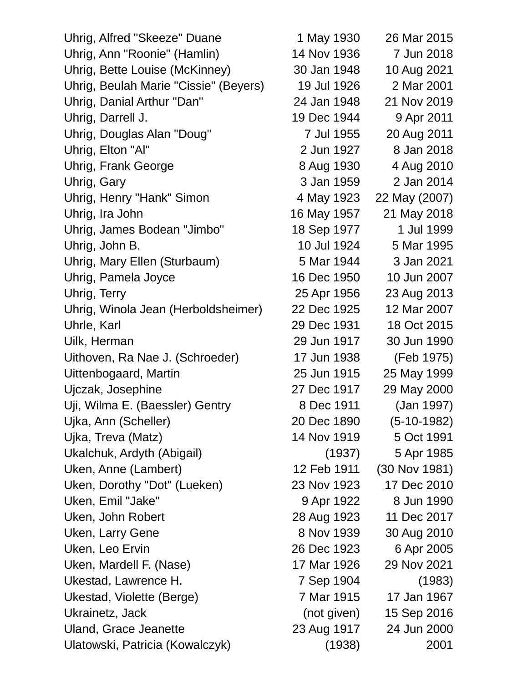| Uhrig, Alfred "Skeeze" Duane          | 1 May 1930  | 26 Mar 2015   |
|---------------------------------------|-------------|---------------|
| Uhrig, Ann "Roonie" (Hamlin)          | 14 Nov 1936 | 7 Jun 2018    |
| Uhrig, Bette Louise (McKinney)        | 30 Jan 1948 | 10 Aug 2021   |
| Uhrig, Beulah Marie "Cissie" (Beyers) | 19 Jul 1926 | 2 Mar 2001    |
| Uhrig, Danial Arthur "Dan"            | 24 Jan 1948 | 21 Nov 2019   |
| Uhrig, Darrell J.                     | 19 Dec 1944 | 9 Apr 2011    |
| Uhrig, Douglas Alan "Doug"            | 7 Jul 1955  | 20 Aug 2011   |
| Uhrig, Elton "Al"                     | 2 Jun 1927  | 8 Jan 2018    |
| <b>Uhrig, Frank George</b>            | 8 Aug 1930  | 4 Aug 2010    |
| Uhrig, Gary                           | 3 Jan 1959  | 2 Jan 2014    |
| Uhrig, Henry "Hank" Simon             | 4 May 1923  | 22 May (2007) |
| Uhrig, Ira John                       | 16 May 1957 | 21 May 2018   |
| Uhrig, James Bodean "Jimbo"           | 18 Sep 1977 | 1 Jul 1999    |
| Uhrig, John B.                        | 10 Jul 1924 | 5 Mar 1995    |
| Uhrig, Mary Ellen (Sturbaum)          | 5 Mar 1944  | 3 Jan 2021    |
| Uhrig, Pamela Joyce                   | 16 Dec 1950 | 10 Jun 2007   |
| Uhrig, Terry                          | 25 Apr 1956 | 23 Aug 2013   |
| Uhrig, Winola Jean (Herboldsheimer)   | 22 Dec 1925 | 12 Mar 2007   |
| Uhrle, Karl                           | 29 Dec 1931 | 18 Oct 2015   |
| Uilk, Herman                          | 29 Jun 1917 | 30 Jun 1990   |
| Uithoven, Ra Nae J. (Schroeder)       | 17 Jun 1938 | (Feb 1975)    |
| Uittenbogaard, Martin                 | 25 Jun 1915 | 25 May 1999   |
| Ujczak, Josephine                     | 27 Dec 1917 | 29 May 2000   |
| Uji, Wilma E. (Baessler) Gentry       | 8 Dec 1911  | (Jan 1997)    |
| Ujka, Ann (Scheller)                  | 20 Dec 1890 | $(5-10-1982)$ |
| Ujka, Treva (Matz)                    | 14 Nov 1919 | 5 Oct 1991    |
| Ukalchuk, Ardyth (Abigail)            | (1937)      | 5 Apr 1985    |
| Uken, Anne (Lambert)                  | 12 Feb 1911 | (30 Nov 1981) |
| Uken, Dorothy "Dot" (Lueken)          | 23 Nov 1923 | 17 Dec 2010   |
| Uken, Emil "Jake"                     | 9 Apr 1922  | 8 Jun 1990    |
| Uken, John Robert                     | 28 Aug 1923 | 11 Dec 2017   |
| Uken, Larry Gene                      | 8 Nov 1939  | 30 Aug 2010   |
| Uken, Leo Ervin                       | 26 Dec 1923 | 6 Apr 2005    |
| Uken, Mardell F. (Nase)               | 17 Mar 1926 | 29 Nov 2021   |
| Ukestad, Lawrence H.                  | 7 Sep 1904  | (1983)        |
| Ukestad, Violette (Berge)             | 7 Mar 1915  | 17 Jan 1967   |
| Ukrainetz, Jack                       | (not given) | 15 Sep 2016   |
| Uland, Grace Jeanette                 | 23 Aug 1917 | 24 Jun 2000   |
| Ulatowski, Patricia (Kowalczyk)       | (1938)      | 2001          |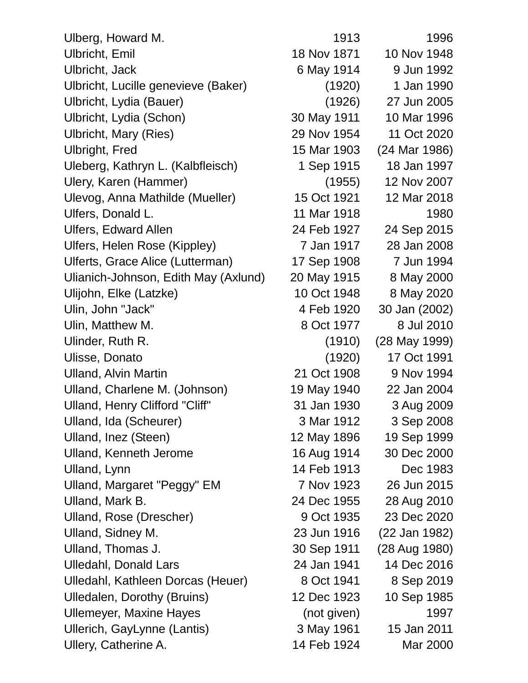| Ulberg, Howard M.                    | 1913        | 1996          |
|--------------------------------------|-------------|---------------|
| Ulbricht, Emil                       | 18 Nov 1871 | 10 Nov 1948   |
| Ulbricht, Jack                       | 6 May 1914  | 9 Jun 1992    |
| Ulbricht, Lucille genevieve (Baker)  | (1920)      | 1 Jan 1990    |
| Ulbricht, Lydia (Bauer)              | (1926)      | 27 Jun 2005   |
| Ulbricht, Lydia (Schon)              | 30 May 1911 | 10 Mar 1996   |
| Ulbricht, Mary (Ries)                | 29 Nov 1954 | 11 Oct 2020   |
| <b>Ulbright, Fred</b>                | 15 Mar 1903 | (24 Mar 1986) |
| Uleberg, Kathryn L. (Kalbfleisch)    | 1 Sep 1915  | 18 Jan 1997   |
| Ulery, Karen (Hammer)                | (1955)      | 12 Nov 2007   |
| Ulevog, Anna Mathilde (Mueller)      | 15 Oct 1921 | 12 Mar 2018   |
| Ulfers, Donald L.                    | 11 Mar 1918 | 1980          |
| <b>Ulfers, Edward Allen</b>          | 24 Feb 1927 | 24 Sep 2015   |
| Ulfers, Helen Rose (Kippley)         | 7 Jan 1917  | 28 Jan 2008   |
| Ulferts, Grace Alice (Lutterman)     | 17 Sep 1908 | 7 Jun 1994    |
| Ulianich-Johnson, Edith May (Axlund) | 20 May 1915 | 8 May 2000    |
| Ulijohn, Elke (Latzke)               | 10 Oct 1948 | 8 May 2020    |
| Ulin, John "Jack"                    | 4 Feb 1920  | 30 Jan (2002) |
| Ulin, Matthew M.                     | 8 Oct 1977  | 8 Jul 2010    |
| Ulinder, Ruth R.                     | (1910)      | (28 May 1999) |
| Ulisse, Donato                       | (1920)      | 17 Oct 1991   |
| <b>Ulland, Alvin Martin</b>          | 21 Oct 1908 | 9 Nov 1994    |
| Ulland, Charlene M. (Johnson)        | 19 May 1940 | 22 Jan 2004   |
| Ulland, Henry Clifford "Cliff"       | 31 Jan 1930 | 3 Aug 2009    |
| Ulland, Ida (Scheurer)               | 3 Mar 1912  | 3 Sep 2008    |
| Ulland, Inez (Steen)                 | 12 May 1896 | 19 Sep 1999   |
| <b>Ulland, Kenneth Jerome</b>        | 16 Aug 1914 | 30 Dec 2000   |
| Ulland, Lynn                         | 14 Feb 1913 | Dec 1983      |
| Ulland, Margaret "Peggy" EM          | 7 Nov 1923  | 26 Jun 2015   |
| Ulland, Mark B.                      | 24 Dec 1955 | 28 Aug 2010   |
| Ulland, Rose (Drescher)              | 9 Oct 1935  | 23 Dec 2020   |
| Ulland, Sidney M.                    | 23 Jun 1916 | (22 Jan 1982) |
| Ulland, Thomas J.                    | 30 Sep 1911 | (28 Aug 1980) |
| <b>Ulledahl, Donald Lars</b>         | 24 Jan 1941 | 14 Dec 2016   |
| Ulledahl, Kathleen Dorcas (Heuer)    | 8 Oct 1941  | 8 Sep 2019    |
| <b>Ulledalen, Dorothy (Bruins)</b>   | 12 Dec 1923 | 10 Sep 1985   |
| <b>Ullemeyer, Maxine Hayes</b>       | (not given) | 1997          |
| Ullerich, GayLynne (Lantis)          | 3 May 1961  | 15 Jan 2011   |
| Ullery, Catherine A.                 | 14 Feb 1924 | Mar 2000      |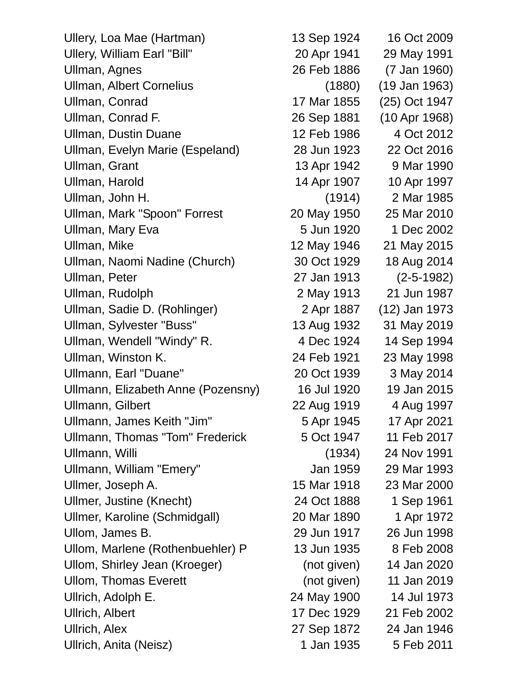Ullery, Loa Mae (Hartman) 13 Sep 1924 16 Oct 2009 Ullery, William Earl "Bill" 20 Apr 1941 29 May 1991 Ullman, Agnes 26 Feb 1886 (7 Jan 1960) Ullman, Albert Cornelius (1880) (19 Jan 1963) Ullman, Conrad 17 Mar 1855 (25) Oct 1947 Ullman, Conrad F. 26 Sep 1881 (10 Apr 1968) Ullman, Dustin Duane 12 Feb 1986 4 Oct 2012 Ullman, Evelyn Marie (Espeland) 28 Jun 1923 22 Oct 2016 Ullman, Grant 13 Apr 1942 9 Mar 1990 Ullman, Harold 14 Apr 1907 10 Apr 1997 Ullman, John H. (1914) 2 Mar 1985 Ullman, Mark "Spoon" Forrest 20 May 1950 25 Mar 2010 Ullman, Mary Eva 1988 1999 1 2002 1 Dec 2002 Ullman, Mike 12 May 1946 21 May 2015 Ullman, Naomi Nadine (Church) 30 Oct 1929 18 Aug 2014 Ullman, Peter 27 Jan 1913 (2-5-1982) Ullman, Rudolph 2 May 1913 21 Jun 1987 Ullman, Sadie D. (Rohlinger) 2 Apr 1887 (12) Jan 1973 Ullman, Sylvester "Buss" 13 Aug 1932 31 May 2019 Ullman, Wendell "Windy" R. 4 Dec 1924 14 Sep 1994 Ullman, Winston K. 24 Feb 1921 23 May 1998 Ullmann, Earl "Duane" 20 Oct 1939 3 May 2014 Ullmann, Elizabeth Anne (Pozensny) 16 Jul 1920 19 Jan 2015 Ullmann, Gilbert 22 Aug 1919 4 Aug 1997 Ullmann, James Keith "Jim" 5 Apr 1945 17 Apr 2021 Ullmann, Thomas "Tom" Frederick 5 Oct 1947 11 Feb 2017 Ullmann, Willi (1934) 24 Nov 1991 Ullmann, William "Emery" Jan 1959 29 Mar 1993 Ullmer, Joseph A. 15 Mar 1918 23 Mar 2000 Ullmer, Justine (Knecht) 24 Oct 1888 1 Sep 1961 Ullmer, Karoline (Schmidgall) 20 Mar 1890 1 Apr 1972 Ullom, James B. 29 Jun 1917 26 Jun 1998 Ullom, Marlene (Rothenbuehler) P 13 Jun 1935 8 Feb 2008 Ullom, Shirley Jean (Kroeger) (not given) 14 Jan 2020 Ullom, Thomas Everett (not given) 11 Jan 2019 Ullrich, Adolph E. 24 May 1900 14 Jul 1973 Ullrich, Albert 17 Dec 1929 21 Feb 2002 Ullrich, Alex 27 Sep 1872 24 Jan 1946 Ullrich, Anita (Neisz) 1 Jan 1935 5 Feb 2011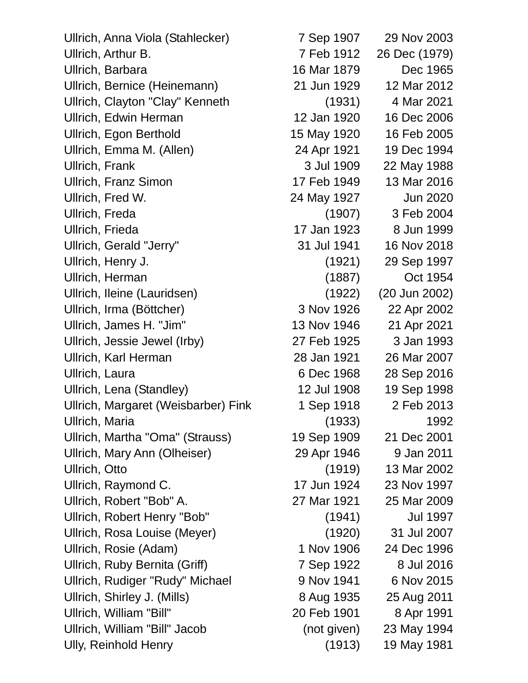Ullrich, Anna Viola (Stahlecker) 7 Sep 1907 29 Nov 2003 Ullrich, Arthur B. 7 Feb 1912 26 Dec (1979) Ullrich, Barbara 16 Mar 1879 Dec 1965 Ullrich, Bernice (Heinemann) 21 Jun 1929 12 Mar 2012 Ullrich, Clayton "Clay" Kenneth (1931) 4 Mar 2021 Ullrich, Edwin Herman 12 Jan 1920 16 Dec 2006 Ullrich, Egon Berthold 15 May 1920 16 Feb 2005 Ullrich, Emma M. (Allen) 24 Apr 1921 19 Dec 1994 Ullrich, Frank 3 Jul 1909 22 May 1988 Ullrich, Franz Simon 17 Feb 1949 13 Mar 2016 Ullrich, Fred W. 24 May 1927 Jun 2020 Ullrich, Freda (1907) 3 Feb 2004 Ullrich, Frieda 17 Jan 1923 8 Jun 1999 Ullrich, Gerald "Jerry" 31 Jul 1941 16 Nov 2018 Ullrich, Henry J. (1921) 29 Sep 1997 Ullrich, Herman (1887) Oct 1954 Ullrich, Ileine (Lauridsen) (1922) (20 Jun 2002) Ullrich, Irma (Böttcher) 3 Nov 1926 22 Apr 2002 Ullrich, James H. "Jim" 13 Nov 1946 21 Apr 2021 Ullrich, Jessie Jewel (Irby) 27 Feb 1925 3 Jan 1993 Ullrich, Karl Herman 28 Jan 1921 26 Mar 2007 Ullrich, Laura 6 Dec 1968 28 Sep 2016 Ullrich, Lena (Standley) 12 Jul 1908 19 Sep 1998 Ullrich, Margaret (Weisbarber) Fink 1 Sep 1918 2 Feb 2013 Ullrich, Maria (1933) 1992 Ullrich, Martha "Oma" (Strauss) 19 Sep 1909 21 Dec 2001 Ullrich, Mary Ann (Olheiser) 29 Apr 1946 9 Jan 2011 Ullrich, Otto (1919) 13 Mar 2002 Ullrich, Raymond C. 17 Jun 1924 23 Nov 1997 Ullrich, Robert "Bob" A. 27 Mar 1921 25 Mar 2009 Ullrich, Robert Henry "Bob" (1941) Jul 1997 Ullrich, Rosa Louise (Meyer) (1920) 31 Jul 2007 Ullrich, Rosie (Adam) 1 Nov 1906 24 Dec 1996 Ullrich, Ruby Bernita (Griff) 7 Sep 1922 8 Jul 2016 Ullrich, Rudiger "Rudy" Michael 9 Nov 1941 6 Nov 2015 Ullrich, Shirley J. (Mills) 8 Aug 1935 25 Aug 2011 Ullrich, William "Bill" 20 Feb 1901 8 Apr 1991 Ullrich, William "Bill" Jacob (not given) 23 May 1994 Ully, Reinhold Henry (1913) 19 May 1981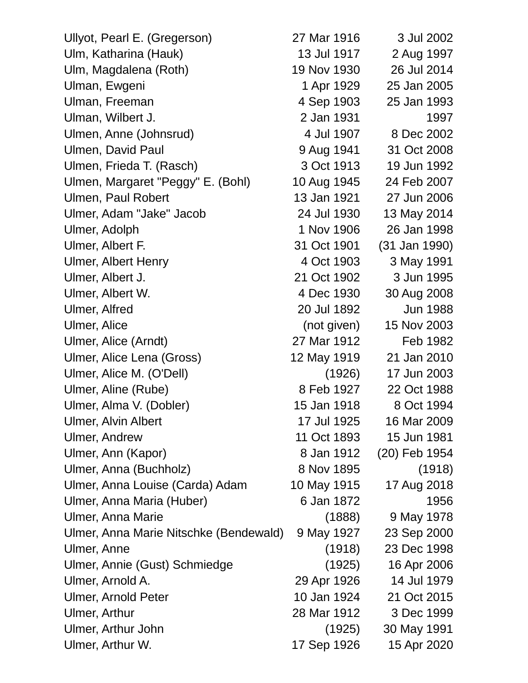| Ullyot, Pearl E. (Gregerson)           | 27 Mar 1916 | 3 Jul 2002      |
|----------------------------------------|-------------|-----------------|
| Ulm, Katharina (Hauk)                  | 13 Jul 1917 | 2 Aug 1997      |
| Ulm, Magdalena (Roth)                  | 19 Nov 1930 | 26 Jul 2014     |
| Ulman, Ewgeni                          | 1 Apr 1929  | 25 Jan 2005     |
| Ulman, Freeman                         | 4 Sep 1903  | 25 Jan 1993     |
| Ulman, Wilbert J.                      | 2 Jan 1931  | 1997            |
| Ulmen, Anne (Johnsrud)                 | 4 Jul 1907  | 8 Dec 2002      |
| Ulmen, David Paul                      | 9 Aug 1941  | 31 Oct 2008     |
| Ulmen, Frieda T. (Rasch)               | 3 Oct 1913  | 19 Jun 1992     |
| Ulmen, Margaret "Peggy" E. (Bohl)      | 10 Aug 1945 | 24 Feb 2007     |
| Ulmen, Paul Robert                     | 13 Jan 1921 | 27 Jun 2006     |
| Ulmer, Adam "Jake" Jacob               | 24 Jul 1930 | 13 May 2014     |
| Ulmer, Adolph                          | 1 Nov 1906  | 26 Jan 1998     |
| Ulmer, Albert F.                       | 31 Oct 1901 | (31 Jan 1990)   |
| <b>Ulmer, Albert Henry</b>             | 4 Oct 1903  | 3 May 1991      |
| Ulmer, Albert J.                       | 21 Oct 1902 | 3 Jun 1995      |
| Ulmer, Albert W.                       | 4 Dec 1930  | 30 Aug 2008     |
| Ulmer, Alfred                          | 20 Jul 1892 | <b>Jun 1988</b> |
| Ulmer, Alice                           | (not given) | 15 Nov 2003     |
| Ulmer, Alice (Arndt)                   | 27 Mar 1912 | Feb 1982        |
| Ulmer, Alice Lena (Gross)              | 12 May 1919 | 21 Jan 2010     |
| Ulmer, Alice M. (O'Dell)               | (1926)      | 17 Jun 2003     |
| Ulmer, Aline (Rube)                    | 8 Feb 1927  | 22 Oct 1988     |
| Ulmer, Alma V. (Dobler)                | 15 Jan 1918 | 8 Oct 1994      |
| Ulmer, Alvin Albert                    | 17 Jul 1925 | 16 Mar 2009     |
| <b>Ulmer, Andrew</b>                   | 11 Oct 1893 | 15 Jun 1981     |
| Ulmer, Ann (Kapor)                     | 8 Jan 1912  | (20) Feb 1954   |
| Ulmer, Anna (Buchholz)                 | 8 Nov 1895  | (1918)          |
| Ulmer, Anna Louise (Carda) Adam        | 10 May 1915 | 17 Aug 2018     |
| Ulmer, Anna Maria (Huber)              | 6 Jan 1872  | 1956            |
| Ulmer, Anna Marie                      | (1888)      | 9 May 1978      |
| Ulmer, Anna Marie Nitschke (Bendewald) | 9 May 1927  | 23 Sep 2000     |
| Ulmer, Anne                            | (1918)      | 23 Dec 1998     |
| Ulmer, Annie (Gust) Schmiedge          | (1925)      | 16 Apr 2006     |
| Ulmer, Arnold A.                       | 29 Apr 1926 | 14 Jul 1979     |
| <b>Ulmer, Arnold Peter</b>             | 10 Jan 1924 | 21 Oct 2015     |
| Ulmer, Arthur                          | 28 Mar 1912 | 3 Dec 1999      |
| Ulmer, Arthur John                     | (1925)      | 30 May 1991     |
| Ulmer, Arthur W.                       | 17 Sep 1926 | 15 Apr 2020     |
|                                        |             |                 |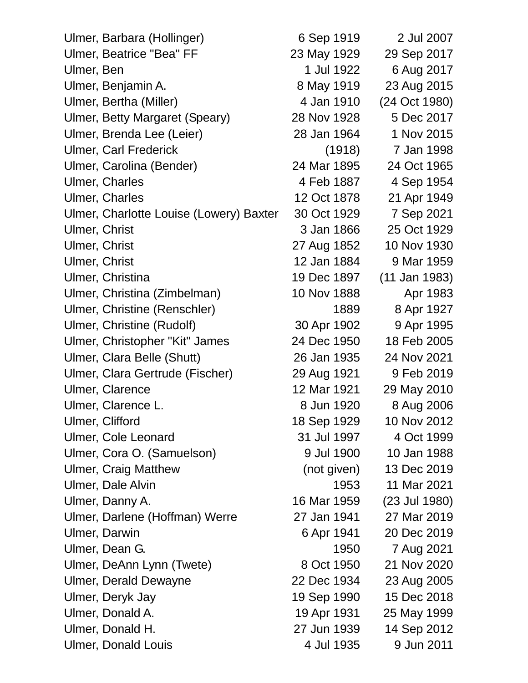| Ulmer, Barbara (Hollinger)              | 6 Sep 1919  | 2 Jul 2007    |
|-----------------------------------------|-------------|---------------|
| <b>Ulmer, Beatrice "Bea" FF</b>         | 23 May 1929 | 29 Sep 2017   |
| Ulmer, Ben                              | 1 Jul 1922  | 6 Aug 2017    |
| Ulmer, Benjamin A.                      | 8 May 1919  | 23 Aug 2015   |
| Ulmer, Bertha (Miller)                  | 4 Jan 1910  | (24 Oct 1980) |
| Ulmer, Betty Margaret (Speary)          | 28 Nov 1928 | 5 Dec 2017    |
| Ulmer, Brenda Lee (Leier)               | 28 Jan 1964 | 1 Nov 2015    |
| <b>Ulmer, Carl Frederick</b>            | (1918)      | 7 Jan 1998    |
| Ulmer, Carolina (Bender)                | 24 Mar 1895 | 24 Oct 1965   |
| <b>Ulmer, Charles</b>                   | 4 Feb 1887  | 4 Sep 1954    |
| <b>Ulmer, Charles</b>                   | 12 Oct 1878 | 21 Apr 1949   |
| Ulmer, Charlotte Louise (Lowery) Baxter | 30 Oct 1929 | 7 Sep 2021    |
| Ulmer, Christ                           | 3 Jan 1866  | 25 Oct 1929   |
| <b>Ulmer, Christ</b>                    | 27 Aug 1852 | 10 Nov 1930   |
| Ulmer, Christ                           | 12 Jan 1884 | 9 Mar 1959    |
| Ulmer, Christina                        | 19 Dec 1897 | (11 Jan 1983) |
| Ulmer, Christina (Zimbelman)            | 10 Nov 1888 | Apr 1983      |
| Ulmer, Christine (Renschler)            | 1889        | 8 Apr 1927    |
| Ulmer, Christine (Rudolf)               | 30 Apr 1902 | 9 Apr 1995    |
| Ulmer, Christopher "Kit" James          | 24 Dec 1950 | 18 Feb 2005   |
| Ulmer, Clara Belle (Shutt)              | 26 Jan 1935 | 24 Nov 2021   |
| Ulmer, Clara Gertrude (Fischer)         | 29 Aug 1921 | 9 Feb 2019    |
| Ulmer, Clarence                         | 12 Mar 1921 | 29 May 2010   |
| Ulmer, Clarence L.                      | 8 Jun 1920  | 8 Aug 2006    |
| Ulmer, Clifford                         | 18 Sep 1929 | 10 Nov 2012   |
| Ulmer, Cole Leonard                     | 31 Jul 1997 | 4 Oct 1999    |
| Ulmer, Cora O. (Samuelson)              | 9 Jul 1900  | 10 Jan 1988   |
| <b>Ulmer, Craig Matthew</b>             | (not given) | 13 Dec 2019   |
| Ulmer, Dale Alvin                       | 1953        | 11 Mar 2021   |
| Ulmer, Danny A.                         | 16 Mar 1959 | (23 Jul 1980) |
| Ulmer, Darlene (Hoffman) Werre          | 27 Jan 1941 | 27 Mar 2019   |
| Ulmer, Darwin                           | 6 Apr 1941  | 20 Dec 2019   |
| Ulmer, Dean G.                          | 1950        | 7 Aug 2021    |
| Ulmer, DeAnn Lynn (Twete)               | 8 Oct 1950  | 21 Nov 2020   |
| <b>Ulmer, Derald Dewayne</b>            | 22 Dec 1934 | 23 Aug 2005   |
| Ulmer, Deryk Jay                        | 19 Sep 1990 | 15 Dec 2018   |
| Ulmer, Donald A.                        | 19 Apr 1931 | 25 May 1999   |
| Ulmer, Donald H.                        | 27 Jun 1939 | 14 Sep 2012   |
| <b>Ulmer, Donald Louis</b>              | 4 Jul 1935  | 9 Jun 2011    |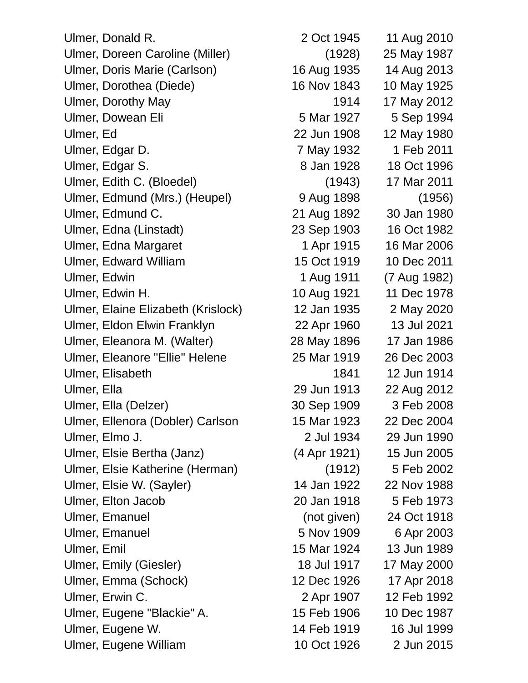| Ulmer, Donald R.                   | 2 Oct 1945   | 11 Aug 2010  |
|------------------------------------|--------------|--------------|
| Ulmer, Doreen Caroline (Miller)    | (1928)       | 25 May 1987  |
| Ulmer, Doris Marie (Carlson)       | 16 Aug 1935  | 14 Aug 2013  |
| Ulmer, Dorothea (Diede)            | 16 Nov 1843  | 10 May 1925  |
| <b>Ulmer, Dorothy May</b>          | 1914         | 17 May 2012  |
| Ulmer, Dowean Eli                  | 5 Mar 1927   | 5 Sep 1994   |
| Ulmer, Ed                          | 22 Jun 1908  | 12 May 1980  |
| Ulmer, Edgar D.                    | 7 May 1932   | 1 Feb 2011   |
| Ulmer, Edgar S.                    | 8 Jan 1928   | 18 Oct 1996  |
| Ulmer, Edith C. (Bloedel)          | (1943)       | 17 Mar 2011  |
| Ulmer, Edmund (Mrs.) (Heupel)      | 9 Aug 1898   | (1956)       |
| Ulmer, Edmund C.                   | 21 Aug 1892  | 30 Jan 1980  |
| Ulmer, Edna (Linstadt)             | 23 Sep 1903  | 16 Oct 1982  |
| Ulmer, Edna Margaret               | 1 Apr 1915   | 16 Mar 2006  |
| <b>Ulmer, Edward William</b>       | 15 Oct 1919  | 10 Dec 2011  |
| Ulmer, Edwin                       | 1 Aug 1911   | (7 Aug 1982) |
| Ulmer, Edwin H.                    | 10 Aug 1921  | 11 Dec 1978  |
| Ulmer, Elaine Elizabeth (Krislock) | 12 Jan 1935  | 2 May 2020   |
| Ulmer, Eldon Elwin Franklyn        | 22 Apr 1960  | 13 Jul 2021  |
| Ulmer, Eleanora M. (Walter)        | 28 May 1896  | 17 Jan 1986  |
| Ulmer, Eleanore "Ellie" Helene     | 25 Mar 1919  | 26 Dec 2003  |
| Ulmer, Elisabeth                   | 1841         | 12 Jun 1914  |
| Ulmer, Ella                        | 29 Jun 1913  | 22 Aug 2012  |
| Ulmer, Ella (Delzer)               | 30 Sep 1909  | 3 Feb 2008   |
| Ulmer, Ellenora (Dobler) Carlson   | 15 Mar 1923  | 22 Dec 2004  |
| Ulmer, Elmo J.                     | 2 Jul 1934   | 29 Jun 1990  |
| Ulmer, Elsie Bertha (Janz)         | (4 Apr 1921) | 15 Jun 2005  |
| Ulmer, Elsie Katherine (Herman)    | (1912)       | 5 Feb 2002   |
| Ulmer, Elsie W. (Sayler)           | 14 Jan 1922  | 22 Nov 1988  |
| Ulmer, Elton Jacob                 | 20 Jan 1918  | 5 Feb 1973   |
| <b>Ulmer, Emanuel</b>              | (not given)  | 24 Oct 1918  |
| <b>Ulmer, Emanuel</b>              | 5 Nov 1909   | 6 Apr 2003   |
| Ulmer, Emil                        | 15 Mar 1924  | 13 Jun 1989  |
| Ulmer, Emily (Giesler)             | 18 Jul 1917  | 17 May 2000  |
| Ulmer, Emma (Schock)               | 12 Dec 1926  | 17 Apr 2018  |
| Ulmer, Erwin C.                    | 2 Apr 1907   | 12 Feb 1992  |
| Ulmer, Eugene "Blackie" A.         | 15 Feb 1906  | 10 Dec 1987  |
| Ulmer, Eugene W.                   | 14 Feb 1919  | 16 Jul 1999  |
| Ulmer, Eugene William              | 10 Oct 1926  | 2 Jun 2015   |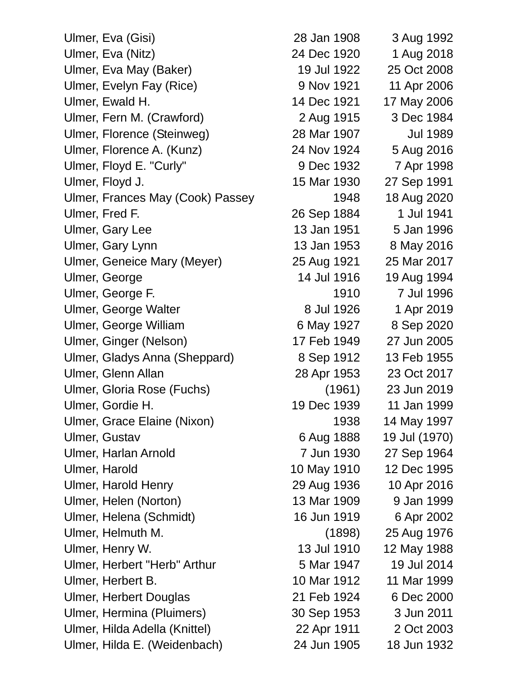Ulmer, Eva (Gisi) 28 Jan 1908 3 Aug 1992 Ulmer, Eva (Nitz) 24 Dec 1920 1 Aug 2018 Ulmer, Eva May (Baker) 19 Jul 1922 25 Oct 2008 Ulmer, Evelyn Fay (Rice) 9 Nov 1921 11 Apr 2006 Ulmer, Ewald H. 14 Dec 1921 17 May 2006 Ulmer, Fern M. (Crawford) 2 Aug 1915 3 Dec 1984 Ulmer, Florence (Steinweg) 28 Mar 1907 Jul 1989 Ulmer, Florence A. (Kunz) 24 Nov 1924 5 Aug 2016 Ulmer, Floyd E. "Curly" 9 Dec 1932 7 Apr 1998 Ulmer, Floyd J. 15 Mar 1930 27 Sep 1991 Ulmer, Frances May (Cook) Passey 1948 18 Aug 2020 Ulmer, Fred F. 26 Sep 1884 1 Jul 1941 Ulmer, Gary Lee 13 Jan 1951 5 Jan 1996 Ulmer, Gary Lynn 13 Jan 1953 8 May 2016 Ulmer, Geneice Mary (Meyer) 25 Aug 1921 25 Mar 2017 Ulmer, George 14 Jul 1916 19 Aug 1994 Ulmer, George F. 1910 7 Jul 1996 Ulmer, George Walter 8 Jul 1926 1 Apr 2019 Ulmer, George William 6 May 1927 8 Sep 2020 Ulmer, Ginger (Nelson) 17 Feb 1949 27 Jun 2005 Ulmer, Gladys Anna (Sheppard) 8 Sep 1912 13 Feb 1955 Ulmer, Glenn Allan 28 Apr 1953 23 Oct 2017 Ulmer, Gloria Rose (Fuchs) (1961) 23 Jun 2019 Ulmer, Gordie H. 19 Dec 1939 11 Jan 1999 Ulmer, Grace Elaine (Nixon) 1938 14 May 1997 Ulmer, Gustav 6 Aug 1888 19 Jul (1970) Ulmer, Harlan Arnold 7 Jun 1930 27 Sep 1964 Ulmer, Harold 10 May 1910 12 Dec 1995 Ulmer, Harold Henry 29 Aug 1936 10 Apr 2016 Ulmer, Helen (Norton) 13 Mar 1909 9 Jan 1999 Ulmer, Helena (Schmidt) 16 Jun 1919 6 Apr 2002 Ulmer, Helmuth M. (1898) 25 Aug 1976 Ulmer, Henry W. 13 Jul 1910 12 May 1988 Ulmer, Herbert "Herb" Arthur 5 Mar 1947 19 Jul 2014 Ulmer, Herbert B. 10 Mar 1912 11 Mar 1999 Ulmer, Herbert Douglas 21 Feb 1924 6 Dec 2000 Ulmer, Hermina (Pluimers) 30 Sep 1953 3 Jun 2011 Ulmer, Hilda Adella (Knittel) 22 Apr 1911 2 Oct 2003 Ulmer, Hilda E. (Weidenbach) 24 Jun 1905 18 Jun 1932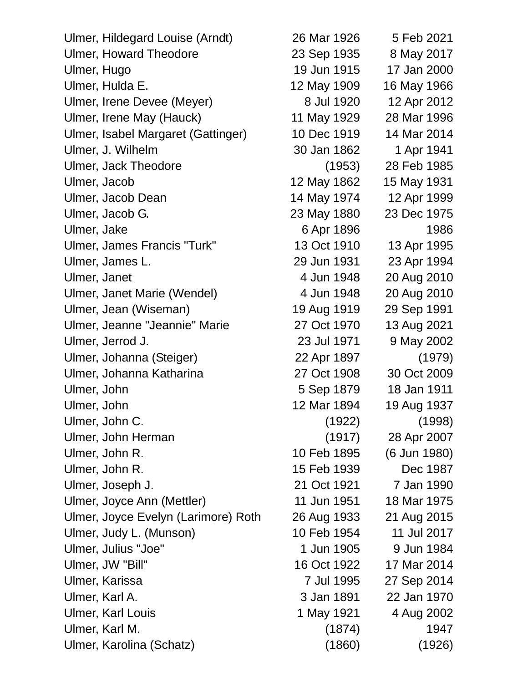| Ulmer, Hildegard Louise (Arndt)     | 26 Mar 1926 | 5 Feb 2021   |
|-------------------------------------|-------------|--------------|
| <b>Ulmer, Howard Theodore</b>       | 23 Sep 1935 | 8 May 2017   |
| Ulmer, Hugo                         | 19 Jun 1915 | 17 Jan 2000  |
| Ulmer, Hulda E.                     | 12 May 1909 | 16 May 1966  |
| Ulmer, Irene Devee (Meyer)          | 8 Jul 1920  | 12 Apr 2012  |
| Ulmer, Irene May (Hauck)            | 11 May 1929 | 28 Mar 1996  |
| Ulmer, Isabel Margaret (Gattinger)  | 10 Dec 1919 | 14 Mar 2014  |
| Ulmer, J. Wilhelm                   | 30 Jan 1862 | 1 Apr 1941   |
| Ulmer, Jack Theodore                | (1953)      | 28 Feb 1985  |
| Ulmer, Jacob                        | 12 May 1862 | 15 May 1931  |
| Ulmer, Jacob Dean                   | 14 May 1974 | 12 Apr 1999  |
| Ulmer, Jacob G.                     | 23 May 1880 | 23 Dec 1975  |
| Ulmer, Jake                         | 6 Apr 1896  | 1986         |
| Ulmer, James Francis "Turk"         | 13 Oct 1910 | 13 Apr 1995  |
| Ulmer, James L.                     | 29 Jun 1931 | 23 Apr 1994  |
| Ulmer, Janet                        | 4 Jun 1948  | 20 Aug 2010  |
| Ulmer, Janet Marie (Wendel)         | 4 Jun 1948  | 20 Aug 2010  |
| Ulmer, Jean (Wiseman)               | 19 Aug 1919 | 29 Sep 1991  |
| Ulmer, Jeanne "Jeannie" Marie       | 27 Oct 1970 | 13 Aug 2021  |
| Ulmer, Jerrod J.                    | 23 Jul 1971 | 9 May 2002   |
| Ulmer, Johanna (Steiger)            | 22 Apr 1897 | (1979)       |
| Ulmer, Johanna Katharina            | 27 Oct 1908 | 30 Oct 2009  |
| Ulmer, John                         | 5 Sep 1879  | 18 Jan 1911  |
| Ulmer, John                         | 12 Mar 1894 | 19 Aug 1937  |
| Ulmer, John C.                      | (1922)      | (1998)       |
| Ulmer, John Herman                  | (1917)      | 28 Apr 2007  |
| Ulmer, John R.                      | 10 Feb 1895 | (6 Jun 1980) |
| Ulmer, John R.                      | 15 Feb 1939 | Dec 1987     |
| Ulmer, Joseph J.                    | 21 Oct 1921 | 7 Jan 1990   |
| Ulmer, Joyce Ann (Mettler)          | 11 Jun 1951 | 18 Mar 1975  |
| Ulmer, Joyce Evelyn (Larimore) Roth | 26 Aug 1933 | 21 Aug 2015  |
| Ulmer, Judy L. (Munson)             | 10 Feb 1954 | 11 Jul 2017  |
| Ulmer, Julius "Joe"                 | 1 Jun 1905  | 9 Jun 1984   |
| Ulmer, JW "Bill"                    | 16 Oct 1922 | 17 Mar 2014  |
| Ulmer, Karissa                      | 7 Jul 1995  | 27 Sep 2014  |
| Ulmer, Karl A.                      | 3 Jan 1891  | 22 Jan 1970  |
| <b>Ulmer, Karl Louis</b>            | 1 May 1921  | 4 Aug 2002   |
| Ulmer, Karl M.                      | (1874)      | 1947         |
| Ulmer, Karolina (Schatz)            | (1860)      | (1926)       |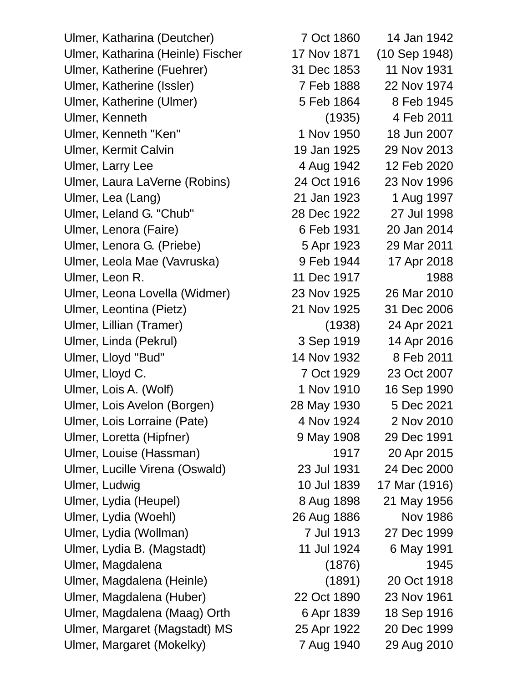Ulmer, Katharina (Deutcher) 7 Oct 1860 14 Jan 1942 Ulmer, Katharina (Heinle) Fischer 17 Nov 1871 (10 Sep 1948) Ulmer, Katherine (Fuehrer) 31 Dec 1853 11 Nov 1931 Ulmer, Katherine (Issler) 7 Feb 1888 22 Nov 1974 Ulmer, Katherine (Ulmer) 5 Feb 1864 8 Feb 1945 Ulmer, Kenneth (1935) 4 Feb 2011 Ulmer, Kenneth "Ken" 1 Nov 1950 18 Jun 2007 Ulmer, Kermit Calvin 19 Jan 1925 29 Nov 2013 Ulmer, Larry Lee 4 Aug 1942 12 Feb 2020 Ulmer, Laura LaVerne (Robins) 24 Oct 1916 23 Nov 1996 Ulmer, Lea (Lang) 21 Jan 1923 1 Aug 1997 Ulmer, Leland G. "Chub" 28 Dec 1922 27 Jul 1998 Ulmer, Lenora (Faire) 6 Feb 1931 20 Jan 2014 Ulmer, Lenora G. (Priebe) 5 Apr 1923 29 Mar 2011 Ulmer, Leola Mae (Vavruska) 9 Feb 1944 17 Apr 2018 Ulmer, Leon R. 11 Dec 1917 1988 Ulmer, Leona Lovella (Widmer) 23 Nov 1925 26 Mar 2010 Ulmer, Leontina (Pietz) 21 Nov 1925 31 Dec 2006 Ulmer, Lillian (Tramer) (1938) 24 Apr 2021 Ulmer, Linda (Pekrul) 3 Sep 1919 14 Apr 2016 Ulmer, Lloyd "Bud" 14 Nov 1932 8 Feb 2011 Ulmer, Lloyd C. 7 Oct 1929 23 Oct 2007 Ulmer, Lois A. (Wolf) 1 Nov 1910 16 Sep 1990 Ulmer, Lois Avelon (Borgen) 28 May 1930 5 Dec 2021 Ulmer, Lois Lorraine (Pate) 4 Nov 1924 2 Nov 2010 Ulmer, Loretta (Hipfner) 9 May 1908 29 Dec 1991 Ulmer, Louise (Hassman) 1917 20 Apr 2015 Ulmer, Lucille Virena (Oswald) 23 Jul 1931 24 Dec 2000 Ulmer, Ludwig 10 Jul 1839 17 Mar (1916) Ulmer, Lydia (Heupel) 8 Aug 1898 21 May 1956 Ulmer, Lydia (Woehl) 26 Aug 1886 Nov 1986 Ulmer, Lydia (Wollman) 7 Jul 1913 27 Dec 1999 Ulmer, Lydia B. (Magstadt) 11 Jul 1924 6 May 1991 Ulmer, Magdalena (1876) (1876) Ulmer, Magdalena (Heinle) (1891) 20 Oct 1918 Ulmer, Magdalena (Huber) 22 Oct 1890 23 Nov 1961 Ulmer, Magdalena (Maag) Orth 6 Apr 1839 18 Sep 1916 Ulmer, Margaret (Magstadt) MS 25 Apr 1922 20 Dec 1999 Ulmer, Margaret (Mokelky) 7 Aug 1940 29 Aug 2010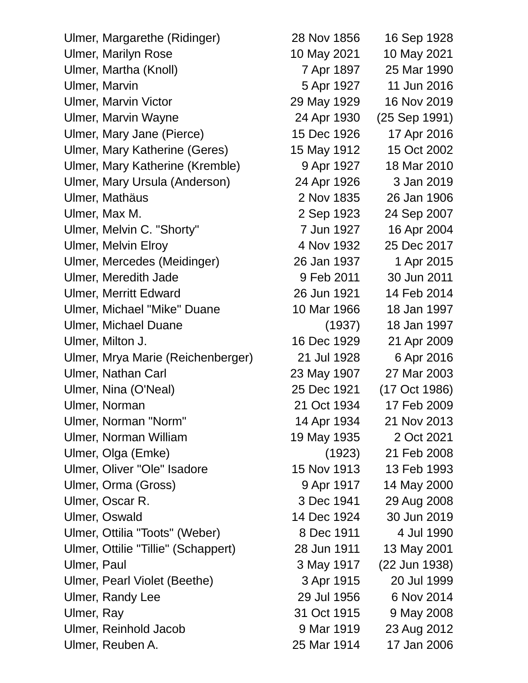Ulmer, Margarethe (Ridinger) 28 Nov 1856 16 Sep 1928 Ulmer, Marilyn Rose 10 May 2021 10 May 2021 Ulmer, Martha (Knoll) 7 Apr 1897 25 Mar 1990 Ulmer, Marvin **1927** 11 Jun 2016 Ulmer, Marvin Victor 29 May 1929 16 Nov 2019 Ulmer, Marvin Wayne 24 Apr 1930 (25 Sep 1991) Ulmer, Mary Jane (Pierce) 15 Dec 1926 17 Apr 2016 Ulmer, Mary Katherine (Geres) 15 May 1912 15 Oct 2002 Ulmer, Mary Katherine (Kremble) 9 Apr 1927 18 Mar 2010 Ulmer, Mary Ursula (Anderson) 24 Apr 1926 3 Jan 2019 Ulmer, Mathäus 2 Nov 1835 26 Jan 1906 Ulmer, Max M. 2 Sep 1923 24 Sep 2007 Ulmer, Melvin C. "Shorty" 7 Jun 1927 16 Apr 2004 Ulmer, Melvin Elroy 1932 4 Nov 1932 25 Dec 2017 Ulmer, Mercedes (Meidinger) 26 Jan 1937 1 Apr 2015 Ulmer, Meredith Jade 9 Feb 2011 30 Jun 2011 Ulmer, Merritt Edward 26 Jun 1921 14 Feb 2014 Ulmer, Michael "Mike" Duane 10 Mar 1966 18 Jan 1997 Ulmer, Michael Duane (1937) 18 Jan 1997 Ulmer, Milton J. 16 Dec 1929 21 Apr 2009 Ulmer, Mrya Marie (Reichenberger) 21 Jul 1928 6 Apr 2016 Ulmer, Nathan Carl 23 May 1907 27 Mar 2003 Ulmer, Nina (O'Neal) 25 Dec 1921 (17 Oct 1986) Ulmer, Norman 21 Oct 1934 17 Feb 2009 Ulmer, Norman "Norm" 14 Apr 1934 21 Nov 2013 Ulmer, Norman William 19 May 1935 2 Oct 2021 Ulmer, Olga (Emke) (1923) 21 Feb 2008 Ulmer, Oliver "Ole" Isadore 15 Nov 1913 13 Feb 1993 Ulmer, Orma (Gross) 9 Apr 1917 14 May 2000 Ulmer, Oscar R. 3 Dec 1941 29 Aug 2008 Ulmer, Oswald 14 Dec 1924 30 Jun 2019 Ulmer, Ottilia "Toots" (Weber) 8 Dec 1911 4 Jul 1990 Ulmer, Ottilie "Tillie" (Schappert) 28 Jun 1911 13 May 2001 Ulmer, Paul 3 May 1917 (22 Jun 1938) Ulmer, Pearl Violet (Beethe) 3 Apr 1915 20 Jul 1999 Ulmer, Randy Lee 29 Jul 1956 6 Nov 2014 Ulmer, Ray 31 Oct 1915 9 May 2008 Ulmer, Reinhold Jacob 9 Mar 1919 23 Aug 2012

Ulmer, Reuben A. 25 Mar 1914 17 Jan 2006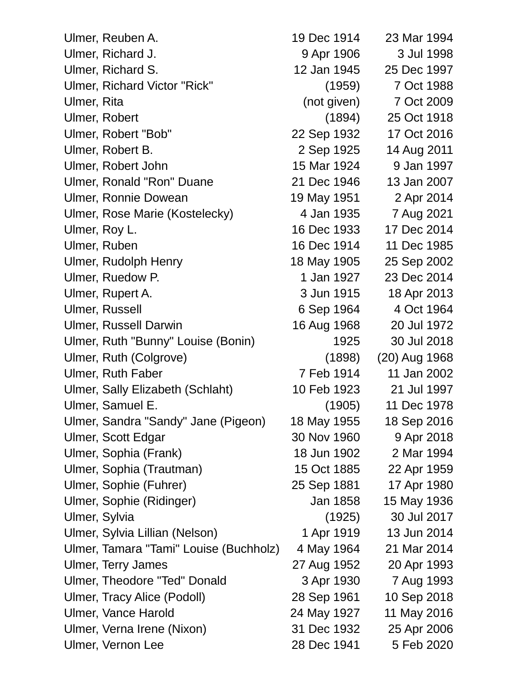| Ulmer, Reuben A.                       | 19 Dec 1914 | 23 Mar 1994   |
|----------------------------------------|-------------|---------------|
| Ulmer, Richard J.                      | 9 Apr 1906  | 3 Jul 1998    |
| Ulmer, Richard S.                      | 12 Jan 1945 | 25 Dec 1997   |
| Ulmer, Richard Victor "Rick"           | (1959)      | 7 Oct 1988    |
| Ulmer, Rita                            | (not given) | 7 Oct 2009    |
| Ulmer, Robert                          | (1894)      | 25 Oct 1918   |
| Ulmer, Robert "Bob"                    | 22 Sep 1932 | 17 Oct 2016   |
| Ulmer, Robert B.                       | 2 Sep 1925  | 14 Aug 2011   |
| Ulmer, Robert John                     | 15 Mar 1924 | 9 Jan 1997    |
| Ulmer, Ronald "Ron" Duane              | 21 Dec 1946 | 13 Jan 2007   |
| <b>Ulmer, Ronnie Dowean</b>            | 19 May 1951 | 2 Apr 2014    |
| Ulmer, Rose Marie (Kostelecky)         | 4 Jan 1935  | 7 Aug 2021    |
| Ulmer, Roy L.                          | 16 Dec 1933 | 17 Dec 2014   |
| Ulmer, Ruben                           | 16 Dec 1914 | 11 Dec 1985   |
| Ulmer, Rudolph Henry                   | 18 May 1905 | 25 Sep 2002   |
| Ulmer, Ruedow P.                       | 1 Jan 1927  | 23 Dec 2014   |
| Ulmer, Rupert A.                       | 3 Jun 1915  | 18 Apr 2013   |
| <b>Ulmer, Russell</b>                  | 6 Sep 1964  | 4 Oct 1964    |
| <b>Ulmer, Russell Darwin</b>           | 16 Aug 1968 | 20 Jul 1972   |
| Ulmer, Ruth "Bunny" Louise (Bonin)     | 1925        | 30 Jul 2018   |
| Ulmer, Ruth (Colgrove)                 | (1898)      | (20) Aug 1968 |
| <b>Ulmer, Ruth Faber</b>               | 7 Feb 1914  | 11 Jan 2002   |
| Ulmer, Sally Elizabeth (Schlaht)       | 10 Feb 1923 | 21 Jul 1997   |
| Ulmer, Samuel E.                       | (1905)      | 11 Dec 1978   |
| Ulmer, Sandra "Sandy" Jane (Pigeon)    | 18 May 1955 | 18 Sep 2016   |
| Ulmer, Scott Edgar                     | 30 Nov 1960 | 9 Apr 2018    |
| Ulmer, Sophia (Frank)                  | 18 Jun 1902 | 2 Mar 1994    |
| Ulmer, Sophia (Trautman)               | 15 Oct 1885 | 22 Apr 1959   |
| Ulmer, Sophie (Fuhrer)                 | 25 Sep 1881 | 17 Apr 1980   |
| Ulmer, Sophie (Ridinger)               | Jan 1858    | 15 May 1936   |
| Ulmer, Sylvia                          | (1925)      | 30 Jul 2017   |
| Ulmer, Sylvia Lillian (Nelson)         | 1 Apr 1919  | 13 Jun 2014   |
| Ulmer, Tamara "Tami" Louise (Buchholz) | 4 May 1964  | 21 Mar 2014   |
| <b>Ulmer, Terry James</b>              | 27 Aug 1952 | 20 Apr 1993   |
| Ulmer, Theodore "Ted" Donald           | 3 Apr 1930  | 7 Aug 1993    |
| <b>Ulmer, Tracy Alice (Podoll)</b>     | 28 Sep 1961 | 10 Sep 2018   |
| <b>Ulmer, Vance Harold</b>             | 24 May 1927 | 11 May 2016   |
| Ulmer, Verna Irene (Nixon)             | 31 Dec 1932 | 25 Apr 2006   |
| Ulmer, Vernon Lee                      | 28 Dec 1941 | 5 Feb 2020    |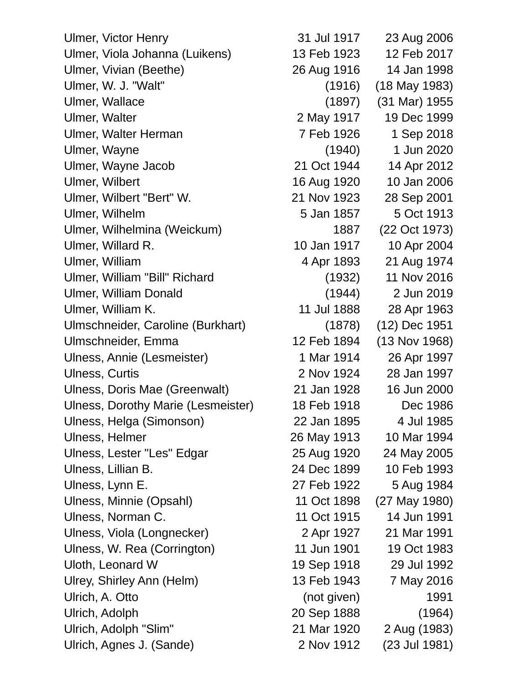Ulmer, Victor Henry 31 Jul 1917 23 Aug 2006 Ulmer, Viola Johanna (Luikens) 13 Feb 1923 12 Feb 2017 Ulmer, Vivian (Beethe) 26 Aug 1916 14 Jan 1998 Ulmer, W. J. "Walt" (1916) (18 May 1983) Ulmer, Wallace (1897) (31 Mar) 1955 Ulmer, Walter 2 May 1917 19 Dec 1999 Ulmer, Walter Herman 7 Feb 1926 1 Sep 2018 Ulmer, Wayne (1940) 1 Jun 2020 Ulmer, Wayne Jacob 21 Oct 1944 14 Apr 2012 Ulmer, Wilbert 16 Aug 1920 10 Jan 2006 Ulmer, Wilbert "Bert" W. 21 Nov 1923 28 Sep 2001 Ulmer, Wilhelm 5 Jan 1857 5 Oct 1913 Ulmer, Wilhelmina (Weickum) 1887 (22 Oct 1973) Ulmer, Willard R. 10 Jan 1917 10 Apr 2004 Ulmer, William 4 Apr 1893 21 Aug 1974 Ulmer, William "Bill" Richard (1932) 11 Nov 2016 Ulmer, William Donald (1944) 2 Jun 2019 Ulmer, William K. 11 Jul 1888 28 Apr 1963 Ulmschneider, Caroline (Burkhart) (1878) (12) Dec 1951 Ulmschneider, Emma 12 Feb 1894 (13 Nov 1968) Ulness, Annie (Lesmeister) 1 Mar 1914 26 Apr 1997 Ulness, Curtis 2 Nov 1924 28 Jan 1997 Ulness, Doris Mae (Greenwalt) 21 Jan 1928 16 Jun 2000 Ulness, Dorothy Marie (Lesmeister) 18 Feb 1918 Dec 1986 Ulness, Helga (Simonson) 22 Jan 1895 4 Jul 1985 Ulness, Helmer 26 May 1913 10 Mar 1994 Ulness, Lester "Les" Edgar 25 Aug 1920 24 May 2005 Ulness, Lillian B. 24 Dec 1899 10 Feb 1993 Ulness, Lynn E. 27 Feb 1922 5 Aug 1984 Ulness, Minnie (Opsahl) 11 Oct 1898 (27 May 1980) Ulness, Norman C. 11 Oct 1915 14 Jun 1991 Ulness, Viola (Longnecker) 2 Apr 1927 21 Mar 1991 Ulness, W. Rea (Corrington) 11 Jun 1901 19 Oct 1983 Uloth, Leonard W 19 Sep 1918 29 Jul 1992 Ulrey, Shirley Ann (Helm) 13 Feb 1943 7 May 2016 Ulrich, A. Otto (not given) 1991 Ulrich, Adolph 20 Sep 1888 (1964) Ulrich, Adolph "Slim" 21 Mar 1920 2 Aug (1983) Ulrich, Agnes J. (Sande) 2 Nov 1912 (23 Jul 1981)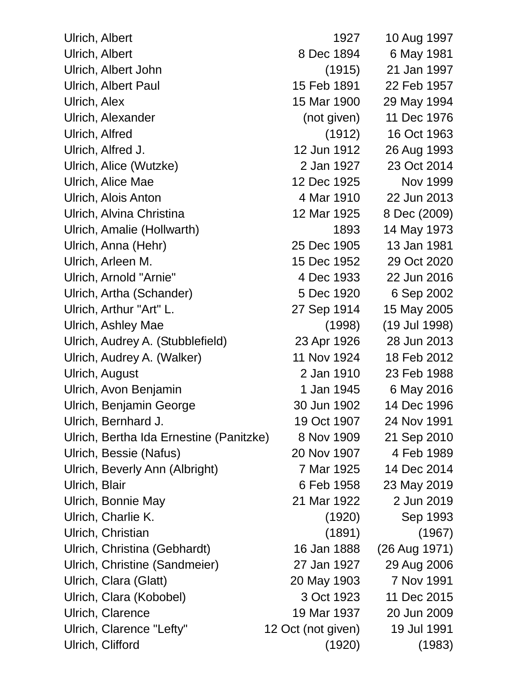| Ulrich, Albert                          | 1927               | 10 Aug 1997   |
|-----------------------------------------|--------------------|---------------|
| Ulrich, Albert                          | 8 Dec 1894         | 6 May 1981    |
| Ulrich, Albert John                     | (1915)             | 21 Jan 1997   |
| Ulrich, Albert Paul                     | 15 Feb 1891        | 22 Feb 1957   |
| Ulrich, Alex                            | 15 Mar 1900        | 29 May 1994   |
| Ulrich, Alexander                       | (not given)        | 11 Dec 1976   |
| Ulrich, Alfred                          | (1912)             | 16 Oct 1963   |
| Ulrich, Alfred J.                       | 12 Jun 1912        | 26 Aug 1993   |
| Ulrich, Alice (Wutzke)                  | 2 Jan 1927         | 23 Oct 2014   |
| Ulrich, Alice Mae                       | 12 Dec 1925        | Nov 1999      |
| Ulrich, Alois Anton                     | 4 Mar 1910         | 22 Jun 2013   |
| Ulrich, Alvina Christina                | 12 Mar 1925        | 8 Dec (2009)  |
| Ulrich, Amalie (Hollwarth)              | 1893               | 14 May 1973   |
| Ulrich, Anna (Hehr)                     | 25 Dec 1905        | 13 Jan 1981   |
| Ulrich, Arleen M.                       | 15 Dec 1952        | 29 Oct 2020   |
| Ulrich, Arnold "Arnie"                  | 4 Dec 1933         | 22 Jun 2016   |
| Ulrich, Artha (Schander)                | 5 Dec 1920         | 6 Sep 2002    |
| Ulrich, Arthur "Art" L.                 | 27 Sep 1914        | 15 May 2005   |
| Ulrich, Ashley Mae                      | (1998)             | (19 Jul 1998) |
| Ulrich, Audrey A. (Stubblefield)        | 23 Apr 1926        | 28 Jun 2013   |
| Ulrich, Audrey A. (Walker)              | 11 Nov 1924        | 18 Feb 2012   |
| Ulrich, August                          | 2 Jan 1910         | 23 Feb 1988   |
| Ulrich, Avon Benjamin                   | 1 Jan 1945         | 6 May 2016    |
| Ulrich, Benjamin George                 | 30 Jun 1902        | 14 Dec 1996   |
| Ulrich, Bernhard J.                     | 19 Oct 1907        | 24 Nov 1991   |
| Ulrich, Bertha Ida Ernestine (Panitzke) | 8 Nov 1909         | 21 Sep 2010   |
| Ulrich, Bessie (Nafus)                  | 20 Nov 1907        | 4 Feb 1989    |
| Ulrich, Beverly Ann (Albright)          | 7 Mar 1925         | 14 Dec 2014   |
| Ulrich, Blair                           | 6 Feb 1958         | 23 May 2019   |
| Ulrich, Bonnie May                      | 21 Mar 1922        | 2 Jun 2019    |
| Ulrich, Charlie K.                      | (1920)             | Sep 1993      |
| Ulrich, Christian                       | (1891)             | (1967)        |
| Ulrich, Christina (Gebhardt)            | 16 Jan 1888        | (26 Aug 1971) |
| Ulrich, Christine (Sandmeier)           | 27 Jan 1927        | 29 Aug 2006   |
| Ulrich, Clara (Glatt)                   | 20 May 1903        | 7 Nov 1991    |
| Ulrich, Clara (Kobobel)                 | 3 Oct 1923         | 11 Dec 2015   |
| Ulrich, Clarence                        | 19 Mar 1937        | 20 Jun 2009   |
| Ulrich, Clarence "Lefty"                | 12 Oct (not given) | 19 Jul 1991   |
| Ulrich, Clifford                        | (1920)             | (1983)        |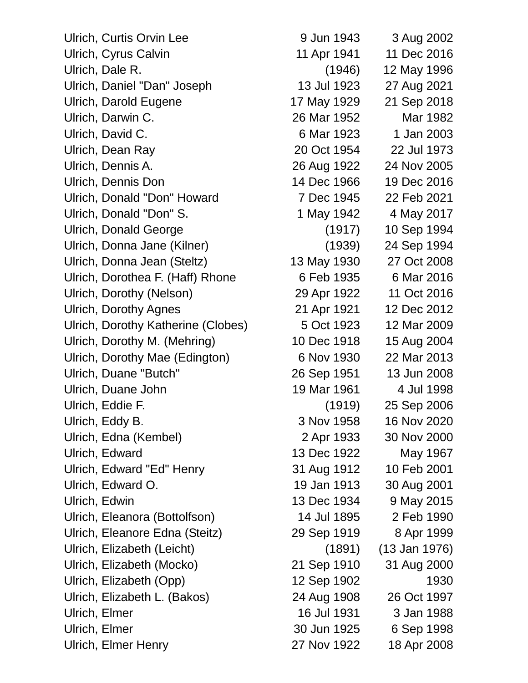| Ulrich, Curtis Orvin Lee           | 9 Jun 1943  | 3 Aug 2002      |
|------------------------------------|-------------|-----------------|
| Ulrich, Cyrus Calvin               | 11 Apr 1941 | 11 Dec 2016     |
| Ulrich, Dale R.                    | (1946)      | 12 May 1996     |
| Ulrich, Daniel "Dan" Joseph        | 13 Jul 1923 | 27 Aug 2021     |
| <b>Ulrich, Darold Eugene</b>       | 17 May 1929 | 21 Sep 2018     |
| Ulrich, Darwin C.                  | 26 Mar 1952 | Mar 1982        |
| Ulrich, David C.                   | 6 Mar 1923  | 1 Jan 2003      |
| Ulrich, Dean Ray                   | 20 Oct 1954 | 22 Jul 1973     |
| Ulrich, Dennis A.                  | 26 Aug 1922 | 24 Nov 2005     |
| Ulrich, Dennis Don                 | 14 Dec 1966 | 19 Dec 2016     |
| Ulrich, Donald "Don" Howard        | 7 Dec 1945  | 22 Feb 2021     |
| Ulrich, Donald "Don" S.            | 1 May 1942  | 4 May 2017      |
| <b>Ulrich, Donald George</b>       | (1917)      | 10 Sep 1994     |
| Ulrich, Donna Jane (Kilner)        | (1939)      | 24 Sep 1994     |
| Ulrich, Donna Jean (Steltz)        | 13 May 1930 | 27 Oct 2008     |
| Ulrich, Dorothea F. (Haff) Rhone   | 6 Feb 1935  | 6 Mar 2016      |
| Ulrich, Dorothy (Nelson)           | 29 Apr 1922 | 11 Oct 2016     |
| <b>Ulrich, Dorothy Agnes</b>       | 21 Apr 1921 | 12 Dec 2012     |
| Ulrich, Dorothy Katherine (Clobes) | 5 Oct 1923  | 12 Mar 2009     |
| Ulrich, Dorothy M. (Mehring)       | 10 Dec 1918 | 15 Aug 2004     |
| Ulrich, Dorothy Mae (Edington)     | 6 Nov 1930  | 22 Mar 2013     |
| Ulrich, Duane "Butch"              | 26 Sep 1951 | 13 Jun 2008     |
| Ulrich, Duane John                 | 19 Mar 1961 | 4 Jul 1998      |
| Ulrich, Eddie F.                   | (1919)      | 25 Sep 2006     |
| Ulrich, Eddy B.                    | 3 Nov 1958  | 16 Nov 2020     |
| Ulrich, Edna (Kembel)              | 2 Apr 1933  | 30 Nov 2000     |
| Ulrich, Edward                     | 13 Dec 1922 | May 1967        |
| Ulrich, Edward "Ed" Henry          | 31 Aug 1912 | 10 Feb 2001     |
| Ulrich, Edward O.                  | 19 Jan 1913 | 30 Aug 2001     |
| Ulrich, Edwin                      | 13 Dec 1934 | 9 May 2015      |
| Ulrich, Eleanora (Bottolfson)      | 14 Jul 1895 | 2 Feb 1990      |
| Ulrich, Eleanore Edna (Steitz)     | 29 Sep 1919 | 8 Apr 1999      |
| Ulrich, Elizabeth (Leicht)         | (1891)      | $(13$ Jan 1976) |
| Ulrich, Elizabeth (Mocko)          | 21 Sep 1910 | 31 Aug 2000     |
| Ulrich, Elizabeth (Opp)            | 12 Sep 1902 | 1930            |
| Ulrich, Elizabeth L. (Bakos)       | 24 Aug 1908 | 26 Oct 1997     |
| Ulrich, Elmer                      | 16 Jul 1931 | 3 Jan 1988      |
| Ulrich, Elmer                      | 30 Jun 1925 | 6 Sep 1998      |
| Ulrich, Elmer Henry                | 27 Nov 1922 | 18 Apr 2008     |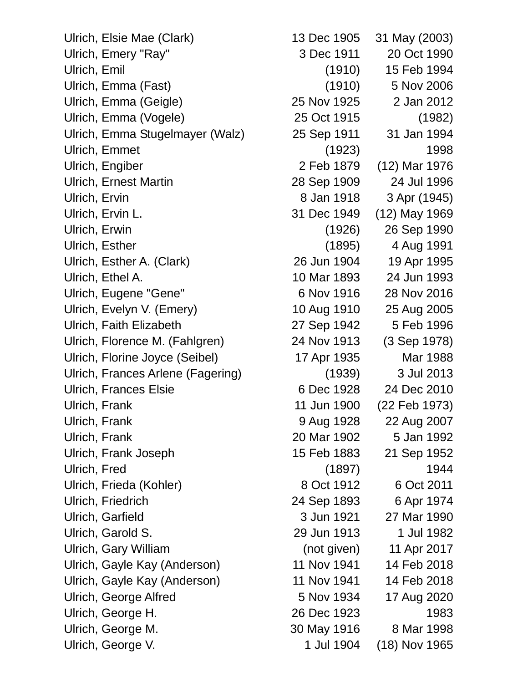Ulrich, Elsie Mae (Clark) 13 Dec 1905 31 May (2003) Ulrich, Emery "Ray" 3 Dec 1911 20 Oct 1990 Ulrich, Emil (1910) 15 Feb 1994 Ulrich, Emma (Fast) (1910) 5 Nov 2006 Ulrich, Emma (Geigle) 25 Nov 1925 2 Jan 2012 Ulrich, Emma (Vogele) 25 Oct 1915 (1982) Ulrich, Emma Stugelmayer (Walz) 25 Sep 1911 31 Jan 1994 Ulrich, Emmet (1923) 1998 Ulrich, Engiber 2 Feb 1879 (12) Mar 1976 Ulrich, Ernest Martin 28 Sep 1909 24 Jul 1996 Ulrich, Ervin 8 Jan 1918 3 Apr (1945) Ulrich, Ervin L. 31 Dec 1949 (12) May 1969 Ulrich, Erwin (1926) 26 Sep 1990 Ulrich, Esther (1895) 4 Aug 1991 Ulrich, Esther A. (Clark) 26 Jun 1904 19 Apr 1995 Ulrich, Ethel A. 10 Mar 1893 24 Jun 1993 Ulrich, Eugene "Gene" 6 Nov 1916 28 Nov 2016 Ulrich, Evelyn V. (Emery) 10 Aug 1910 25 Aug 2005 Ulrich, Faith Elizabeth 27 Sep 1942 5 Feb 1996 Ulrich, Florence M. (Fahlgren) 24 Nov 1913 (3 Sep 1978) Ulrich, Florine Joyce (Seibel) 17 Apr 1935 Mar 1988 Ulrich, Frances Arlene (Fagering) (1939) 3 Jul 2013 Ulrich, Frances Elsie 6 Dec 1928 24 Dec 2010 Ulrich, Frank 11 Jun 1900 (22 Feb 1973) Ulrich, Frank 9 Aug 1928 22 Aug 2007 Ulrich, Frank 20 Mar 1902 5 Jan 1992 Ulrich, Frank Joseph 15 Feb 1883 21 Sep 1952 Ulrich, Fred (1897) 1944 Ulrich, Frieda (Kohler) 8 Oct 1912 6 Oct 2011 Ulrich, Friedrich 24 Sep 1893 6 Apr 1974 Ulrich, Garfield 3 Jun 1921 27 Mar 1990 Ulrich, Garold S. 29 Jun 1913 1 Jul 1982 Ulrich, Gary William (not given) 11 Apr 2017 Ulrich, Gayle Kay (Anderson) 11 Nov 1941 14 Feb 2018 Ulrich, Gayle Kay (Anderson) 11 Nov 1941 14 Feb 2018 Ulrich, George Alfred 5 Nov 1934 17 Aug 2020 Ulrich, George H. 26 Dec 1923 1983 Ulrich, George M. 30 May 1916 8 Mar 1998 Ulrich, George V. 1 1 Jul 1904 (18) Nov 1965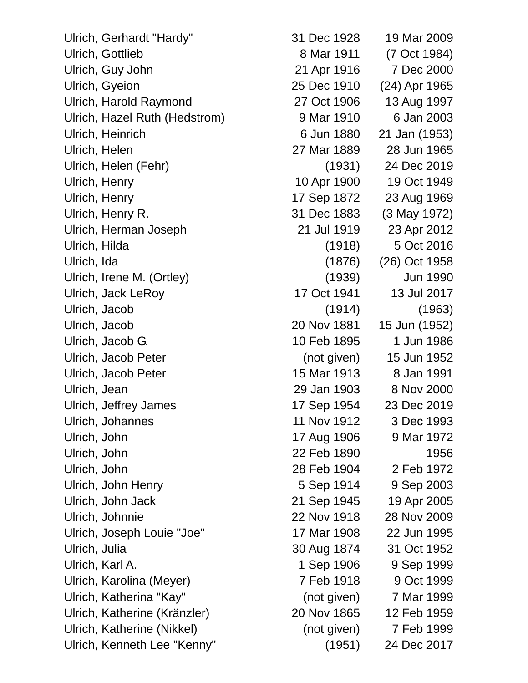Ulrich, Gyeion 25 Dec 1910 (24) Apr 1965 Ulrich, Harold Raymond 27 Oct 1906 13 Aug 1997 Ulrich, Hazel Ruth (Hedstrom) 9 Mar 1910 6 Jan 2003 Ulrich, Heinrich 6 Jun 1880 21 Jan (1953) Ulrich, Helen 27 Mar 1889 28 Jun 1965 Ulrich, Helen (Fehr) (1931) 24 Dec 2019 Ulrich, Henry 10 Apr 1900 19 Oct 1949 Ulrich, Henry 17 Sep 1872 23 Aug 1969 Ulrich, Herman Joseph 21 Jul 1919 23 Apr 2012 Ulrich, Hilda (1918) 5 Oct 2016 Ulrich, Jack LeRoy 17 Oct 1941 13 Jul 2017 Ulrich, Jacob Peter (not given) 15 Jun 1952 Ulrich, Jacob Peter 15 Mar 1913 8 Jan 1991 Ulrich, Jean 29 Jan 1903 8 Nov 2000 Ulrich, Jeffrey James 17 Sep 1954 23 Dec 2019 Ulrich, John 17 Aug 1906 9 Mar 1972 Ulrich, John 22 Feb 1890 1956 Ulrich, John 28 Feb 1904 2 Feb 1972 Ulrich, John Jack 21 Sep 1945 19 Apr 2005 Ulrich, Johnnie 22 Nov 1918 28 Nov 2009 Ulrich, Joseph Louie "Joe" 17 Mar 1908 22 Jun 1995 Ulrich, Julia 30 Aug 1874 31 Oct 1952 Ulrich, Karl A. 1 Sep 1906 9 Sep 1999 Ulrich, Katherine (Kränzler) 20 Nov 1865 12 Feb 1959 Ulrich, Katherine (Nikkel) (not given) 7 Feb 1999

Ulrich, Gerhardt "Hardy" 31 Dec 1928 19 Mar 2009 Ulrich, Gottlieb 8 Mar 1911 (7 Oct 1984) Ulrich, Guy John 21 Apr 1916 7 Dec 2000 Ulrich, Henry R. 31 Dec 1883 (3 May 1972) Ulrich, Ida (1876) (26) Oct 1958 Ulrich, Irene M. (Ortley) (1939) Jun 1990 Ulrich, Jacob (1914) (1963) Ulrich, Jacob 20 Nov 1881 15 Jun (1952) Ulrich, Jacob G. 10 Feb 1895 1 Jun 1986 Ulrich, Johannes 11 Nov 1912 3 Dec 1993 Ulrich, John Henry 5 Sep 1914 9 Sep 2003 Ulrich, Karolina (Meyer) 7 Feb 1918 9 Oct 1999 Ulrich, Katherina "Kay" (not given) 7 Mar 1999 Ulrich, Kenneth Lee "Kenny" (1951) 24 Dec 2017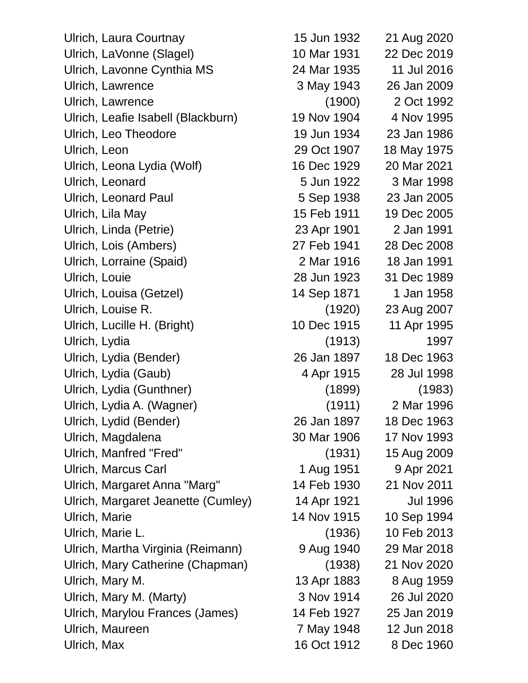Ulrich, Laura Courtnay 15 Jun 1932 21 Aug 2020 Ulrich, LaVonne (Slagel) 10 Mar 1931 22 Dec 2019 Ulrich, Lavonne Cynthia MS 24 Mar 1935 11 Jul 2016 Ulrich, Lawrence 3 May 1943 26 Jan 2009 Ulrich, Lawrence (1900) 2 Oct 1992 Ulrich, Leafie Isabell (Blackburn) 19 Nov 1904 4 Nov 1995 Ulrich, Leo Theodore 19 Jun 1934 23 Jan 1986 Ulrich, Leon 29 Oct 1907 18 May 1975 Ulrich, Leona Lydia (Wolf) 16 Dec 1929 20 Mar 2021 Ulrich, Leonard 5 Jun 1922 3 Mar 1998 Ulrich, Leonard Paul 5 Sep 1938 23 Jan 2005 Ulrich, Lila May 15 Feb 1911 19 Dec 2005 Ulrich, Linda (Petrie) 23 Apr 1901 2 Jan 1991 Ulrich, Lois (Ambers) 27 Feb 1941 28 Dec 2008 Ulrich, Lorraine (Spaid) 2 Mar 1916 18 Jan 1991 Ulrich, Louie 28 Jun 1923 31 Dec 1989 Ulrich, Louisa (Getzel) 14 Sep 1871 1 Jan 1958 Ulrich, Louise R. (1920) 23 Aug 2007 Ulrich, Lucille H. (Bright) 10 Dec 1915 11 Apr 1995 Ulrich, Lydia (1913) 1997 Ulrich, Lydia (Bender) 26 Jan 1897 18 Dec 1963 Ulrich, Lydia (Gaub) 4 Apr 1915 28 Jul 1998 Ulrich, Lydia (Gunthner) (1899) (1983) Ulrich, Lydia A. (Wagner) (1911) 2 Mar 1996 Ulrich, Lydid (Bender) 26 Jan 1897 18 Dec 1963 Ulrich, Magdalena 30 Mar 1906 17 Nov 1993 Ulrich, Manfred "Fred" (1931) 15 Aug 2009 Ulrich, Marcus Carl 1 Aug 1951 9 Apr 2021 Ulrich, Margaret Anna "Marg" 14 Feb 1930 21 Nov 2011 Ulrich, Margaret Jeanette (Cumley) 14 Apr 1921 Jul 1996 Ulrich, Marie 14 Nov 1915 10 Sep 1994 Ulrich, Marie L. (1936) 10 Feb 2013 Ulrich, Martha Virginia (Reimann) 9 Aug 1940 29 Mar 2018 Ulrich, Mary Catherine (Chapman) (1938) 21 Nov 2020 Ulrich, Mary M. 13 Apr 1883 8 Aug 1959 Ulrich, Mary M. (Marty) 3 Nov 1914 26 Jul 2020 Ulrich, Marylou Frances (James) 14 Feb 1927 25 Jan 2019 Ulrich, Maureen 7 May 1948 12 Jun 2018 Ulrich, Max 16 Oct 1912 8 Dec 1960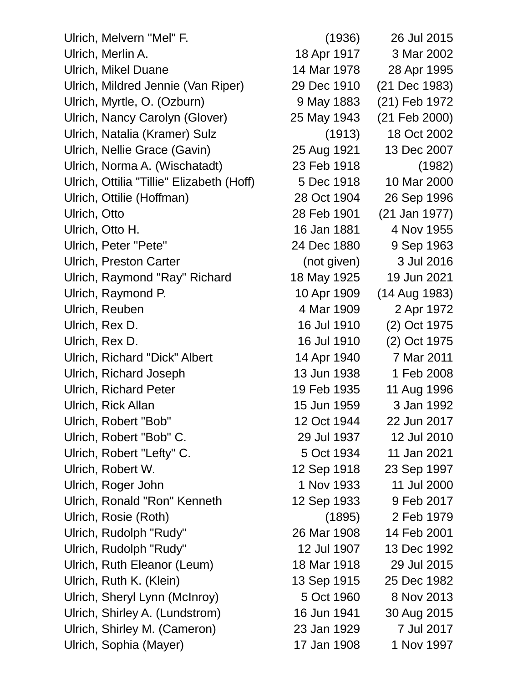Ulrich, Melvern "Mel" F. (1936) 26 Jul 2015 Ulrich, Merlin A. 18 Apr 1917 3 Mar 2002 Ulrich, Mikel Duane 14 Mar 1978 28 Apr 1995 Ulrich, Mildred Jennie (Van Riper) 29 Dec 1910 (21 Dec 1983) Ulrich, Myrtle, O. (Ozburn) 9 May 1883 (21) Feb 1972 Ulrich, Nancy Carolyn (Glover) 25 May 1943 (21 Feb 2000) Ulrich, Natalia (Kramer) Sulz (1913) 18 Oct 2002 Ulrich, Nellie Grace (Gavin) 25 Aug 1921 13 Dec 2007 Ulrich, Norma A. (Wischatadt) 23 Feb 1918 (1982) Ulrich, Ottilia "Tillie" Elizabeth (Hoff) 5 Dec 1918 10 Mar 2000 Ulrich, Ottilie (Hoffman) 28 Oct 1904 26 Sep 1996 Ulrich, Otto 28 Feb 1901 (21 Jan 1977) Ulrich, Otto H. 16 Jan 1881 4 Nov 1955 Ulrich, Peter "Pete" 24 Dec 1880 9 Sep 1963 Ulrich, Preston Carter (not given) 3 Jul 2016 Ulrich, Raymond "Ray" Richard 18 May 1925 19 Jun 2021 Ulrich, Raymond P. 10 Apr 1909 (14 Aug 1983) Ulrich, Reuben 1972 Ulrich, Rex D. 16 Jul 1910 (2) Oct 1975 Ulrich, Rex D. 16 Jul 1910 (2) Oct 1975 Ulrich, Richard "Dick" Albert 14 Apr 1940 7 Mar 2011 Ulrich, Richard Joseph 13 Jun 1938 1 Feb 2008 Ulrich, Richard Peter 19 Feb 1935 11 Aug 1996 Ulrich, Rick Allan 15 Jun 1959 3 Jan 1992 Ulrich, Robert "Bob" 12 Oct 1944 22 Jun 2017 Ulrich, Robert "Bob" C. 29 Jul 1937 12 Jul 2010 Ulrich, Robert "Lefty" C. 5 Oct 1934 11 Jan 2021 Ulrich, Robert W. 12 Sep 1918 23 Sep 1997 Ulrich, Roger John 1 Nov 1933 11 Jul 2000 Ulrich, Ronald "Ron" Kenneth 12 Sep 1933 9 Feb 2017 Ulrich, Rosie (Roth) (1895) 2 Feb 1979 Ulrich, Rudolph "Rudy" 26 Mar 1908 14 Feb 2001 Ulrich, Rudolph "Rudy" 12 Jul 1907 13 Dec 1992 Ulrich, Ruth Eleanor (Leum) 18 Mar 1918 29 Jul 2015 Ulrich, Ruth K. (Klein) 13 Sep 1915 25 Dec 1982 Ulrich, Sheryl Lynn (McInroy) 5 Oct 1960 8 Nov 2013 Ulrich, Shirley A. (Lundstrom) 16 Jun 1941 30 Aug 2015 Ulrich, Shirley M. (Cameron) 23 Jan 1929 7 Jul 2017 Ulrich, Sophia (Mayer) 17 Jan 1908 1 Nov 1997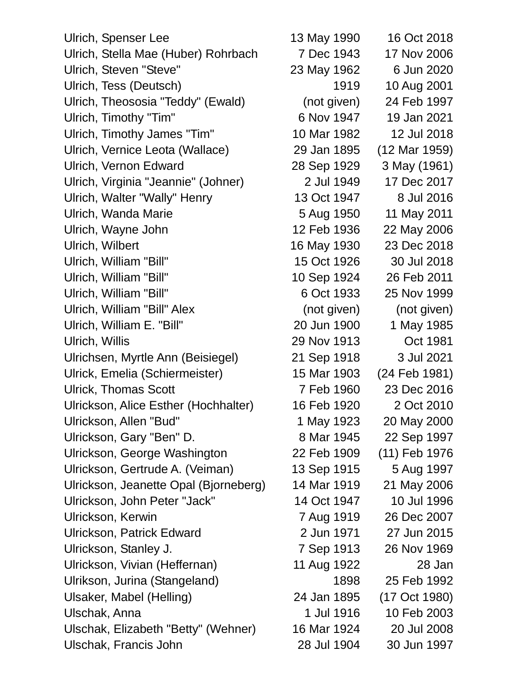Ulrich, Spenser Lee 13 May 1990 16 Oct 2018 Ulrich, Stella Mae (Huber) Rohrbach 7 Dec 1943 17 Nov 2006 Ulrich, Steven "Steve" 23 May 1962 6 Jun 2020 Ulrich, Tess (Deutsch) 1919 10 Aug 2001 Ulrich, Theososia "Teddy" (Ewald) (not given) 24 Feb 1997 Ulrich, Timothy "Tim" 6 Nov 1947 19 Jan 2021 Ulrich, Timothy James "Tim" 10 Mar 1982 12 Jul 2018 Ulrich, Vernice Leota (Wallace) 29 Jan 1895 (12 Mar 1959) Ulrich, Vernon Edward 28 Sep 1929 3 May (1961) Ulrich, Virginia "Jeannie" (Johner) 2 Jul 1949 17 Dec 2017 Ulrich, Walter "Wally" Henry 13 Oct 1947 8 Jul 2016 Ulrich, Wanda Marie **5 Aug 1950** 11 May 2011 Ulrich, Wayne John 12 Feb 1936 22 May 2006 Ulrich, Wilbert 16 May 1930 23 Dec 2018 Ulrich, William "Bill" 15 Oct 1926 30 Jul 2018 Ulrich, William "Bill" 10 Sep 1924 26 Feb 2011 Ulrich, William "Bill" 6 Oct 1933 25 Nov 1999 Ulrich, William "Bill" Alex (not given) (not given) Ulrich, William E. "Bill" 20 Jun 1900 1 May 1985 Ulrich, Willis 29 Nov 1913 Oct 1981 Ulrichsen, Myrtle Ann (Beisiegel) 21 Sep 1918 3 Jul 2021 Ulrick, Emelia (Schiermeister) 15 Mar 1903 (24 Feb 1981) Ulrick, Thomas Scott 7 Feb 1960 23 Dec 2016 Ulrickson, Alice Esther (Hochhalter) 16 Feb 1920 2 Oct 2010 Ulrickson, Allen "Bud" 1 May 1923 20 May 2000 Ulrickson, Gary "Ben" D. 8 Mar 1945 22 Sep 1997 Ulrickson, George Washington 22 Feb 1909 (11) Feb 1976 Ulrickson, Gertrude A. (Veiman) 13 Sep 1915 5 Aug 1997 Ulrickson, Jeanette Opal (Bjorneberg) 14 Mar 1919 21 May 2006 Ulrickson, John Peter "Jack" 14 Oct 1947 10 Jul 1996 Ulrickson, Kerwin 7 Aug 1919 26 Dec 2007 Ulrickson, Patrick Edward 2 Jun 1971 27 Jun 2015 Ulrickson, Stanley J. 7 Sep 1913 26 Nov 1969 Ulrickson, Vivian (Heffernan) 11 Aug 1922 28 Jan Ulrikson, Jurina (Stangeland) 1898 25 Feb 1992 Ulsaker, Mabel (Helling) 24 Jan 1895 (17 Oct 1980) Ulschak, Anna 1 Jul 1916 10 Feb 2003 Ulschak, Elizabeth "Betty" (Wehner) 16 Mar 1924 20 Jul 2008 Ulschak, Francis John 28 Jul 1904 30 Jun 1997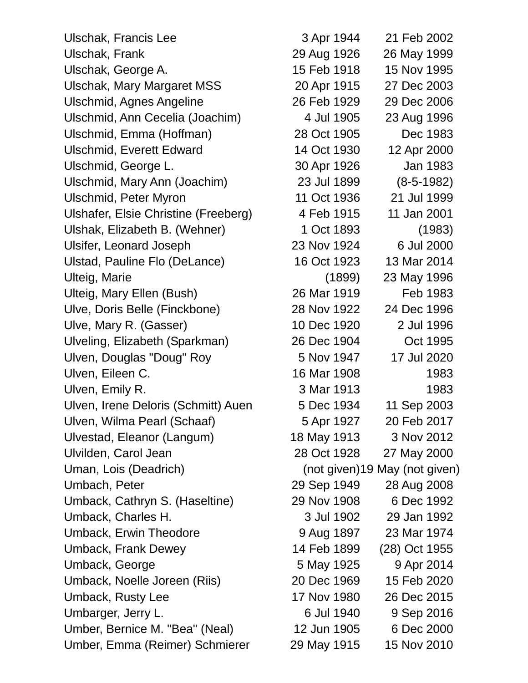Ulschak, Francis Lee 3 Apr 1944 21 Feb 2002 Ulschak, Frank 29 Aug 1926 26 May 1999 Ulschak, George A. 15 Feb 1918 15 Nov 1995 Ulschak, Mary Margaret MSS 20 Apr 1915 27 Dec 2003 Ulschmid, Agnes Angeline 26 Feb 1929 29 Dec 2006 Ulschmid, Ann Cecelia (Joachim) 4 Jul 1905 23 Aug 1996 Ulschmid, Emma (Hoffman) 28 Oct 1905 Dec 1983 Ulschmid, Everett Edward 14 Oct 1930 12 Apr 2000 Ulschmid, George L. 30 Apr 1926 Jan 1983 Ulschmid, Mary Ann (Joachim) 23 Jul 1899 (8-5-1982) Ulschmid, Peter Myron 11 Oct 1936 21 Jul 1999 Ulshafer, Elsie Christine (Freeberg) 4 Feb 1915 11 Jan 2001 Ulshak, Elizabeth B. (Wehner) 1 Oct 1893 (1983) Ulsifer, Leonard Joseph 23 Nov 1924 6 Jul 2000 Ulstad, Pauline Flo (DeLance) 16 Oct 1923 13 Mar 2014 Ulteig, Marie (1899) 23 May 1996 Ulteig, Mary Ellen (Bush) 26 Mar 1919 Feb 1983 Ulve, Doris Belle (Finckbone) 28 Nov 1922 24 Dec 1996 Ulve, Mary R. (Gasser) 10 Dec 1920 2 Jul 1996 Ulveling, Elizabeth (Sparkman) 26 Dec 1904 Oct 1995 Ulven, Douglas "Doug" Roy **5 Nov 1947** 17 Jul 2020 Ulven, Eileen C. 16 Mar 1908 1983 Ulven, Emily R. (1983) 3 Mar 1913 1983 Ulven, Irene Deloris (Schmitt) Auen 5 Dec 1934 11 Sep 2003 Ulven, Wilma Pearl (Schaaf) 5 Apr 1927 20 Feb 2017 Ulvestad, Eleanor (Langum) 18 May 1913 3 Nov 2012 Ulvilden, Carol Jean 28 Oct 1928 27 May 2000 Uman, Lois (Deadrich) (not given)19 May (not given) Umbach, Peter 29 Sep 1949 28 Aug 2008 Umback, Cathryn S. (Haseltine) 29 Nov 1908 6 Dec 1992 Umback, Charles H. 3 Jul 1902 29 Jan 1992 Umback, Erwin Theodore 9 Aug 1897 23 Mar 1974 Umback, Frank Dewey 14 Feb 1899 (28) Oct 1955 Umback, George 6 1925 1925 1980 1925 1980 1925 1980 1925 1926 1931 1926 1931 1926 1931 1932 1933 1934 1935 19 Umback, Noelle Joreen (Riis) 20 Dec 1969 15 Feb 2020 Umback, Rusty Lee 17 Nov 1980 26 Dec 2015 Umbarger, Jerry L. 6 Jul 1940 9 Sep 2016 Umber, Bernice M. "Bea" (Neal) 12 Jun 1905 6 Dec 2000 Umber, Emma (Reimer) Schmierer 29 May 1915 15 Nov 2010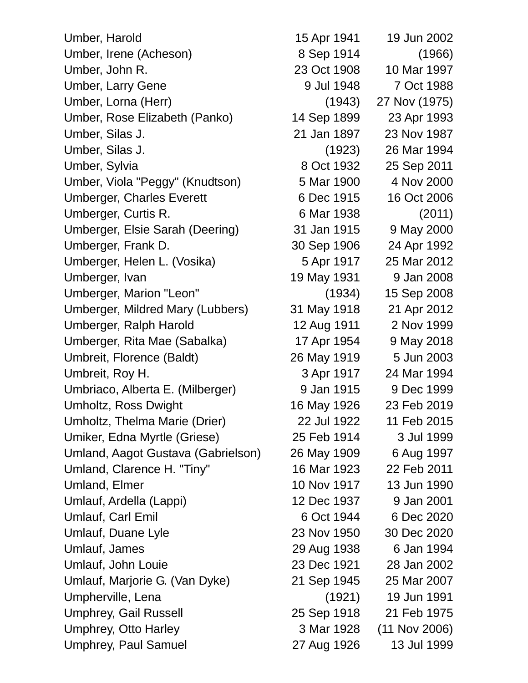Umber, Harold 15 Apr 1941 19 Jun 2002 Umber, Irene (Acheson) 8 Sep 1914 (1966) Umber, John R. 23 Oct 1908 10 Mar 1997 Umber, Larry Gene 1988 1990 9 Jul 1948 1988 Umber, Lorna (Herr) (1943) 27 Nov (1975) Umber, Rose Elizabeth (Panko) 14 Sep 1899 23 Apr 1993 Umber, Silas J. 21 Jan 1897 23 Nov 1987 Umber, Silas J. (1923) 26 Mar 1994 Umber, Sylvia 8 Oct 1932 25 Sep 2011 Umber, Viola "Peggy" (Knudtson) 5 Mar 1900 4 Nov 2000 Umberger, Charles Everett 6 Dec 1915 16 Oct 2006 Umberger, Curtis R. 6 Mar 1938 (2011) Umberger, Elsie Sarah (Deering) 31 Jan 1915 9 May 2000 Umberger, Frank D. 30 Sep 1906 24 Apr 1992 Umberger, Helen L. (Vosika) 5 Apr 1917 25 Mar 2012 Umberger, Ivan 19 May 1931 9 Jan 2008 Umberger, Marion "Leon" (1934) 15 Sep 2008 Umberger, Mildred Mary (Lubbers) 31 May 1918 21 Apr 2012 Umberger, Ralph Harold 12 Aug 1911 2 Nov 1999 Umberger, Rita Mae (Sabalka) 17 Apr 1954 9 May 2018 Umbreit, Florence (Baldt) 26 May 1919 5 Jun 2003 Umbreit, Roy H. 3 Apr 1917 24 Mar 1994 Umbriaco, Alberta E. (Milberger) 9 Jan 1915 9 Dec 1999 Umholtz, Ross Dwight 16 May 1926 23 Feb 2019 Umholtz, Thelma Marie (Drier) 22 Jul 1922 11 Feb 2015 Umiker, Edna Myrtle (Griese) 25 Feb 1914 3 Jul 1999 Umland, Aagot Gustava (Gabrielson) 26 May 1909 6 Aug 1997 Umland, Clarence H. "Tiny" 16 Mar 1923 22 Feb 2011 Umland, Elmer 10 Nov 1917 13 Jun 1990 Umlauf, Ardella (Lappi) 12 Dec 1937 9 Jan 2001 Umlauf, Carl Emil 6 Oct 1944 6 Dec 2020 Umlauf, Duane Lyle 2020 23 Nov 1950 30 Dec 2020 Umlauf, James 29 Aug 1938 6 Jan 1994 Umlauf, John Louie 23 Dec 1921 28 Jan 2002 Umlauf, Marjorie G. (Van Dyke) 21 Sep 1945 25 Mar 2007 Umpherville, Lena (1921) 19 Jun 1991 Umphrey, Gail Russell 25 Sep 1918 21 Feb 1975 Umphrey, Otto Harley 3 Mar 1928 (11 Nov 2006)

Umphrey, Paul Samuel 27 Aug 1926 13 Jul 1999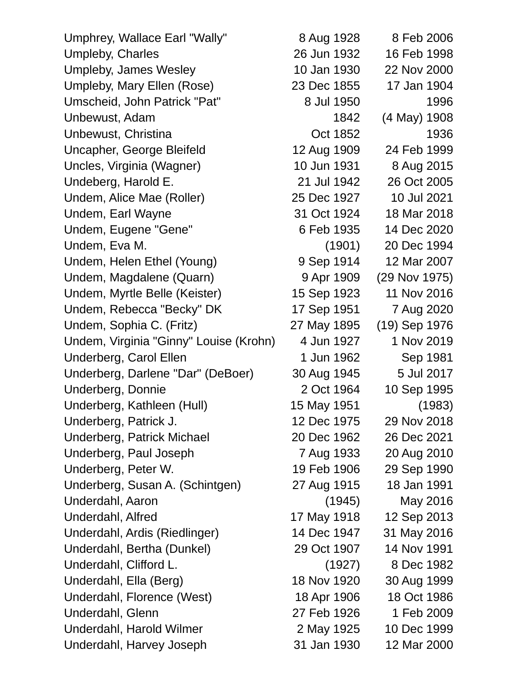| Umphrey, Wallace Earl "Wally"          | 8 Aug 1928  | 8 Feb 2006    |
|----------------------------------------|-------------|---------------|
| Umpleby, Charles                       | 26 Jun 1932 | 16 Feb 1998   |
| Umpleby, James Wesley                  | 10 Jan 1930 | 22 Nov 2000   |
| Umpleby, Mary Ellen (Rose)             | 23 Dec 1855 | 17 Jan 1904   |
| Umscheid, John Patrick "Pat"           | 8 Jul 1950  | 1996          |
| Unbewust, Adam                         | 1842        | (4 May) 1908  |
| Unbewust, Christina                    | Oct 1852    | 1936          |
| Uncapher, George Bleifeld              | 12 Aug 1909 | 24 Feb 1999   |
| Uncles, Virginia (Wagner)              | 10 Jun 1931 | 8 Aug 2015    |
| Undeberg, Harold E.                    | 21 Jul 1942 | 26 Oct 2005   |
| Undem, Alice Mae (Roller)              | 25 Dec 1927 | 10 Jul 2021   |
| Undem, Earl Wayne                      | 31 Oct 1924 | 18 Mar 2018   |
| Undem, Eugene "Gene"                   | 6 Feb 1935  | 14 Dec 2020   |
| Undem, Eva M.                          | (1901)      | 20 Dec 1994   |
| Undem, Helen Ethel (Young)             | 9 Sep 1914  | 12 Mar 2007   |
| Undem, Magdalene (Quarn)               | 9 Apr 1909  | (29 Nov 1975) |
| Undem, Myrtle Belle (Keister)          | 15 Sep 1923 | 11 Nov 2016   |
| Undem, Rebecca "Becky" DK              | 17 Sep 1951 | 7 Aug 2020    |
| Undem, Sophia C. (Fritz)               | 27 May 1895 | (19) Sep 1976 |
| Undem, Virginia "Ginny" Louise (Krohn) | 4 Jun 1927  | 1 Nov 2019    |
| Underberg, Carol Ellen                 | 1 Jun 1962  | Sep 1981      |
| Underberg, Darlene "Dar" (DeBoer)      | 30 Aug 1945 | 5 Jul 2017    |
| Underberg, Donnie                      | 2 Oct 1964  | 10 Sep 1995   |
| Underberg, Kathleen (Hull)             | 15 May 1951 | (1983)        |
| Underberg, Patrick J.                  | 12 Dec 1975 | 29 Nov 2018   |
| Underberg, Patrick Michael             | 20 Dec 1962 | 26 Dec 2021   |
| Underberg, Paul Joseph                 | 7 Aug 1933  | 20 Aug 2010   |
| Underberg, Peter W.                    | 19 Feb 1906 | 29 Sep 1990   |
| Underberg, Susan A. (Schintgen)        | 27 Aug 1915 | 18 Jan 1991   |
| Underdahl, Aaron                       | (1945)      | May 2016      |
| Underdahl, Alfred                      | 17 May 1918 | 12 Sep 2013   |
| Underdahl, Ardis (Riedlinger)          | 14 Dec 1947 | 31 May 2016   |
| Underdahl, Bertha (Dunkel)             | 29 Oct 1907 | 14 Nov 1991   |
| Underdahl, Clifford L.                 | (1927)      | 8 Dec 1982    |
| Underdahl, Ella (Berg)                 | 18 Nov 1920 | 30 Aug 1999   |
| Underdahl, Florence (West)             | 18 Apr 1906 | 18 Oct 1986   |
| Underdahl, Glenn                       | 27 Feb 1926 | 1 Feb 2009    |
| Underdahl, Harold Wilmer               | 2 May 1925  | 10 Dec 1999   |
| Underdahl, Harvey Joseph               | 31 Jan 1930 | 12 Mar 2000   |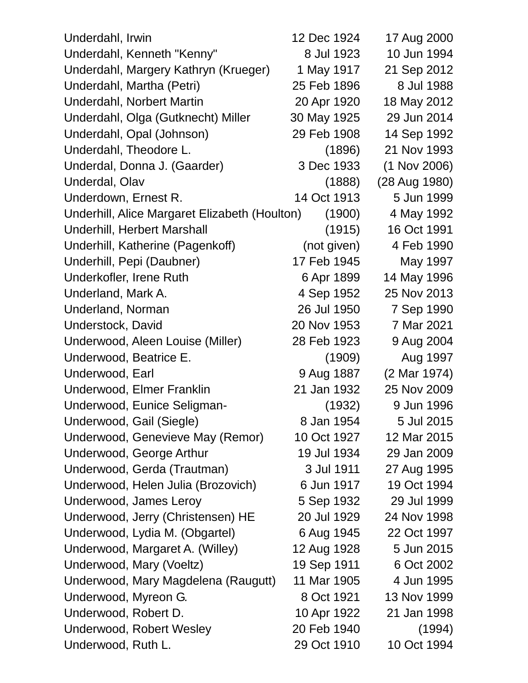| Underdahl, Irwin                              | 12 Dec 1924 | 17 Aug 2000    |
|-----------------------------------------------|-------------|----------------|
| Underdahl, Kenneth "Kenny"                    | 8 Jul 1923  | 10 Jun 1994    |
| Underdahl, Margery Kathryn (Krueger)          | 1 May 1917  | 21 Sep 2012    |
| Underdahl, Martha (Petri)                     | 25 Feb 1896 | 8 Jul 1988     |
| Underdahl, Norbert Martin                     | 20 Apr 1920 | 18 May 2012    |
| Underdahl, Olga (Gutknecht) Miller            | 30 May 1925 | 29 Jun 2014    |
| Underdahl, Opal (Johnson)                     | 29 Feb 1908 | 14 Sep 1992    |
| Underdahl, Theodore L.                        | (1896)      | 21 Nov 1993    |
| Underdal, Donna J. (Gaarder)                  | 3 Dec 1933  | $(1$ Nov 2006) |
| Underdal, Olav                                | (1888)      | (28 Aug 1980)  |
| Underdown, Ernest R.                          | 14 Oct 1913 | 5 Jun 1999     |
| Underhill, Alice Margaret Elizabeth (Houlton) | (1900)      | 4 May 1992     |
| Underhill, Herbert Marshall                   | (1915)      | 16 Oct 1991    |
| Underhill, Katherine (Pagenkoff)              | (not given) | 4 Feb 1990     |
| Underhill, Pepi (Daubner)                     | 17 Feb 1945 | May 1997       |
| Underkofler, Irene Ruth                       | 6 Apr 1899  | 14 May 1996    |
| Underland, Mark A.                            | 4 Sep 1952  | 25 Nov 2013    |
| Underland, Norman                             | 26 Jul 1950 | 7 Sep 1990     |
| Understock, David                             | 20 Nov 1953 | 7 Mar 2021     |
| Underwood, Aleen Louise (Miller)              | 28 Feb 1923 | 9 Aug 2004     |
| Underwood, Beatrice E.                        | (1909)      | Aug 1997       |
| Underwood, Earl                               | 9 Aug 1887  | (2 Mar 1974)   |
| Underwood, Elmer Franklin                     | 21 Jan 1932 | 25 Nov 2009    |
| Underwood, Eunice Seligman-                   | (1932)      | 9 Jun 1996     |
| Underwood, Gail (Siegle)                      | 8 Jan 1954  | 5 Jul 2015     |
| Underwood, Genevieve May (Remor)              | 10 Oct 1927 | 12 Mar 2015    |
| Underwood, George Arthur                      | 19 Jul 1934 | 29 Jan 2009    |
| Underwood, Gerda (Trautman)                   | 3 Jul 1911  | 27 Aug 1995    |
| Underwood, Helen Julia (Brozovich)            | 6 Jun 1917  | 19 Oct 1994    |
| Underwood, James Leroy                        | 5 Sep 1932  | 29 Jul 1999    |
| Underwood, Jerry (Christensen) HE             | 20 Jul 1929 | 24 Nov 1998    |
| Underwood, Lydia M. (Obgartel)                | 6 Aug 1945  | 22 Oct 1997    |
| Underwood, Margaret A. (Willey)               | 12 Aug 1928 | 5 Jun 2015     |
| Underwood, Mary (Voeltz)                      | 19 Sep 1911 | 6 Oct 2002     |
| Underwood, Mary Magdelena (Raugutt)           | 11 Mar 1905 | 4 Jun 1995     |
| Underwood, Myreon G.                          | 8 Oct 1921  | 13 Nov 1999    |
| Underwood, Robert D.                          | 10 Apr 1922 | 21 Jan 1998    |
| Underwood, Robert Wesley                      | 20 Feb 1940 | (1994)         |
| Underwood, Ruth L.                            | 29 Oct 1910 | 10 Oct 1994    |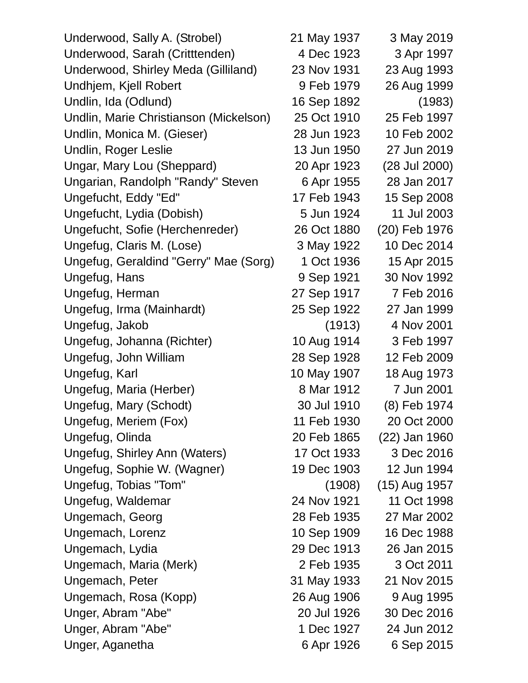Underwood, Sally A. (Strobel) 21 May 1937 3 May 2019 Underwood, Sarah (Critttenden) 4 Dec 1923 3 Apr 1997 Underwood, Shirley Meda (Gilliland) 23 Nov 1931 23 Aug 1993 Undhjem, Kjell Robert 9 Feb 1979 26 Aug 1999 Undlin, Ida (Odlund) 16 Sep 1892 (1983) Undlin, Marie Christianson (Mickelson) 25 Oct 1910 25 Feb 1997 Undlin, Monica M. (Gieser) 28 Jun 1923 10 Feb 2002 Undlin, Roger Leslie 13 Jun 1950 27 Jun 2019 Ungar, Mary Lou (Sheppard) 20 Apr 1923 (28 Jul 2000) Ungarian, Randolph "Randy" Steven 6 Apr 1955 28 Jan 2017 Ungefucht, Eddy "Ed" 17 Feb 1943 15 Sep 2008 Ungefucht, Lydia (Dobish) 5 Jun 1924 11 Jul 2003 Ungefucht, Sofie (Herchenreder) 26 Oct 1880 (20) Feb 1976 Ungefug, Claris M. (Lose) 3 May 1922 10 Dec 2014 Ungefug, Geraldind "Gerry" Mae (Sorg) 1 Oct 1936 15 Apr 2015 Ungefug, Hans 9 Sep 1921 30 Nov 1992 Ungefug, Herman 27 Sep 1917 7 Feb 2016 Ungefug, Irma (Mainhardt) 25 Sep 1922 27 Jan 1999 Ungefug, Jakob (1913) 4 Nov 2001 Ungefug, Johanna (Richter) 10 Aug 1914 3 Feb 1997 Ungefug, John William 28 Sep 1928 12 Feb 2009 Ungefug, Karl 10 May 1907 18 Aug 1973 Ungefug, Maria (Herber) 8 Mar 1912 7 Jun 2001 Ungefug, Mary (Schodt) 30 Jul 1910 (8) Feb 1974 Ungefug, Meriem (Fox) 11 Feb 1930 20 Oct 2000 Ungefug, Olinda 20 Feb 1865 (22) Jan 1960 Ungefug, Shirley Ann (Waters) 17 Oct 1933 3 Dec 2016 Ungefug, Sophie W. (Wagner) 19 Dec 1903 12 Jun 1994 Ungefug, Tobias "Tom" (1908) (15) Aug 1957 Ungefug, Waldemar 24 Nov 1921 11 Oct 1998 Ungemach, Georg 28 Feb 1935 27 Mar 2002 Ungemach, Lorenz 10 Sep 1909 16 Dec 1988 Ungemach, Lydia 29 Dec 1913 26 Jan 2015 Ungemach, Maria (Merk) 2 Feb 1935 3 Oct 2011 Ungemach, Peter 31 May 1933 21 Nov 2015 Ungemach, Rosa (Kopp) 26 Aug 1906 9 Aug 1995 Unger, Abram "Abe" 20 Jul 1926 30 Dec 2016 Unger, Abram "Abe" 1 Dec 1927 24 Jun 2012 Unger, Aganetha 6 Apr 1926 6 Sep 2015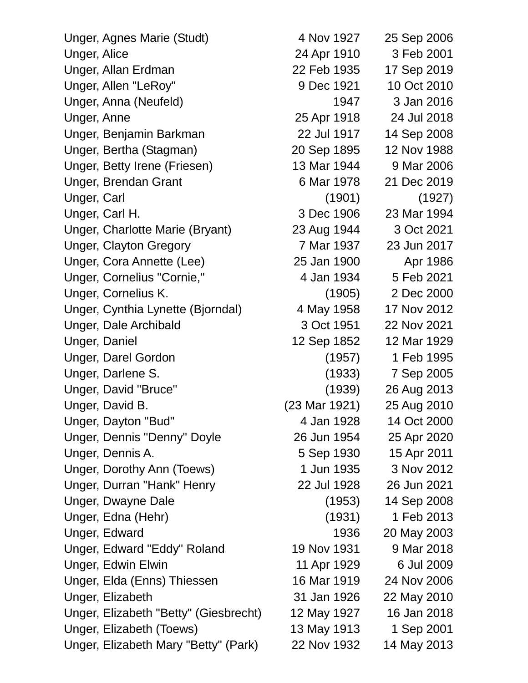| Unger, Agnes Marie (Studt)            | 4 Nov 1927    | 25 Sep 2006 |
|---------------------------------------|---------------|-------------|
| Unger, Alice                          | 24 Apr 1910   | 3 Feb 2001  |
| Unger, Allan Erdman                   | 22 Feb 1935   | 17 Sep 2019 |
| Unger, Allen "LeRoy"                  | 9 Dec 1921    | 10 Oct 2010 |
| Unger, Anna (Neufeld)                 | 1947          | 3 Jan 2016  |
| Unger, Anne                           | 25 Apr 1918   | 24 Jul 2018 |
| Unger, Benjamin Barkman               | 22 Jul 1917   | 14 Sep 2008 |
| Unger, Bertha (Stagman)               | 20 Sep 1895   | 12 Nov 1988 |
| Unger, Betty Irene (Friesen)          | 13 Mar 1944   | 9 Mar 2006  |
| <b>Unger, Brendan Grant</b>           | 6 Mar 1978    | 21 Dec 2019 |
| Unger, Carl                           | (1901)        | (1927)      |
| Unger, Carl H.                        | 3 Dec 1906    | 23 Mar 1994 |
| Unger, Charlotte Marie (Bryant)       | 23 Aug 1944   | 3 Oct 2021  |
| <b>Unger, Clayton Gregory</b>         | 7 Mar 1937    | 23 Jun 2017 |
| Unger, Cora Annette (Lee)             | 25 Jan 1900   | Apr 1986    |
| Unger, Cornelius "Cornie,"            | 4 Jan 1934    | 5 Feb 2021  |
| Unger, Cornelius K.                   | (1905)        | 2 Dec 2000  |
| Unger, Cynthia Lynette (Bjorndal)     | 4 May 1958    | 17 Nov 2012 |
| <b>Unger, Dale Archibald</b>          | 3 Oct 1951    | 22 Nov 2021 |
| <b>Unger, Daniel</b>                  | 12 Sep 1852   | 12 Mar 1929 |
| <b>Unger, Darel Gordon</b>            | (1957)        | 1 Feb 1995  |
| Unger, Darlene S.                     | (1933)        | 7 Sep 2005  |
| Unger, David "Bruce"                  | (1939)        | 26 Aug 2013 |
| Unger, David B.                       | (23 Mar 1921) | 25 Aug 2010 |
| Unger, Dayton "Bud"                   | 4 Jan 1928    | 14 Oct 2000 |
| Unger, Dennis "Denny" Doyle           | 26 Jun 1954   | 25 Apr 2020 |
| Unger, Dennis A.                      | 5 Sep 1930    | 15 Apr 2011 |
| Unger, Dorothy Ann (Toews)            | 1 Jun 1935    | 3 Nov 2012  |
| Unger, Durran "Hank" Henry            | 22 Jul 1928   | 26 Jun 2021 |
| Unger, Dwayne Dale                    | (1953)        | 14 Sep 2008 |
| Unger, Edna (Hehr)                    | (1931)        | 1 Feb 2013  |
| Unger, Edward                         | 1936          | 20 May 2003 |
| Unger, Edward "Eddy" Roland           | 19 Nov 1931   | 9 Mar 2018  |
| <b>Unger, Edwin Elwin</b>             | 11 Apr 1929   | 6 Jul 2009  |
| Unger, Elda (Enns) Thiessen           | 16 Mar 1919   | 24 Nov 2006 |
| Unger, Elizabeth                      | 31 Jan 1926   | 22 May 2010 |
| Unger, Elizabeth "Betty" (Giesbrecht) | 12 May 1927   | 16 Jan 2018 |
| Unger, Elizabeth (Toews)              | 13 May 1913   | 1 Sep 2001  |
| Unger, Elizabeth Mary "Betty" (Park)  | 22 Nov 1932   | 14 May 2013 |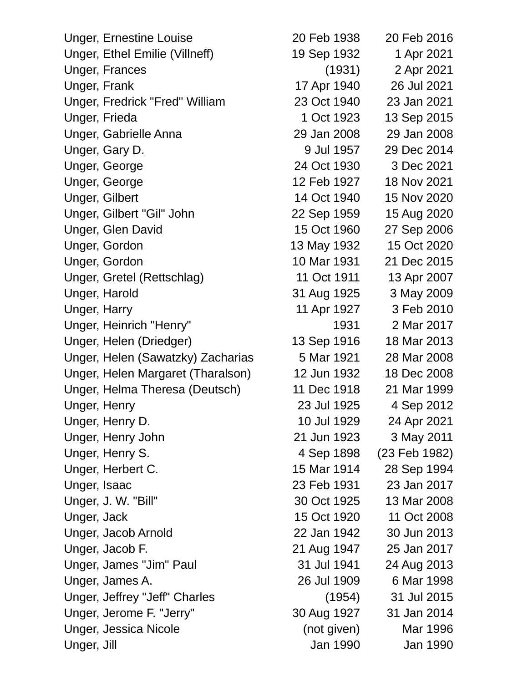| <b>Unger, Ernestine Louise</b>    | 20 Feb 1938 | 20 Feb 2016   |
|-----------------------------------|-------------|---------------|
| Unger, Ethel Emilie (Villneff)    | 19 Sep 1932 | 1 Apr 2021    |
| <b>Unger, Frances</b>             | (1931)      | 2 Apr 2021    |
| Unger, Frank                      | 17 Apr 1940 | 26 Jul 2021   |
| Unger, Fredrick "Fred" William    | 23 Oct 1940 | 23 Jan 2021   |
| Unger, Frieda                     | 1 Oct 1923  | 13 Sep 2015   |
| Unger, Gabrielle Anna             | 29 Jan 2008 | 29 Jan 2008   |
| Unger, Gary D.                    | 9 Jul 1957  | 29 Dec 2014   |
| Unger, George                     | 24 Oct 1930 | 3 Dec 2021    |
| Unger, George                     | 12 Feb 1927 | 18 Nov 2021   |
| Unger, Gilbert                    | 14 Oct 1940 | 15 Nov 2020   |
| Unger, Gilbert "Gil" John         | 22 Sep 1959 | 15 Aug 2020   |
| <b>Unger, Glen David</b>          | 15 Oct 1960 | 27 Sep 2006   |
| Unger, Gordon                     | 13 May 1932 | 15 Oct 2020   |
| Unger, Gordon                     | 10 Mar 1931 | 21 Dec 2015   |
| Unger, Gretel (Rettschlag)        | 11 Oct 1911 | 13 Apr 2007   |
| Unger, Harold                     | 31 Aug 1925 | 3 May 2009    |
| Unger, Harry                      | 11 Apr 1927 | 3 Feb 2010    |
| Unger, Heinrich "Henry"           | 1931        | 2 Mar 2017    |
| Unger, Helen (Driedger)           | 13 Sep 1916 | 18 Mar 2013   |
| Unger, Helen (Sawatzky) Zacharias | 5 Mar 1921  | 28 Mar 2008   |
| Unger, Helen Margaret (Tharalson) | 12 Jun 1932 | 18 Dec 2008   |
| Unger, Helma Theresa (Deutsch)    | 11 Dec 1918 | 21 Mar 1999   |
| Unger, Henry                      | 23 Jul 1925 | 4 Sep 2012    |
| Unger, Henry D.                   | 10 Jul 1929 | 24 Apr 2021   |
| Unger, Henry John                 | 21 Jun 1923 | 3 May 2011    |
| Unger, Henry S.                   | 4 Sep 1898  | (23 Feb 1982) |
| Unger, Herbert C.                 | 15 Mar 1914 | 28 Sep 1994   |
| Unger, Isaac                      | 23 Feb 1931 | 23 Jan 2017   |
| Unger, J. W. "Bill"               | 30 Oct 1925 | 13 Mar 2008   |
| Unger, Jack                       | 15 Oct 1920 | 11 Oct 2008   |
| Unger, Jacob Arnold               | 22 Jan 1942 | 30 Jun 2013   |
| Unger, Jacob F.                   | 21 Aug 1947 | 25 Jan 2017   |
| Unger, James "Jim" Paul           | 31 Jul 1941 | 24 Aug 2013   |
| Unger, James A.                   | 26 Jul 1909 | 6 Mar 1998    |
| Unger, Jeffrey "Jeff" Charles     | (1954)      | 31 Jul 2015   |
| Unger, Jerome F. "Jerry"          | 30 Aug 1927 | 31 Jan 2014   |
| <b>Unger, Jessica Nicole</b>      | (not given) | Mar 1996      |
| Unger, Jill                       | Jan 1990    | Jan 1990      |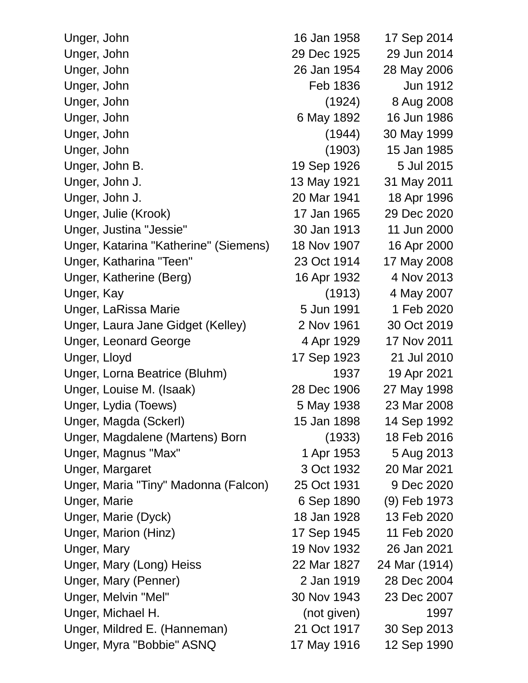| Unger, John                           | 16 Jan 1958 | 17 Sep 2014   |
|---------------------------------------|-------------|---------------|
| Unger, John                           | 29 Dec 1925 | 29 Jun 2014   |
| Unger, John                           | 26 Jan 1954 | 28 May 2006   |
| Unger, John                           | Feb 1836    | Jun 1912      |
| Unger, John                           | (1924)      | 8 Aug 2008    |
| Unger, John                           | 6 May 1892  | 16 Jun 1986   |
| Unger, John                           | (1944)      | 30 May 1999   |
| Unger, John                           | (1903)      | 15 Jan 1985   |
| Unger, John B.                        | 19 Sep 1926 | 5 Jul 2015    |
| Unger, John J.                        | 13 May 1921 | 31 May 2011   |
| Unger, John J.                        | 20 Mar 1941 | 18 Apr 1996   |
| Unger, Julie (Krook)                  | 17 Jan 1965 | 29 Dec 2020   |
| Unger, Justina "Jessie"               | 30 Jan 1913 | 11 Jun 2000   |
| Unger, Katarina "Katherine" (Siemens) | 18 Nov 1907 | 16 Apr 2000   |
| Unger, Katharina "Teen"               | 23 Oct 1914 | 17 May 2008   |
| Unger, Katherine (Berg)               | 16 Apr 1932 | 4 Nov 2013    |
| Unger, Kay                            | (1913)      | 4 May 2007    |
| Unger, LaRissa Marie                  | 5 Jun 1991  | 1 Feb 2020    |
| Unger, Laura Jane Gidget (Kelley)     | 2 Nov 1961  | 30 Oct 2019   |
| <b>Unger, Leonard George</b>          | 4 Apr 1929  | 17 Nov 2011   |
| Unger, Lloyd                          | 17 Sep 1923 | 21 Jul 2010   |
| Unger, Lorna Beatrice (Bluhm)         | 1937        | 19 Apr 2021   |
| Unger, Louise M. (Isaak)              | 28 Dec 1906 | 27 May 1998   |
| Unger, Lydia (Toews)                  | 5 May 1938  | 23 Mar 2008   |
| Unger, Magda (Sckerl)                 | 15 Jan 1898 | 14 Sep 1992   |
| Unger, Magdalene (Martens) Born       | (1933)      | 18 Feb 2016   |
| Unger, Magnus "Max"                   | 1 Apr 1953  | 5 Aug 2013    |
| Unger, Margaret                       | 3 Oct 1932  | 20 Mar 2021   |
| Unger, Maria "Tiny" Madonna (Falcon)  | 25 Oct 1931 | 9 Dec 2020    |
| Unger, Marie                          | 6 Sep 1890  | (9) Feb 1973  |
| Unger, Marie (Dyck)                   | 18 Jan 1928 | 13 Feb 2020   |
| Unger, Marion (Hinz)                  | 17 Sep 1945 | 11 Feb 2020   |
| Unger, Mary                           | 19 Nov 1932 | 26 Jan 2021   |
| Unger, Mary (Long) Heiss              | 22 Mar 1827 | 24 Mar (1914) |
| Unger, Mary (Penner)                  | 2 Jan 1919  | 28 Dec 2004   |
| Unger, Melvin "Mel"                   | 30 Nov 1943 | 23 Dec 2007   |
| Unger, Michael H.                     | (not given) | 1997          |
| Unger, Mildred E. (Hanneman)          | 21 Oct 1917 | 30 Sep 2013   |
| Unger, Myra "Bobbie" ASNQ             | 17 May 1916 | 12 Sep 1990   |
|                                       |             |               |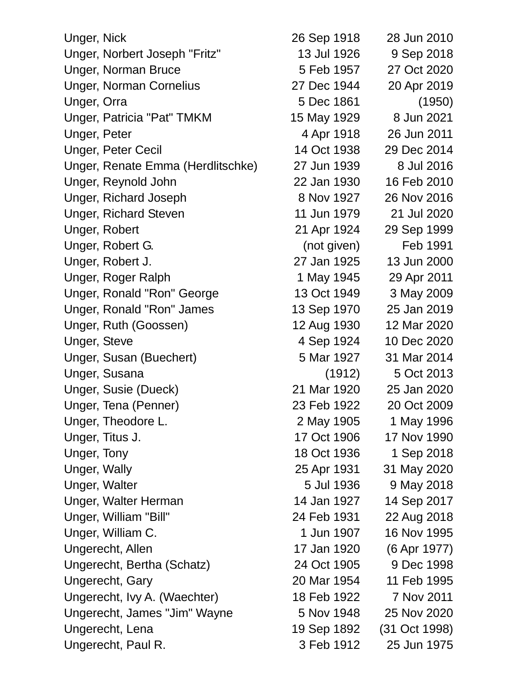| Unger, Nick                       | 26 Sep 1918 | 28 Jun 2010   |
|-----------------------------------|-------------|---------------|
| Unger, Norbert Joseph "Fritz"     | 13 Jul 1926 | 9 Sep 2018    |
| <b>Unger, Norman Bruce</b>        | 5 Feb 1957  | 27 Oct 2020   |
| <b>Unger, Norman Cornelius</b>    | 27 Dec 1944 | 20 Apr 2019   |
| Unger, Orra                       | 5 Dec 1861  | (1950)        |
| Unger, Patricia "Pat" TMKM        | 15 May 1929 | 8 Jun 2021    |
| Unger, Peter                      | 4 Apr 1918  | 26 Jun 2011   |
| <b>Unger, Peter Cecil</b>         | 14 Oct 1938 | 29 Dec 2014   |
| Unger, Renate Emma (Herdlitschke) | 27 Jun 1939 | 8 Jul 2016    |
| Unger, Reynold John               | 22 Jan 1930 | 16 Feb 2010   |
| <b>Unger, Richard Joseph</b>      | 8 Nov 1927  | 26 Nov 2016   |
| <b>Unger, Richard Steven</b>      | 11 Jun 1979 | 21 Jul 2020   |
| Unger, Robert                     | 21 Apr 1924 | 29 Sep 1999   |
| Unger, Robert G.                  | (not given) | Feb 1991      |
| Unger, Robert J.                  | 27 Jan 1925 | 13 Jun 2000   |
| Unger, Roger Ralph                | 1 May 1945  | 29 Apr 2011   |
| Unger, Ronald "Ron" George        | 13 Oct 1949 | 3 May 2009    |
| Unger, Ronald "Ron" James         | 13 Sep 1970 | 25 Jan 2019   |
| Unger, Ruth (Goossen)             | 12 Aug 1930 | 12 Mar 2020   |
| Unger, Steve                      | 4 Sep 1924  | 10 Dec 2020   |
| Unger, Susan (Buechert)           | 5 Mar 1927  | 31 Mar 2014   |
| Unger, Susana                     | (1912)      | 5 Oct 2013    |
| Unger, Susie (Dueck)              | 21 Mar 1920 | 25 Jan 2020   |
| Unger, Tena (Penner)              | 23 Feb 1922 | 20 Oct 2009   |
| Unger, Theodore L.                | 2 May 1905  | 1 May 1996    |
| Unger, Titus J.                   | 17 Oct 1906 | 17 Nov 1990   |
| Unger, Tony                       | 18 Oct 1936 | 1 Sep 2018    |
| Unger, Wally                      | 25 Apr 1931 | 31 May 2020   |
| Unger, Walter                     | 5 Jul 1936  | 9 May 2018    |
| Unger, Walter Herman              | 14 Jan 1927 | 14 Sep 2017   |
| Unger, William "Bill"             | 24 Feb 1931 | 22 Aug 2018   |
| Unger, William C.                 | 1 Jun 1907  | 16 Nov 1995   |
| Ungerecht, Allen                  | 17 Jan 1920 | (6 Apr 1977)  |
| Ungerecht, Bertha (Schatz)        | 24 Oct 1905 | 9 Dec 1998    |
| Ungerecht, Gary                   | 20 Mar 1954 | 11 Feb 1995   |
| Ungerecht, Ivy A. (Waechter)      | 18 Feb 1922 | 7 Nov 2011    |
| Ungerecht, James "Jim" Wayne      | 5 Nov 1948  | 25 Nov 2020   |
| Ungerecht, Lena                   | 19 Sep 1892 | (31 Oct 1998) |
| Ungerecht, Paul R.                | 3 Feb 1912  | 25 Jun 1975   |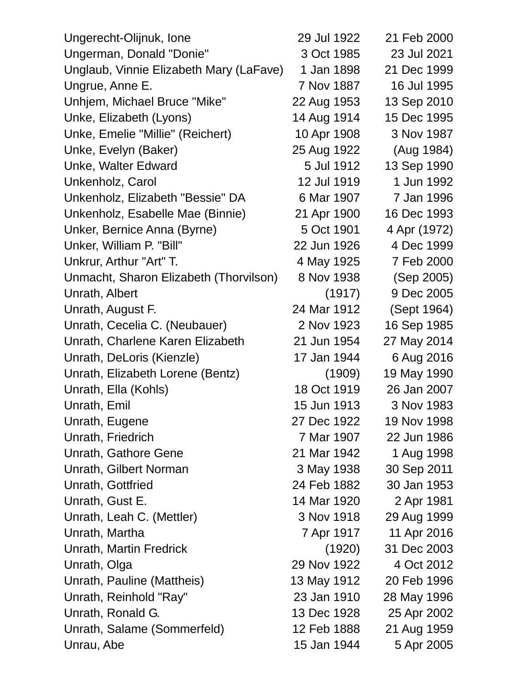| Ungerecht-Olijnuk, Ione                 | 29 Jul 1922 | 21 Feb 2000  |
|-----------------------------------------|-------------|--------------|
| Ungerman, Donald "Donie"                | 3 Oct 1985  | 23 Jul 2021  |
| Unglaub, Vinnie Elizabeth Mary (LaFave) | 1 Jan 1898  | 21 Dec 1999  |
| Ungrue, Anne E.                         | 7 Nov 1887  | 16 Jul 1995  |
| Unhjem, Michael Bruce "Mike"            | 22 Aug 1953 | 13 Sep 2010  |
| Unke, Elizabeth (Lyons)                 | 14 Aug 1914 | 15 Dec 1995  |
| Unke, Emelie "Millie" (Reichert)        | 10 Apr 1908 | 3 Nov 1987   |
| Unke, Evelyn (Baker)                    | 25 Aug 1922 | (Aug 1984)   |
| Unke, Walter Edward                     | 5 Jul 1912  | 13 Sep 1990  |
| Unkenholz, Carol                        | 12 Jul 1919 | 1 Jun 1992   |
| Unkenholz, Elizabeth "Bessie" DA        | 6 Mar 1907  | 7 Jan 1996   |
| Unkenholz, Esabelle Mae (Binnie)        | 21 Apr 1900 | 16 Dec 1993  |
| Unker, Bernice Anna (Byrne)             | 5 Oct 1901  | 4 Apr (1972) |
| Unker, William P. "Bill"                | 22 Jun 1926 | 4 Dec 1999   |
| Unkrur, Arthur "Art" T.                 | 4 May 1925  | 7 Feb 2000   |
| Unmacht, Sharon Elizabeth (Thorvilson)  | 8 Nov 1938  | (Sep 2005)   |
| Unrath, Albert                          | (1917)      | 9 Dec 2005   |
| Unrath, August F.                       | 24 Mar 1912 | (Sept 1964)  |
| Unrath, Cecelia C. (Neubauer)           | 2 Nov 1923  | 16 Sep 1985  |
| Unrath, Charlene Karen Elizabeth        | 21 Jun 1954 | 27 May 2014  |
| Unrath, DeLoris (Kienzle)               | 17 Jan 1944 | 6 Aug 2016   |
| Unrath, Elizabeth Lorene (Bentz)        | (1909)      | 19 May 1990  |
| Unrath, Ella (Kohls)                    | 18 Oct 1919 | 26 Jan 2007  |
| Unrath, Emil                            | 15 Jun 1913 | 3 Nov 1983   |
| Unrath, Eugene                          | 27 Dec 1922 | 19 Nov 1998  |
| Unrath, Friedrich                       | 7 Mar 1907  | 22 Jun 1986  |
| Unrath, Gathore Gene                    | 21 Mar 1942 | 1 Aug 1998   |
| Unrath, Gilbert Norman                  | 3 May 1938  | 30 Sep 2011  |
| Unrath, Gottfried                       | 24 Feb 1882 | 30 Jan 1953  |
| Unrath, Gust E.                         | 14 Mar 1920 | 2 Apr 1981   |
| Unrath, Leah C. (Mettler)               | 3 Nov 1918  | 29 Aug 1999  |
| Unrath, Martha                          | 7 Apr 1917  | 11 Apr 2016  |
| Unrath, Martin Fredrick                 | (1920)      | 31 Dec 2003  |
| Unrath, Olga                            | 29 Nov 1922 | 4 Oct 2012   |
| Unrath, Pauline (Mattheis)              | 13 May 1912 | 20 Feb 1996  |
| Unrath, Reinhold "Ray"                  | 23 Jan 1910 | 28 May 1996  |
| Unrath, Ronald G.                       | 13 Dec 1928 | 25 Apr 2002  |
| Unrath, Salame (Sommerfeld)             | 12 Feb 1888 | 21 Aug 1959  |
| Unrau, Abe                              | 15 Jan 1944 | 5 Apr 2005   |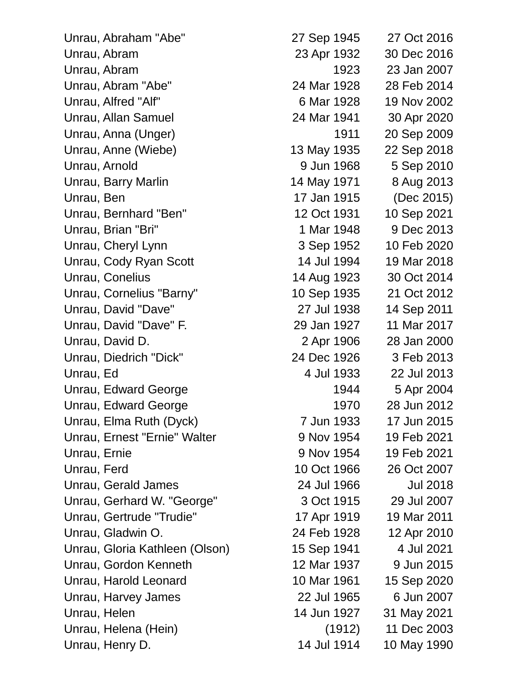| Unrau, Abraham "Abe"           | 27 Sep 1945 | 27 Oct 2016     |
|--------------------------------|-------------|-----------------|
| Unrau, Abram                   | 23 Apr 1932 | 30 Dec 2016     |
| Unrau, Abram                   | 1923        | 23 Jan 2007     |
| Unrau, Abram "Abe"             | 24 Mar 1928 | 28 Feb 2014     |
| Unrau, Alfred "Alf"            | 6 Mar 1928  | 19 Nov 2002     |
| Unrau, Allan Samuel            | 24 Mar 1941 | 30 Apr 2020     |
| Unrau, Anna (Unger)            | 1911        | 20 Sep 2009     |
| Unrau, Anne (Wiebe)            | 13 May 1935 | 22 Sep 2018     |
| Unrau, Arnold                  | 9 Jun 1968  | 5 Sep 2010      |
| Unrau, Barry Marlin            | 14 May 1971 | 8 Aug 2013      |
| Unrau, Ben                     | 17 Jan 1915 | (Dec 2015)      |
| Unrau, Bernhard "Ben"          | 12 Oct 1931 | 10 Sep 2021     |
| Unrau, Brian "Bri"             | 1 Mar 1948  | 9 Dec 2013      |
| Unrau, Cheryl Lynn             | 3 Sep 1952  | 10 Feb 2020     |
| Unrau, Cody Ryan Scott         | 14 Jul 1994 | 19 Mar 2018     |
| Unrau, Conelius                | 14 Aug 1923 | 30 Oct 2014     |
| Unrau, Cornelius "Barny"       | 10 Sep 1935 | 21 Oct 2012     |
| Unrau, David "Dave"            | 27 Jul 1938 | 14 Sep 2011     |
| Unrau, David "Dave" F.         | 29 Jan 1927 | 11 Mar 2017     |
| Unrau, David D.                | 2 Apr 1906  | 28 Jan 2000     |
| Unrau, Diedrich "Dick"         | 24 Dec 1926 | 3 Feb 2013      |
| Unrau, Ed                      | 4 Jul 1933  | 22 Jul 2013     |
| Unrau, Edward George           | 1944        | 5 Apr 2004      |
| Unrau, Edward George           | 1970        | 28 Jun 2012     |
| Unrau, Elma Ruth (Dyck)        | 7 Jun 1933  | 17 Jun 2015     |
| Unrau, Ernest "Ernie" Walter   | 9 Nov 1954  | 19 Feb 2021     |
| Unrau, Ernie                   | 9 Nov 1954  | 19 Feb 2021     |
| Unrau, Ferd                    | 10 Oct 1966 | 26 Oct 2007     |
| Unrau, Gerald James            | 24 Jul 1966 | <b>Jul 2018</b> |
| Unrau, Gerhard W. "George"     | 3 Oct 1915  | 29 Jul 2007     |
| Unrau, Gertrude "Trudie"       | 17 Apr 1919 | 19 Mar 2011     |
| Unrau, Gladwin O.              | 24 Feb 1928 | 12 Apr 2010     |
| Unrau, Gloria Kathleen (Olson) | 15 Sep 1941 | 4 Jul 2021      |
| Unrau, Gordon Kenneth          | 12 Mar 1937 | 9 Jun 2015      |
| Unrau, Harold Leonard          | 10 Mar 1961 | 15 Sep 2020     |
| Unrau, Harvey James            | 22 Jul 1965 | 6 Jun 2007      |
| Unrau, Helen                   | 14 Jun 1927 | 31 May 2021     |
| Unrau, Helena (Hein)           | (1912)      | 11 Dec 2003     |
| Unrau, Henry D.                | 14 Jul 1914 | 10 May 1990     |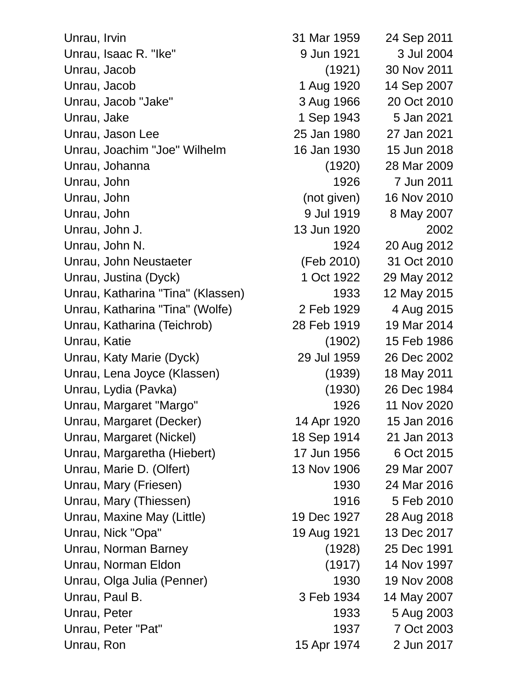| Unrau, Irvin                      | 31 Mar 1959 | 24 Sep 2011 |
|-----------------------------------|-------------|-------------|
| Unrau, Isaac R. "Ike"             | 9 Jun 1921  | 3 Jul 2004  |
| Unrau, Jacob                      | (1921)      | 30 Nov 2011 |
| Unrau, Jacob                      | 1 Aug 1920  | 14 Sep 2007 |
| Unrau, Jacob "Jake"               | 3 Aug 1966  | 20 Oct 2010 |
| Unrau, Jake                       | 1 Sep 1943  | 5 Jan 2021  |
| Unrau, Jason Lee                  | 25 Jan 1980 | 27 Jan 2021 |
| Unrau, Joachim "Joe" Wilhelm      | 16 Jan 1930 | 15 Jun 2018 |
| Unrau, Johanna                    | (1920)      | 28 Mar 2009 |
| Unrau, John                       | 1926        | 7 Jun 2011  |
| Unrau, John                       | (not given) | 16 Nov 2010 |
| Unrau, John                       | 9 Jul 1919  | 8 May 2007  |
| Unrau, John J.                    | 13 Jun 1920 | 2002        |
| Unrau, John N.                    | 1924        | 20 Aug 2012 |
| Unrau, John Neustaeter            | (Feb 2010)  | 31 Oct 2010 |
| Unrau, Justina (Dyck)             | 1 Oct 1922  | 29 May 2012 |
| Unrau, Katharina "Tina" (Klassen) | 1933        | 12 May 2015 |
| Unrau, Katharina "Tina" (Wolfe)   | 2 Feb 1929  | 4 Aug 2015  |
| Unrau, Katharina (Teichrob)       | 28 Feb 1919 | 19 Mar 2014 |
| Unrau, Katie                      | (1902)      | 15 Feb 1986 |
| Unrau, Katy Marie (Dyck)          | 29 Jul 1959 | 26 Dec 2002 |
| Unrau, Lena Joyce (Klassen)       | (1939)      | 18 May 2011 |
| Unrau, Lydia (Pavka)              | (1930)      | 26 Dec 1984 |
| Unrau, Margaret "Margo"           | 1926        | 11 Nov 2020 |
| Unrau, Margaret (Decker)          | 14 Apr 1920 | 15 Jan 2016 |
| Unrau, Margaret (Nickel)          | 18 Sep 1914 | 21 Jan 2013 |
| Unrau, Margaretha (Hiebert)       | 17 Jun 1956 | 6 Oct 2015  |
| Unrau, Marie D. (Olfert)          | 13 Nov 1906 | 29 Mar 2007 |
| Unrau, Mary (Friesen)             | 1930        | 24 Mar 2016 |
| Unrau, Mary (Thiessen)            | 1916        | 5 Feb 2010  |
| Unrau, Maxine May (Little)        | 19 Dec 1927 | 28 Aug 2018 |
| Unrau, Nick "Opa"                 | 19 Aug 1921 | 13 Dec 2017 |
| Unrau, Norman Barney              | (1928)      | 25 Dec 1991 |
| Unrau, Norman Eldon               | (1917)      | 14 Nov 1997 |
| Unrau, Olga Julia (Penner)        | 1930        | 19 Nov 2008 |
| Unrau, Paul B.                    | 3 Feb 1934  | 14 May 2007 |
| Unrau, Peter                      | 1933        | 5 Aug 2003  |
| Unrau, Peter "Pat"                | 1937        | 7 Oct 2003  |
| Unrau, Ron                        | 15 Apr 1974 | 2 Jun 2017  |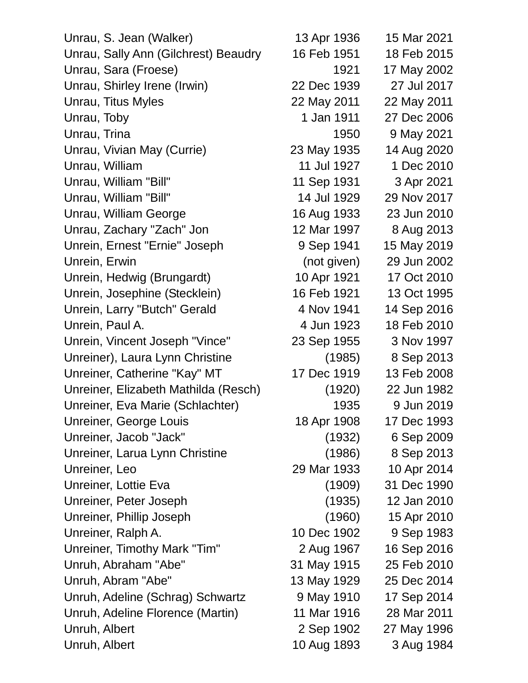| Unrau, S. Jean (Walker)              | 13 Apr 1936 | 15 Mar 2021 |
|--------------------------------------|-------------|-------------|
| Unrau, Sally Ann (Gilchrest) Beaudry | 16 Feb 1951 | 18 Feb 2015 |
| Unrau, Sara (Froese)                 | 1921        | 17 May 2002 |
| Unrau, Shirley Irene (Irwin)         | 22 Dec 1939 | 27 Jul 2017 |
| Unrau, Titus Myles                   | 22 May 2011 | 22 May 2011 |
| Unrau, Toby                          | 1 Jan 1911  | 27 Dec 2006 |
| Unrau, Trina                         | 1950        | 9 May 2021  |
| Unrau, Vivian May (Currie)           | 23 May 1935 | 14 Aug 2020 |
| Unrau, William                       | 11 Jul 1927 | 1 Dec 2010  |
| Unrau, William "Bill"                | 11 Sep 1931 | 3 Apr 2021  |
| Unrau, William "Bill"                | 14 Jul 1929 | 29 Nov 2017 |
| Unrau, William George                | 16 Aug 1933 | 23 Jun 2010 |
| Unrau, Zachary "Zach" Jon            | 12 Mar 1997 | 8 Aug 2013  |
| Unrein, Ernest "Ernie" Joseph        | 9 Sep 1941  | 15 May 2019 |
| Unrein, Erwin                        | (not given) | 29 Jun 2002 |
| Unrein, Hedwig (Brungardt)           | 10 Apr 1921 | 17 Oct 2010 |
| Unrein, Josephine (Stecklein)        | 16 Feb 1921 | 13 Oct 1995 |
| Unrein, Larry "Butch" Gerald         | 4 Nov 1941  | 14 Sep 2016 |
| Unrein, Paul A.                      | 4 Jun 1923  | 18 Feb 2010 |
| Unrein, Vincent Joseph "Vince"       | 23 Sep 1955 | 3 Nov 1997  |
| Unreiner), Laura Lynn Christine      | (1985)      | 8 Sep 2013  |
| Unreiner, Catherine "Kay" MT         | 17 Dec 1919 | 13 Feb 2008 |
| Unreiner, Elizabeth Mathilda (Resch) | (1920)      | 22 Jun 1982 |
| Unreiner, Eva Marie (Schlachter)     | 1935        | 9 Jun 2019  |
| Unreiner, George Louis               | 18 Apr 1908 | 17 Dec 1993 |
| Unreiner, Jacob "Jack"               | (1932)      | 6 Sep 2009  |
| Unreiner, Larua Lynn Christine       | (1986)      | 8 Sep 2013  |
| Unreiner, Leo                        | 29 Mar 1933 | 10 Apr 2014 |
| Unreiner, Lottie Eva                 | (1909)      | 31 Dec 1990 |
| Unreiner, Peter Joseph               | (1935)      | 12 Jan 2010 |
| Unreiner, Phillip Joseph             | (1960)      | 15 Apr 2010 |
| Unreiner, Ralph A.                   | 10 Dec 1902 | 9 Sep 1983  |
| Unreiner, Timothy Mark "Tim"         | 2 Aug 1967  | 16 Sep 2016 |
| Unruh, Abraham "Abe"                 | 31 May 1915 | 25 Feb 2010 |
| Unruh, Abram "Abe"                   | 13 May 1929 | 25 Dec 2014 |
| Unruh, Adeline (Schrag) Schwartz     | 9 May 1910  | 17 Sep 2014 |
| Unruh, Adeline Florence (Martin)     | 11 Mar 1916 | 28 Mar 2011 |
| Unruh, Albert                        | 2 Sep 1902  | 27 May 1996 |
| Unruh, Albert                        | 10 Aug 1893 | 3 Aug 1984  |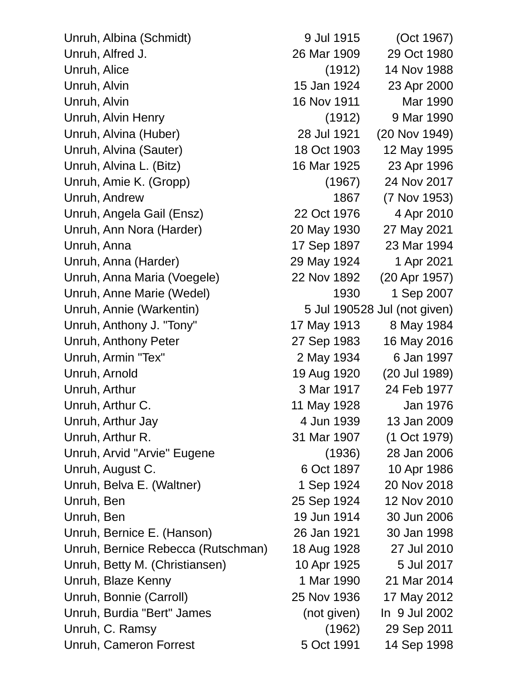Unruh, Albina (Schmidt) 9 Jul 1915 (Oct 1967) Unruh, Alfred J. 26 Mar 1909 29 Oct 1980 Unruh, Alice (1912) 14 Nov 1988 Unruh, Alvin 15 Jan 1924 23 Apr 2000 Unruh, Alvin 16 Nov 1911 Mar 1990 Unruh, Alvin Henry (1912) 9 Mar 1990 Unruh, Alvina (Huber) 28 Jul 1921 (20 Nov 1949) Unruh, Alvina (Sauter) 18 Oct 1903 12 May 1995 Unruh, Alvina L. (Bitz) 16 Mar 1925 23 Apr 1996 Unruh, Amie K. (Gropp) (1967) 24 Nov 2017 Unruh, Andrew 1867 (7 Nov 1953) Unruh, Angela Gail (Ensz) 22 Oct 1976 4 Apr 2010 Unruh, Ann Nora (Harder) 20 May 1930 27 May 2021 Unruh, Anna 17 Sep 1897 23 Mar 1994 Unruh, Anna (Harder) 29 May 1924 1 Apr 2021 Unruh, Anna Maria (Voegele) 22 Nov 1892 (20 Apr 1957) Unruh, Anne Marie (Wedel) 1930 1 Sep 2007 Unruh, Annie (Warkentin) 5 Jul 190528 Jul (not given) Unruh, Anthony J. "Tony" 17 May 1913 8 May 1984 Unruh, Anthony Peter 27 Sep 1983 16 May 2016 Unruh, Armin "Tex" 2 May 1934 6 Jan 1997 Unruh, Arnold 19 Aug 1920 (20 Jul 1989) Unruh, Arthur 3 Mar 1917 24 Feb 1977 Unruh, Arthur C. 11 May 1928 Jan 1976 Unruh, Arthur Jay 4 Jun 1939 13 Jan 2009 Unruh, Arthur R. 31 Mar 1907 (1 Oct 1979) Unruh, Arvid "Arvie" Eugene (1936) 28 Jan 2006 Unruh, August C. 6 Oct 1897 10 Apr 1986 Unruh, Belva E. (Waltner) 1 Sep 1924 20 Nov 2018 Unruh, Ben 25 Sep 1924 12 Nov 2010 Unruh, Ben 19 Jun 1914 30 Jun 2006 Unruh, Bernice E. (Hanson) 26 Jan 1921 30 Jan 1998 Unruh, Bernice Rebecca (Rutschman) 18 Aug 1928 27 Jul 2010 Unruh, Betty M. (Christiansen) 10 Apr 1925 5 Jul 2017 Unruh, Blaze Kenny 1 Mar 1990 21 Mar 2014 Unruh, Bonnie (Carroll) 25 Nov 1936 17 May 2012 Unruh, Burdia "Bert" James (not given) In 9 Jul 2002 Unruh, C. Ramsy (1962) 29 Sep 2011

Unruh, Cameron Forrest 5 Oct 1991 14 Sep 1998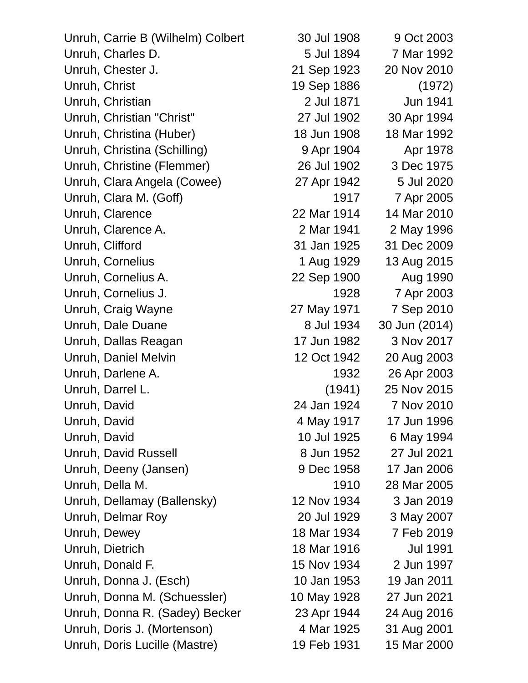| Unruh, Carrie B (Wilhelm) Colbert | 30 Jul 1908 | 9 Oct 2003      |
|-----------------------------------|-------------|-----------------|
| Unruh, Charles D.                 | 5 Jul 1894  | 7 Mar 1992      |
| Unruh, Chester J.                 | 21 Sep 1923 | 20 Nov 2010     |
| Unruh, Christ                     | 19 Sep 1886 | (1972)          |
| Unruh, Christian                  | 2 Jul 1871  | <b>Jun 1941</b> |
| Unruh, Christian "Christ"         | 27 Jul 1902 | 30 Apr 1994     |
| Unruh, Christina (Huber)          | 18 Jun 1908 | 18 Mar 1992     |
| Unruh, Christina (Schilling)      | 9 Apr 1904  | Apr 1978        |
| Unruh, Christine (Flemmer)        | 26 Jul 1902 | 3 Dec 1975      |
| Unruh, Clara Angela (Cowee)       | 27 Apr 1942 | 5 Jul 2020      |
| Unruh, Clara M. (Goff)            | 1917        | 7 Apr 2005      |
| Unruh, Clarence                   | 22 Mar 1914 | 14 Mar 2010     |
| Unruh, Clarence A.                | 2 Mar 1941  | 2 May 1996      |
| Unruh, Clifford                   | 31 Jan 1925 | 31 Dec 2009     |
| Unruh, Cornelius                  | 1 Aug 1929  | 13 Aug 2015     |
| Unruh, Cornelius A.               | 22 Sep 1900 | Aug 1990        |
| Unruh, Cornelius J.               | 1928        | 7 Apr 2003      |
| Unruh, Craig Wayne                | 27 May 1971 | 7 Sep 2010      |
| Unruh, Dale Duane                 | 8 Jul 1934  | 30 Jun (2014)   |
| Unruh, Dallas Reagan              | 17 Jun 1982 | 3 Nov 2017      |
| Unruh, Daniel Melvin              | 12 Oct 1942 | 20 Aug 2003     |
| Unruh, Darlene A.                 | 1932        | 26 Apr 2003     |
| Unruh, Darrel L.                  | (1941)      | 25 Nov 2015     |
| Unruh, David                      | 24 Jan 1924 | 7 Nov 2010      |
| Unruh, David                      | 4 May 1917  | 17 Jun 1996     |
| Unruh, David                      | 10 Jul 1925 | 6 May 1994      |
| Unruh, David Russell              | 8 Jun 1952  | 27 Jul 2021     |
| Unruh, Deeny (Jansen)             | 9 Dec 1958  | 17 Jan 2006     |
| Unruh, Della M.                   | 1910        | 28 Mar 2005     |
| Unruh, Dellamay (Ballensky)       | 12 Nov 1934 | 3 Jan 2019      |
| Unruh, Delmar Roy                 | 20 Jul 1929 | 3 May 2007      |
| Unruh, Dewey                      | 18 Mar 1934 | 7 Feb 2019      |
| Unruh, Dietrich                   | 18 Mar 1916 | <b>Jul 1991</b> |
| Unruh, Donald F.                  | 15 Nov 1934 | 2 Jun 1997      |
| Unruh, Donna J. (Esch)            | 10 Jan 1953 | 19 Jan 2011     |
| Unruh, Donna M. (Schuessler)      | 10 May 1928 | 27 Jun 2021     |
| Unruh, Donna R. (Sadey) Becker    | 23 Apr 1944 | 24 Aug 2016     |
| Unruh, Doris J. (Mortenson)       | 4 Mar 1925  | 31 Aug 2001     |
| Unruh, Doris Lucille (Mastre)     | 19 Feb 1931 | 15 Mar 2000     |
|                                   |             |                 |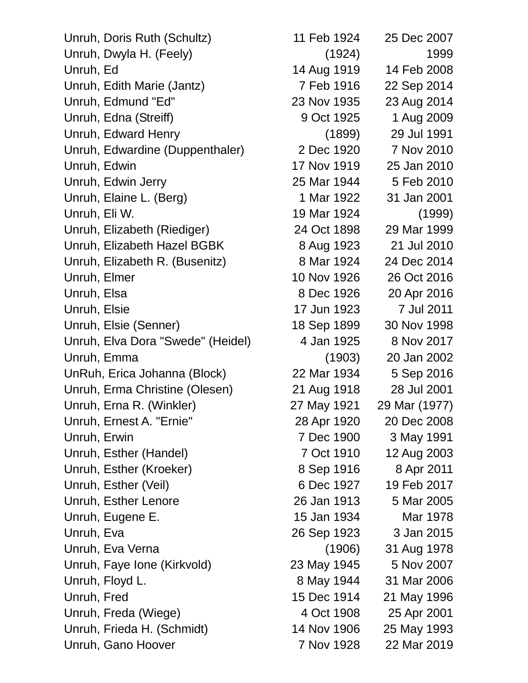Unruh, Doris Ruth (Schultz) 11 Feb 1924 25 Dec 2007 Unruh, Dwyla H. (Feely) (1924) 1999 Unruh, Ed 14 Aug 1919 14 Feb 2008 Unruh, Edith Marie (Jantz) 7 Feb 1916 22 Sep 2014 Unruh, Edmund "Ed" 23 Nov 1935 23 Aug 2014 Unruh, Edna (Streiff) 9 Oct 1925 1 Aug 2009 Unruh, Edward Henry (1899) 29 Jul 1991 Unruh, Edwardine (Duppenthaler) 2 Dec 1920 7 Nov 2010 Unruh, Edwin 17 Nov 1919 25 Jan 2010 Unruh, Edwin Jerry 25 Mar 1944 5 Feb 2010 Unruh, Elaine L. (Berg) 1 Mar 1922 31 Jan 2001 Unruh, Eli W. 19 Mar 1924 (1999) Unruh, Elizabeth (Riediger) 24 Oct 1898 29 Mar 1999 Unruh, Elizabeth Hazel BGBK 8 Aug 1923 21 Jul 2010 Unruh, Elizabeth R. (Busenitz) 8 Mar 1924 24 Dec 2014 Unruh, Elmer 10 Nov 1926 26 Oct 2016 Unruh, Elsa 8 Dec 1926 20 Apr 2016 Unruh, Elsie 17 Jun 1923 7 Jul 2011 Unruh, Elsie (Senner) 18 Sep 1899 30 Nov 1998 Unruh, Elva Dora "Swede" (Heidel) 4 Jan 1925 8 Nov 2017 Unruh, Emma (1903) 20 Jan 2002 UnRuh, Erica Johanna (Block) 22 Mar 1934 5 Sep 2016 Unruh, Erma Christine (Olesen) 21 Aug 1918 28 Jul 2001 Unruh, Erna R. (Winkler) 27 May 1921 29 Mar (1977) Unruh, Ernest A. "Ernie" 28 Apr 1920 20 Dec 2008 Unruh, Erwin 7 Dec 1900 3 May 1991 Unruh, Esther (Handel) 7 Oct 1910 12 Aug 2003 Unruh, Esther (Kroeker) 8 Sep 1916 8 Apr 2011 Unruh, Esther (Veil) 6 Dec 1927 19 Feb 2017 Unruh, Esther Lenore 26 Jan 1913 5 Mar 2005 Unruh, Eugene E. 15 Jan 1934 Mar 1978 Unruh, Eva 26 Sep 1923 3 Jan 2015 Unruh, Eva Verna (1906) 31 Aug 1978 Unruh, Faye Ione (Kirkvold) 23 May 1945 5 Nov 2007 Unruh, Floyd L. 8 May 1944 31 Mar 2006 Unruh, Fred 15 Dec 1914 21 May 1996 Unruh, Freda (Wiege) 4 Oct 1908 25 Apr 2001 Unruh, Frieda H. (Schmidt) 14 Nov 1906 25 May 1993 Unruh, Gano Hoover 7 Nov 1928 22 Mar 2019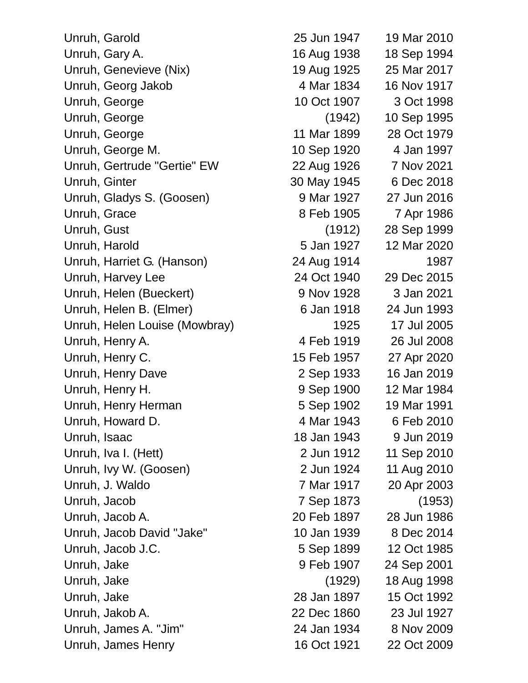| Unruh, Garold                 | 25 Jun 1947 | 19 Mar 2010 |
|-------------------------------|-------------|-------------|
| Unruh, Gary A.                | 16 Aug 1938 | 18 Sep 1994 |
| Unruh, Genevieve (Nix)        | 19 Aug 1925 | 25 Mar 2017 |
| Unruh, Georg Jakob            | 4 Mar 1834  | 16 Nov 1917 |
| Unruh, George                 | 10 Oct 1907 | 3 Oct 1998  |
| Unruh, George                 | (1942)      | 10 Sep 1995 |
| Unruh, George                 | 11 Mar 1899 | 28 Oct 1979 |
| Unruh, George M.              | 10 Sep 1920 | 4 Jan 1997  |
| Unruh, Gertrude "Gertie" EW   | 22 Aug 1926 | 7 Nov 2021  |
| Unruh, Ginter                 | 30 May 1945 | 6 Dec 2018  |
| Unruh, Gladys S. (Goosen)     | 9 Mar 1927  | 27 Jun 2016 |
| Unruh, Grace                  | 8 Feb 1905  | 7 Apr 1986  |
| Unruh, Gust                   | (1912)      | 28 Sep 1999 |
| Unruh, Harold                 | 5 Jan 1927  | 12 Mar 2020 |
| Unruh, Harriet G. (Hanson)    | 24 Aug 1914 | 1987        |
| Unruh, Harvey Lee             | 24 Oct 1940 | 29 Dec 2015 |
| Unruh, Helen (Bueckert)       | 9 Nov 1928  | 3 Jan 2021  |
| Unruh, Helen B. (Elmer)       | 6 Jan 1918  | 24 Jun 1993 |
| Unruh, Helen Louise (Mowbray) | 1925        | 17 Jul 2005 |
| Unruh, Henry A.               | 4 Feb 1919  | 26 Jul 2008 |
| Unruh, Henry C.               | 15 Feb 1957 | 27 Apr 2020 |
| Unruh, Henry Dave             | 2 Sep 1933  | 16 Jan 2019 |
| Unruh, Henry H.               | 9 Sep 1900  | 12 Mar 1984 |
| Unruh, Henry Herman           | 5 Sep 1902  | 19 Mar 1991 |
| Unruh, Howard D.              | 4 Mar 1943  | 6 Feb 2010  |
| Unruh, Isaac                  | 18 Jan 1943 | 9 Jun 2019  |
| Unruh, Iva I. (Hett)          | 2 Jun 1912  | 11 Sep 2010 |
| Unruh, Ivy W. (Goosen)        | 2 Jun 1924  | 11 Aug 2010 |
| Unruh, J. Waldo               | 7 Mar 1917  | 20 Apr 2003 |
| Unruh, Jacob                  | 7 Sep 1873  | (1953)      |
| Unruh, Jacob A.               | 20 Feb 1897 | 28 Jun 1986 |
| Unruh, Jacob David "Jake"     | 10 Jan 1939 | 8 Dec 2014  |
| Unruh, Jacob J.C.             | 5 Sep 1899  | 12 Oct 1985 |
| Unruh, Jake                   | 9 Feb 1907  | 24 Sep 2001 |
| Unruh, Jake                   | (1929)      | 18 Aug 1998 |
| Unruh, Jake                   | 28 Jan 1897 | 15 Oct 1992 |
| Unruh, Jakob A.               | 22 Dec 1860 | 23 Jul 1927 |
| Unruh, James A. "Jim"         | 24 Jan 1934 | 8 Nov 2009  |
| Unruh, James Henry            | 16 Oct 1921 | 22 Oct 2009 |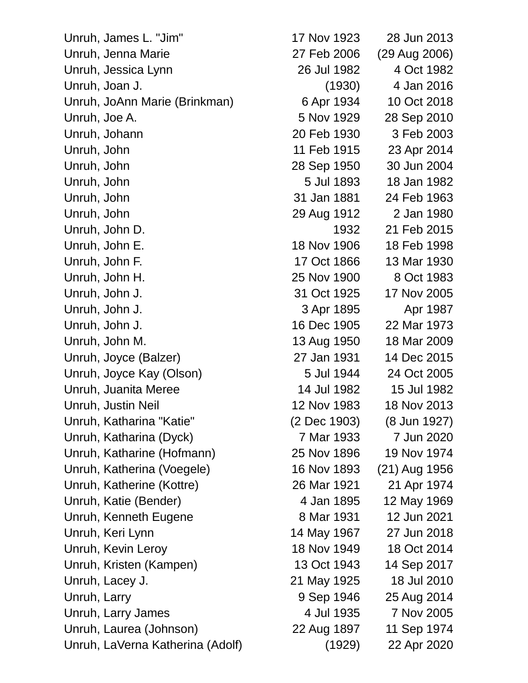Unruh, James L. "Jim" Unruh, Jenna Marie Unruh, Jessica Lynn Unruh, Joan J. Unruh, JoAnn Marie (Brinkman) Unruh, Joe A. Unruh, Johann Unruh, John Unruh, John Unruh, John Unruh, John Unruh, John Unruh, John D. Unruh, John E. Unruh, John F. Unruh, John H. Unruh, John J. Unruh, John J. Unruh, John J. Unruh, John M. Unruh, Joyce (Balzer) Unruh, Joyce Kay (Olson) Unruh, Juanita Meree Unruh, Justin Neil Unruh, Katharina "Katie" Unruh, Katharina (Dyck) Unruh, Katharine (Hofmann) Unruh, Katherina (Voegele) Unruh, Katherine (Kottre) Unruh, Katie (Bender) Unruh, Kenneth Eugene Unruh, Keri Lynn Unruh, Kevin Leroy Unruh, Kristen (Kampen) Unruh, Lacey J. Unruh, Larry Unruh, Larry James Unruh, Laurea (Johnson) Unruh, LaVerna Katherina (Adolf)

| 17 Nov 1923  | 28 Jun 2013   |
|--------------|---------------|
| 27 Feb 2006  | (29 Aug 2006) |
| 26 Jul 1982  | 4 Oct 1982    |
| (1930)       | 4 Jan 2016    |
| 6 Apr 1934   | 10 Oct 2018   |
| 5 Nov 1929   | 28 Sep 2010   |
| 20 Feb 1930  | 3 Feb 2003    |
| 11 Feb 1915  | 23 Apr 2014   |
| 28 Sep 1950  | 30 Jun 2004   |
| 5 Jul 1893   | 18 Jan 1982   |
| 31 Jan 1881  | 24 Feb 1963   |
| 29 Aug 1912  | 2 Jan 1980    |
| 1932         | 21 Feb 2015   |
| 18 Nov 1906  | 18 Feb 1998   |
| 17 Oct 1866  | 13 Mar 1930   |
| 25 Nov 1900  | 8 Oct 1983    |
| 31 Oct 1925  | 17 Nov 2005   |
| 3 Apr 1895   | Apr 1987      |
| 16 Dec 1905  | 22 Mar 1973   |
| 13 Aug 1950  | 18 Mar 2009   |
| 27 Jan 1931  | 14 Dec 2015   |
| 5 Jul 1944   | 24 Oct 2005   |
| 14 Jul 1982  | 15 Jul 1982   |
| 12 Nov 1983  | 18 Nov 2013   |
| (2 Dec 1903) | (8 Jun 1927)  |
| 7 Mar 1933   | 7 Jun 2020    |
| 25 Nov 1896  | 19 Nov 1974   |
| 16 Nov 1893  | (21) Aug 1956 |
| 26 Mar 1921  | 21 Apr 1974   |
| 4 Jan 1895   | 12 May 1969   |
| 8 Mar 1931   | 12 Jun 2021   |
| 14 May 1967  | 27 Jun 2018   |
| 18 Nov 1949  | 18 Oct 2014   |
| 13 Oct 1943  | 14 Sep 2017   |
| 21 May 1925  | 18 Jul 2010   |
| 9 Sep 1946   | 25 Aug 2014   |
| 4 Jul 1935   | 7 Nov 2005    |
| 22 Aug 1897  | 11 Sep 1974   |
| (1929)       | 22 Apr 2020   |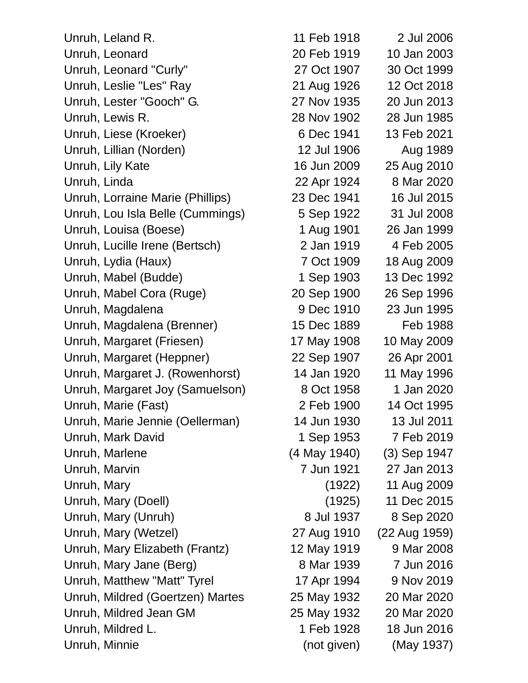Unruh, Leland R. 11 Feb 1918 2 Jul 2006 Unruh, Leonard 20 Feb 1919 10 Jan 2003 Unruh, Leonard "Curly" 27 Oct 1907 30 Oct 1999 Unruh, Leslie "Les" Ray 21 Aug 1926 12 Oct 2018 Unruh, Lester "Gooch" G. 27 Nov 1935 20 Jun 2013 Unruh, Lewis R. 28 Nov 1902 28 Jun 1985 Unruh, Liese (Kroeker) 6 Dec 1941 13 Feb 2021 Unruh, Lillian (Norden) 12 Jul 1906 Aug 1989 Unruh, Lily Kate 16 Jun 2009 25 Aug 2010 Unruh, Linda 22 Apr 1924 8 Mar 2020 Unruh, Lorraine Marie (Phillips) 23 Dec 1941 16 Jul 2015 Unruh, Lou Isla Belle (Cummings) 5 Sep 1922 31 Jul 2008 Unruh, Louisa (Boese) 1 Aug 1901 26 Jan 1999 Unruh, Lucille Irene (Bertsch) 2 Jan 1919 4 Feb 2005 Unruh, Lydia (Haux) 7 Oct 1909 18 Aug 2009 Unruh, Mabel (Budde) 1 Sep 1903 13 Dec 1992 Unruh, Mabel Cora (Ruge) 20 Sep 1900 26 Sep 1996 Unruh, Magdalena 9 Dec 1910 23 Jun 1995 Unruh, Magdalena (Brenner) 15 Dec 1889 Feb 1988 Unruh, Margaret (Friesen) 17 May 1908 10 May 2009 Unruh, Margaret (Heppner) 22 Sep 1907 26 Apr 2001 Unruh, Margaret J. (Rowenhorst) 14 Jan 1920 11 May 1996 Unruh, Margaret Joy (Samuelson) 8 Oct 1958 1 Jan 2020 Unruh, Marie (Fast) 2 Feb 1900 14 Oct 1995 Unruh, Marie Jennie (Oellerman) 14 Jun 1930 13 Jul 2011 Unruh, Mark David 1 Sep 1953 7 Feb 2019 Unruh, Marlene (4 May 1940) (3) Sep 1947 Unruh, Marvin 7 Jun 1921 27 Jan 2013 Unruh, Mary (1922) 11 Aug 2009 Unruh, Mary (Doell) (1925) 11 Dec 2015 Unruh, Mary (Unruh) 8 Jul 1937 8 Sep 2020 Unruh, Mary (Wetzel) 27 Aug 1910 (22 Aug 1959) Unruh, Mary Elizabeth (Frantz) 12 May 1919 9 Mar 2008 Unruh, Mary Jane (Berg) 8 Mar 1939 7 Jun 2016 Unruh, Matthew "Matt" Tyrel 17 Apr 1994 9 Nov 2019 Unruh, Mildred (Goertzen) Martes 25 May 1932 20 Mar 2020 Unruh, Mildred Jean GM 25 May 1932 20 Mar 2020 Unruh, Mildred L. 1 Feb 1928 18 Jun 2016 Unruh, Minnie (not given) (May 1937)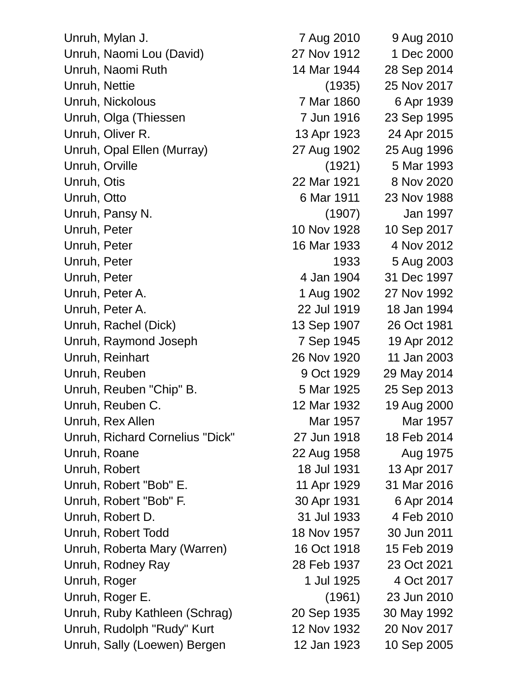Unruh, Mylan J. 7 Aug 2010 9 Aug 2010 Unruh, Naomi Lou (David) 27 Nov 1912 1 Dec 2000 Unruh, Naomi Ruth 14 Mar 1944 28 Sep 2014 Unruh, Nettie (1935) 25 Nov 2017 Unruh, Nickolous 7 Mar 1860 6 Apr 1939 Unruh, Olga (Thiessen 7 Jun 1916 23 Sep 1995 Unruh, Oliver R. 13 Apr 1923 24 Apr 2015 Unruh, Opal Ellen (Murray) 27 Aug 1902 25 Aug 1996 Unruh, Orville (1921) 5 Mar 1993 Unruh, Otis 22 Mar 1921 8 Nov 2020 Unruh, Otto 6 Mar 1911 23 Nov 1988 Unruh, Pansy N. (1907) Jan 1997 Unruh, Peter 10 Nov 1928 10 Sep 2017 Unruh, Peter 16 Mar 1933 4 Nov 2012 Unruh, Peter 1933 5 Aug 2003 Unruh, Peter 1997 Unruh, Peter A. 1 Aug 1902 27 Nov 1992 Unruh, Peter A. 22 Jul 1919 18 Jan 1994 Unruh, Rachel (Dick) 13 Sep 1907 26 Oct 1981 Unruh, Raymond Joseph 7 Sep 1945 19 Apr 2012 Unruh, Reinhart 26 Nov 1920 11 Jan 2003 Unruh, Reuben 9 Oct 1929 29 May 2014 Unruh, Reuben "Chip" B. 5 Mar 1925 25 Sep 2013 Unruh, Reuben C. 12 Mar 1932 19 Aug 2000 Unruh, Rex Allen Mar 1957 Mar 1957 Mar 1957 Unruh, Richard Cornelius "Dick" 27 Jun 1918 18 Feb 2014 Unruh, Roane 22 Aug 1958 Aug 1975 Unruh, Robert 18 Jul 1931 13 Apr 2017 Unruh, Robert "Bob" E. 11 Apr 1929 31 Mar 2016 Unruh, Robert "Bob" F. 30 Apr 1931 6 Apr 2014 Unruh, Robert D. 31 Jul 1933 4 Feb 2010 Unruh, Robert Todd 18 Nov 1957 30 Jun 2011 Unruh, Roberta Mary (Warren) 16 Oct 1918 15 Feb 2019 Unruh, Rodney Ray 28 Feb 1937 23 Oct 2021 Unruh, Roger 1 Jul 1925 4 Oct 2017 Unruh, Roger E. (1961) 23 Jun 2010 Unruh, Ruby Kathleen (Schrag) 20 Sep 1935 30 May 1992 Unruh, Rudolph "Rudy" Kurt 12 Nov 1932 20 Nov 2017

Unruh, Sally (Loewen) Bergen 12 Jan 1923 10 Sep 2005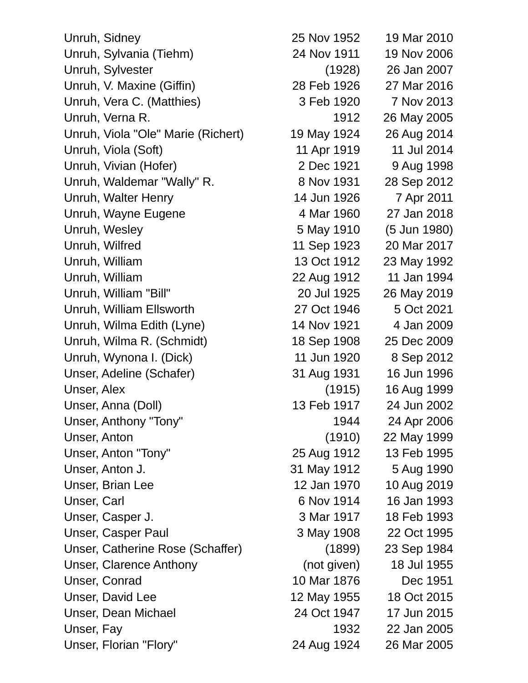| Unruh, Sidney                      | 25 Nov 1952 | 19 Mar 2010  |
|------------------------------------|-------------|--------------|
| Unruh, Sylvania (Tiehm)            | 24 Nov 1911 | 19 Nov 2006  |
| Unruh, Sylvester                   | (1928)      | 26 Jan 2007  |
| Unruh, V. Maxine (Giffin)          | 28 Feb 1926 | 27 Mar 2016  |
| Unruh, Vera C. (Matthies)          | 3 Feb 1920  | 7 Nov 2013   |
| Unruh, Verna R.                    | 1912        | 26 May 2005  |
| Unruh, Viola "Ole" Marie (Richert) | 19 May 1924 | 26 Aug 2014  |
| Unruh, Viola (Soft)                | 11 Apr 1919 | 11 Jul 2014  |
| Unruh, Vivian (Hofer)              | 2 Dec 1921  | 9 Aug 1998   |
| Unruh, Waldemar "Wally" R.         | 8 Nov 1931  | 28 Sep 2012  |
| Unruh, Walter Henry                | 14 Jun 1926 | 7 Apr 2011   |
| Unruh, Wayne Eugene                | 4 Mar 1960  | 27 Jan 2018  |
| Unruh, Wesley                      | 5 May 1910  | (5 Jun 1980) |
| Unruh, Wilfred                     | 11 Sep 1923 | 20 Mar 2017  |
| Unruh, William                     | 13 Oct 1912 | 23 May 1992  |
| Unruh, William                     | 22 Aug 1912 | 11 Jan 1994  |
| Unruh, William "Bill"              | 20 Jul 1925 | 26 May 2019  |
| Unruh, William Ellsworth           | 27 Oct 1946 | 5 Oct 2021   |
| Unruh, Wilma Edith (Lyne)          | 14 Nov 1921 | 4 Jan 2009   |
| Unruh, Wilma R. (Schmidt)          | 18 Sep 1908 | 25 Dec 2009  |
| Unruh, Wynona I. (Dick)            | 11 Jun 1920 | 8 Sep 2012   |
| Unser, Adeline (Schafer)           | 31 Aug 1931 | 16 Jun 1996  |
| Unser, Alex                        | (1915)      | 16 Aug 1999  |
| Unser, Anna (Doll)                 | 13 Feb 1917 | 24 Jun 2002  |
| Unser, Anthony "Tony"              | 1944        | 24 Apr 2006  |
| Unser, Anton                       | (1910)      | 22 May 1999  |
| Unser, Anton "Tony"                | 25 Aug 1912 | 13 Feb 1995  |
| Unser, Anton J.                    | 31 May 1912 | 5 Aug 1990   |
| Unser, Brian Lee                   | 12 Jan 1970 | 10 Aug 2019  |
| Unser, Carl                        | 6 Nov 1914  | 16 Jan 1993  |
| Unser, Casper J.                   | 3 Mar 1917  | 18 Feb 1993  |
| <b>Unser, Casper Paul</b>          | 3 May 1908  | 22 Oct 1995  |
| Unser, Catherine Rose (Schaffer)   | (1899)      | 23 Sep 1984  |
| <b>Unser, Clarence Anthony</b>     | (not given) | 18 Jul 1955  |
| Unser, Conrad                      | 10 Mar 1876 | Dec 1951     |
| Unser, David Lee                   | 12 May 1955 | 18 Oct 2015  |
| Unser, Dean Michael                | 24 Oct 1947 | 17 Jun 2015  |
| Unser, Fay                         | 1932        | 22 Jan 2005  |
| Unser, Florian "Flory"             | 24 Aug 1924 | 26 Mar 2005  |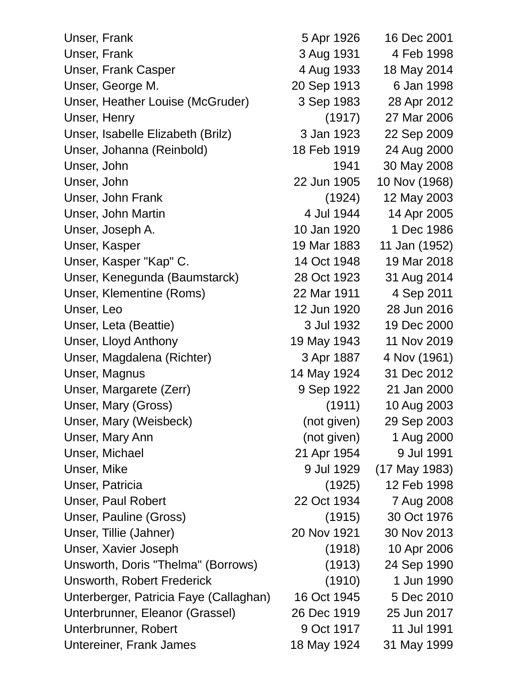Unser, Frank 1926 16 Dec 2001 Unser, Frank 3 Aug 1931 4 Feb 1998 Unser, Frank Casper 4 Aug 1933 18 May 2014 Unser, George M. 20 Sep 1913 6 Jan 1998 Unser, Heather Louise (McGruder) 3 Sep 1983 28 Apr 2012 Unser, Henry (1917) 27 Mar 2006 Unser, Isabelle Elizabeth (Brilz) 3 Jan 1923 22 Sep 2009 Unser, Johanna (Reinbold) 18 Feb 1919 24 Aug 2000 Unser, John 1941 30 May 2008 Unser, John 22 Jun 1905 10 Nov (1968) Unser, John Frank (1924) 12 May 2003 Unser, John Martin 14 Apr 2005 Unser, Joseph A. 10 Jan 1920 1 Dec 1986 Unser, Kasper 19 Mar 1883 11 Jan (1952) Unser, Kasper "Kap" C. 14 Oct 1948 19 Mar 2018 Unser, Kenegunda (Baumstarck) 28 Oct 1923 31 Aug 2014 Unser, Klementine (Roms) 22 Mar 1911 4 Sep 2011 Unser, Leo 12 Jun 1920 28 Jun 2016 Unser, Leta (Beattie) 3 Jul 1932 19 Dec 2000 Unser, Lloyd Anthony 19 May 1943 11 Nov 2019 Unser, Magdalena (Richter) 3 Apr 1887 4 Nov (1961) Unser, Magnus 14 May 1924 31 Dec 2012 Unser, Margarete (Zerr) 9 Sep 1922 21 Jan 2000 Unser, Mary (Gross) (1911) 10 Aug 2003 Unser, Mary (Weisbeck) (not given) 29 Sep 2003 Unser, Mary Ann (not given) 1 Aug 2000 Unser, Michael 21 Apr 1954 9 Jul 1991 Unser, Mike 9 Jul 1929 (17 May 1983) Unser, Patricia (1925) 12 Feb 1998 Unser, Paul Robert 22 Oct 1934 7 Aug 2008 Unser, Pauline (Gross) (1915) 30 Oct 1976 Unser, Tillie (Jahner) 20 Nov 1921 30 Nov 2013 Unser, Xavier Joseph (1918) 10 Apr 2006 Unsworth, Doris "Thelma" (Borrows) (1913) 24 Sep 1990 Unsworth, Robert Frederick (1910) 1 Jun 1990 Unterberger, Patricia Faye (Callaghan) 16 Oct 1945 5 Dec 2010 Unterbrunner, Eleanor (Grassel) 26 Dec 1919 25 Jun 2017 Unterbrunner, Robert 9 Oct 1917 11 Jul 1991 Untereiner, Frank James 18 May 1924 31 May 1999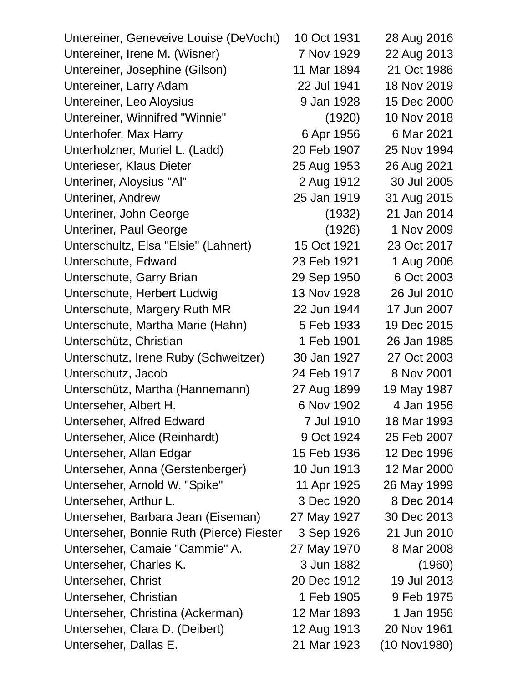| Untereiner, Geneveive Louise (DeVocht)   | 10 Oct 1931 | 28 Aug 2016  |
|------------------------------------------|-------------|--------------|
| Untereiner, Irene M. (Wisner)            | 7 Nov 1929  | 22 Aug 2013  |
| Untereiner, Josephine (Gilson)           | 11 Mar 1894 | 21 Oct 1986  |
| Untereiner, Larry Adam                   | 22 Jul 1941 | 18 Nov 2019  |
| Untereiner, Leo Aloysius                 | 9 Jan 1928  | 15 Dec 2000  |
| Untereiner, Winnifred "Winnie"           | (1920)      | 10 Nov 2018  |
| Unterhofer, Max Harry                    | 6 Apr 1956  | 6 Mar 2021   |
| Unterholzner, Muriel L. (Ladd)           | 20 Feb 1907 | 25 Nov 1994  |
| Unterieser, Klaus Dieter                 | 25 Aug 1953 | 26 Aug 2021  |
| Unteriner, Aloysius "Al"                 | 2 Aug 1912  | 30 Jul 2005  |
| <b>Unteriner, Andrew</b>                 | 25 Jan 1919 | 31 Aug 2015  |
| Unteriner, John George                   | (1932)      | 21 Jan 2014  |
| <b>Unteriner, Paul George</b>            | (1926)      | 1 Nov 2009   |
| Unterschultz, Elsa "Elsie" (Lahnert)     | 15 Oct 1921 | 23 Oct 2017  |
| Unterschute, Edward                      | 23 Feb 1921 | 1 Aug 2006   |
| Unterschute, Garry Brian                 | 29 Sep 1950 | 6 Oct 2003   |
| Unterschute, Herbert Ludwig              | 13 Nov 1928 | 26 Jul 2010  |
| Unterschute, Margery Ruth MR             | 22 Jun 1944 | 17 Jun 2007  |
| Unterschute, Martha Marie (Hahn)         | 5 Feb 1933  | 19 Dec 2015  |
| Unterschütz, Christian                   | 1 Feb 1901  | 26 Jan 1985  |
| Unterschutz, Irene Ruby (Schweitzer)     | 30 Jan 1927 | 27 Oct 2003  |
| Unterschutz, Jacob                       | 24 Feb 1917 | 8 Nov 2001   |
| Unterschütz, Martha (Hannemann)          | 27 Aug 1899 | 19 May 1987  |
| Unterseher, Albert H.                    | 6 Nov 1902  | 4 Jan 1956   |
| Unterseher, Alfred Edward                | 7 Jul 1910  | 18 Mar 1993  |
| Unterseher, Alice (Reinhardt)            | 9 Oct 1924  | 25 Feb 2007  |
| Unterseher, Allan Edgar                  | 15 Feb 1936 | 12 Dec 1996  |
| Unterseher, Anna (Gerstenberger)         | 10 Jun 1913 | 12 Mar 2000  |
| Unterseher, Arnold W. "Spike"            | 11 Apr 1925 | 26 May 1999  |
| Unterseher, Arthur L.                    | 3 Dec 1920  | 8 Dec 2014   |
| Unterseher, Barbara Jean (Eiseman)       | 27 May 1927 | 30 Dec 2013  |
| Unterseher, Bonnie Ruth (Pierce) Fiester | 3 Sep 1926  | 21 Jun 2010  |
| Unterseher, Camaie "Cammie" A.           | 27 May 1970 | 8 Mar 2008   |
| Unterseher, Charles K.                   | 3 Jun 1882  | (1960)       |
| Unterseher, Christ                       | 20 Dec 1912 | 19 Jul 2013  |
| Unterseher, Christian                    | 1 Feb 1905  | 9 Feb 1975   |
| Unterseher, Christina (Ackerman)         | 12 Mar 1893 | 1 Jan 1956   |
| Unterseher, Clara D. (Deibert)           | 12 Aug 1913 | 20 Nov 1961  |
| Unterseher, Dallas E.                    | 21 Mar 1923 | (10 Nov1980) |
|                                          |             |              |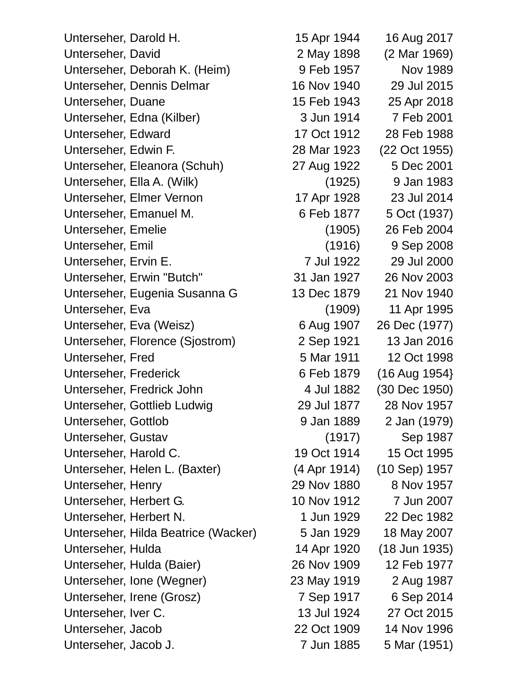Unterseher, Darold H. 15 Apr 1944 16 Aug 2017 Unterseher, David 2 May 1898 (2 Mar 1969) Unterseher, Deborah K. (Heim) 9 Feb 1957 Nov 1989 Unterseher, Dennis Delmar 16 Nov 1940 29 Jul 2015 Unterseher, Duane 15 Feb 1943 25 Apr 2018 Unterseher, Edna (Kilber) 3 Jun 1914 7 Feb 2001 Unterseher, Edward 17 Oct 1912 28 Feb 1988 Unterseher, Edwin F. 28 Mar 1923 (22 Oct 1955) Unterseher, Eleanora (Schuh) 27 Aug 1922 5 Dec 2001 Unterseher, Ella A. (Wilk) (1925) 9 Jan 1983 Unterseher, Elmer Vernon 17 Apr 1928 23 Jul 2014 Unterseher, Emanuel M. 6 Feb 1877 5 Oct (1937) Unterseher, Emelie (1905) 26 Feb 2004 Unterseher, Emil (1916) 9 Sep 2008 Unterseher, Ervin E. 7 Jul 1922 29 Jul 2000 Unterseher, Erwin "Butch" 31 Jan 1927 26 Nov 2003 Unterseher, Eugenia Susanna G 13 Dec 1879 21 Nov 1940 Unterseher, Eva (1909) 11 Apr 1995 Unterseher, Eva (Weisz) 6 Aug 1907 26 Dec (1977) Unterseher, Florence (Siostrom) 2 Sep 1921 13 Jan 2016 Unterseher, Fred 5 Mar 1911 12 Oct 1998 Unterseher, Frederick 6 Feb 1879 (16 Aug 1954) Unterseher, Fredrick John 4 Jul 1882 (30 Dec 1950) Unterseher, Gottlieb Ludwig 29 Jul 1877 28 Nov 1957 Unterseher, Gottlob 9 Jan 1889 2 Jan (1979) Unterseher, Gustav (1917) Sep 1987 Unterseher, Harold C. 19 Oct 1914 15 Oct 1995 Unterseher, Helen L. (Baxter) (4 Apr 1914) (10 Sep) 1957 Unterseher, Henry 29 Nov 1880 8 Nov 1957 Unterseher, Herbert G. 10 Nov 1912 7 Jun 2007 Unterseher, Herbert N. 1 Jun 1929 22 Dec 1982 Unterseher, Hilda Beatrice (Wacker) 5 Jan 1929 18 May 2007 Unterseher, Hulda 14 Apr 1920 (18 Jun 1935) Unterseher, Hulda (Baier) 26 Nov 1909 12 Feb 1977 Unterseher, Ione (Wegner) 23 May 1919 2 Aug 1987 Unterseher, Irene (Grosz) 7 Sep 1917 6 Sep 2014 Unterseher, Iver C. 13 Jul 1924 27 Oct 2015 Unterseher, Jacob 22 Oct 1909 14 Nov 1996 Unterseher, Jacob J. (2008) 7 Jun 1885 5 Mar (1951)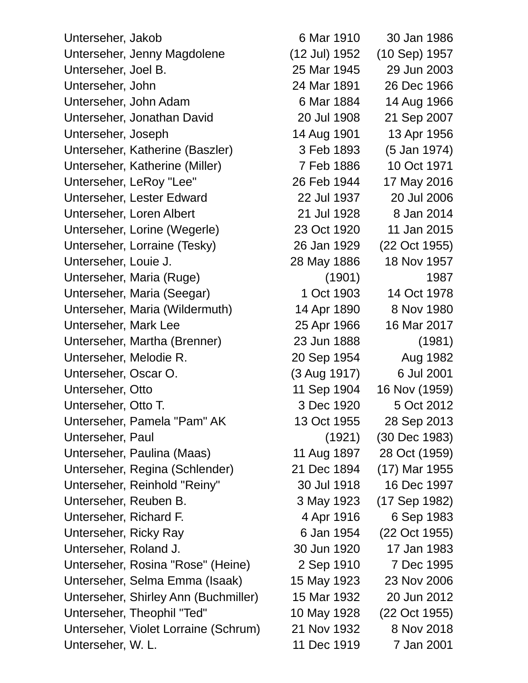Unterseher, Jakob 6 Mar 1910 30 Jan 1986 Unterseher, Jenny Magdolene (12 Jul) 1952 (10 Sep) 1957 Unterseher, Joel B. 25 Mar 1945 29 Jun 2003 Unterseher, John 24 Mar 1891 26 Dec 1966 Unterseher, John Adam 6 Mar 1884 14 Aug 1966 Unterseher, Jonathan David 20 Jul 1908 21 Sep 2007 Unterseher, Joseph 14 Aug 1901 13 Apr 1956 Unterseher, Katherine (Baszler) 3 Feb 1893 (5 Jan 1974) Unterseher, Katherine (Miller) 7 Feb 1886 10 Oct 1971 Unterseher, LeRoy "Lee" 26 Feb 1944 17 May 2016 Unterseher, Lester Edward 22 Jul 1937 20 Jul 2006 Unterseher, Loren Albert 21 Jul 1928 8 Jan 2014 Unterseher, Lorine (Wegerle) 23 Oct 1920 11 Jan 2015 Unterseher, Lorraine (Tesky) 26 Jan 1929 (22 Oct 1955) Unterseher, Louie J. 28 May 1886 18 Nov 1957 Unterseher, Maria (Ruge) (1901) 1987 Unterseher, Maria (Seegar) 1 Oct 1903 14 Oct 1978 Unterseher, Maria (Wildermuth) 14 Apr 1890 8 Nov 1980 Unterseher, Mark Lee 25 Apr 1966 16 Mar 2017 Unterseher, Martha (Brenner) 23 Jun 1888 (1981) Unterseher, Melodie R. 20 Sep 1954 Aug 1982 Unterseher, Oscar O. (3 Aug 1917) 6 Jul 2001 Unterseher, Otto 11 Sep 1904 16 Nov (1959) Unterseher, Otto T. 3 Dec 1920 5 Oct 2012 Unterseher, Pamela "Pam" AK 13 Oct 1955 28 Sep 2013 Unterseher, Paul (1921) (30 Dec 1983) Unterseher, Paulina (Maas) 11 Aug 1897 28 Oct (1959) Unterseher, Regina (Schlender) 21 Dec 1894 (17) Mar 1955 Unterseher, Reinhold "Reiny" 30 Jul 1918 16 Dec 1997 Unterseher, Reuben B. 3 May 1923 (17 Sep 1982) Unterseher, Richard F. 4 Apr 1916 6 Sep 1983 Unterseher, Ricky Ray 6 Jan 1954 (22 Oct 1955) Unterseher, Roland J. 30 Jun 1920 17 Jan 1983 Unterseher, Rosina "Rose" (Heine) 2 Sep 1910 7 Dec 1995 Unterseher, Selma Emma (Isaak) 15 May 1923 23 Nov 2006 Unterseher, Shirley Ann (Buchmiller) 15 Mar 1932 20 Jun 2012 Unterseher, Theophil "Ted" 10 May 1928 (22 Oct 1955) Unterseher, Violet Lorraine (Schrum) 21 Nov 1932 8 Nov 2018

Unterseher, W. L. 11 Dec 1919 7 Jan 2001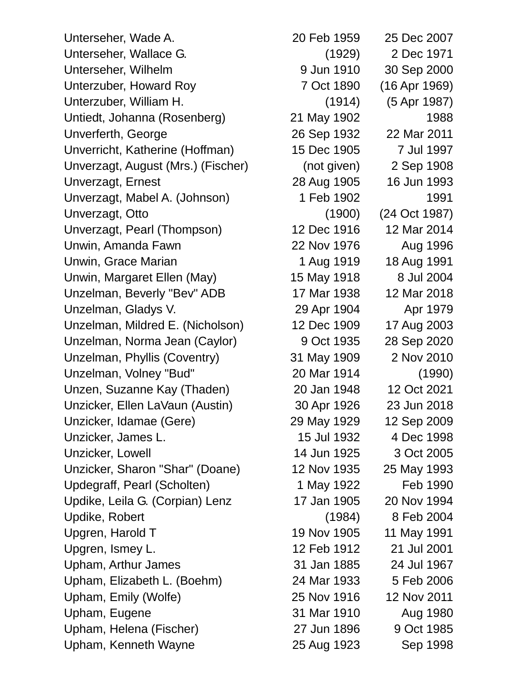Unterseher, Wade A. 20 Feb 1959 25 Dec 2007 Unterseher, Wallace G. (1929) 2 Dec 1971 Unterseher, Wilhelm 9 Jun 1910 30 Sep 2000 Unterzuber, Howard Roy 7 Oct 1890 (16 Apr 1969) Unterzuber, William H. (1914) (5 Apr 1987) Untiedt, Johanna (Rosenberg) 21 May 1902 1988 Unverferth, George 26 Sep 1932 22 Mar 2011 Unverricht, Katherine (Hoffman) 15 Dec 1905 7 Jul 1997 Unverzagt, August (Mrs.) (Fischer) (not given) 2 Sep 1908 Unverzagt, Ernest 28 Aug 1905 16 Jun 1993 Unverzagt, Mabel A. (Johnson) 1 Feb 1902 1991 Unverzagt, Otto (1900) (24 Oct 1987) Unverzagt, Pearl (Thompson) 12 Dec 1916 12 Mar 2014 Unwin, Amanda Fawn 22 Nov 1976 Aug 1996 Unwin, Grace Marian 1 Aug 1919 18 Aug 1991 Unwin, Margaret Ellen (May) 15 May 1918 8 Jul 2004 Unzelman, Beverly "Bev" ADB 17 Mar 1938 12 Mar 2018 Unzelman, Gladys V. 29 Apr 1904 Apr 1979 Unzelman, Mildred E. (Nicholson) 12 Dec 1909 17 Aug 2003 Unzelman, Norma Jean (Caylor) 9 Oct 1935 28 Sep 2020 Unzelman, Phyllis (Coventry) 31 May 1909 2 Nov 2010 Unzelman, Volney "Bud" 20 Mar 1914 (1990) Unzen, Suzanne Kay (Thaden) 20 Jan 1948 12 Oct 2021 Unzicker, Ellen LaVaun (Austin) 30 Apr 1926 23 Jun 2018 Unzicker, Idamae (Gere) 29 May 1929 12 Sep 2009 Unzicker, James L. 15 Jul 1932 4 Dec 1998 Unzicker, Lowell 14 Jun 1925 3 Oct 2005 Unzicker, Sharon "Shar" (Doane) 12 Nov 1935 25 May 1993 Updegraff, Pearl (Scholten) 1 May 1922 Feb 1990 Updike, Leila G. (Corpian) Lenz 17 Jan 1905 20 Nov 1994 Updike, Robert (1984) 8 Feb 2004 Upgren, Harold T 19 Nov 1905 11 May 1991 Upgren, Ismey L. 12 Feb 1912 21 Jul 2001 Upham, Arthur James 31 Jan 1885 24 Jul 1967 Upham, Elizabeth L. (Boehm) 24 Mar 1933 5 Feb 2006 Upham, Emily (Wolfe) 25 Nov 1916 12 Nov 2011 Upham, Eugene 2012 2022 31 Mar 1910 Aug 1980 Upham, Helena (Fischer) 27 Jun 1896 9 Oct 1985 Upham, Kenneth Wayne 25 Aug 1923 Sep 1998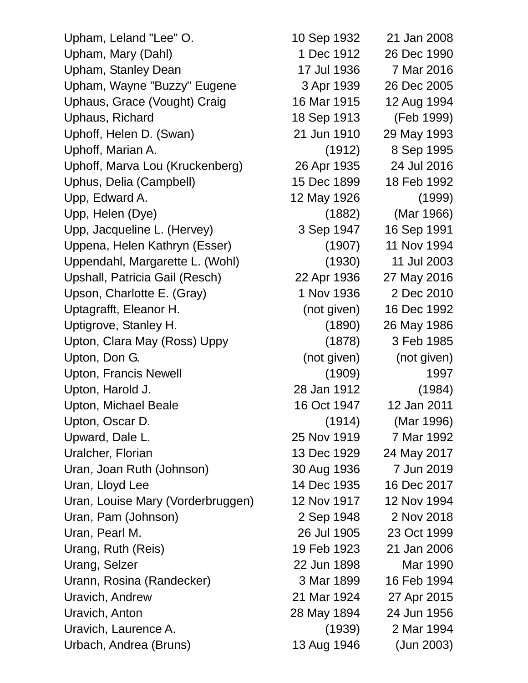Upham, Leland "Lee" O. 10 Sep 1932 21 Jan 2008 Upham, Mary (Dahl) 1 Dec 1912 26 Dec 1990 Upham, Stanley Dean 17 Jul 1936 7 Mar 2016 Upham, Wayne "Buzzy" Eugene 3 Apr 1939 26 Dec 2005 Uphaus, Grace (Vought) Craig 16 Mar 1915 12 Aug 1994 Uphaus, Richard 18 Sep 1913 (Feb 1999) Uphoff, Helen D. (Swan) 21 Jun 1910 29 May 1993 Uphoff, Marian A. (1912) 8 Sep 1995 Uphoff, Marva Lou (Kruckenberg) 26 Apr 1935 24 Jul 2016 Uphus, Delia (Campbell) 15 Dec 1899 18 Feb 1992 Upp, Edward A. 12 May 1926 (1999) Upp, Helen (Dye) (1882) (Mar 1966) Upp, Jacqueline L. (Hervey) 3 Sep 1947 16 Sep 1991 Uppena, Helen Kathryn (Esser) (1907) 11 Nov 1994 Uppendahl, Margarette L. (Wohl) (1930) 11 Jul 2003 Upshall, Patricia Gail (Resch) 22 Apr 1936 27 May 2016 Upson, Charlotte E. (Gray) 1 Nov 1936 2 Dec 2010 Uptagrafft, Eleanor H. (not given) 16 Dec 1992 Uptigrove, Stanley H. (1890) 26 May 1986 Upton, Clara May (Ross) Uppy (1878) 3 Feb 1985 Upton, Don G. (not given) (not given) (not given) Upton, Francis Newell (1909) 1997 Upton, Harold J. 28 Jan 1912 (1984) Upton, Michael Beale 16 Oct 1947 12 Jan 2011 Upton, Oscar D. (1914) (Mar 1996) Upward, Dale L. 25 Nov 1919 7 Mar 1992 Uralcher, Florian 13 Dec 1929 24 May 2017 Uran, Joan Ruth (Johnson) 30 Aug 1936 7 Jun 2019 Uran, Lloyd Lee 14 Dec 1935 16 Dec 2017 Uran, Louise Mary (Vorderbruggen) 12 Nov 1917 12 Nov 1994 Uran, Pam (Johnson) 2 Sep 1948 2 Nov 2018 Uran, Pearl M. 26 Jul 1905 23 Oct 1999 Urang, Ruth (Reis) 19 Feb 1923 21 Jan 2006 Urang, Selzer 22 Jun 1898 Mar 1990 Urann, Rosina (Randecker) 3 Mar 1899 16 Feb 1994 Uravich, Andrew 21 Mar 1924 27 Apr 2015 Uravich, Anton 28 May 1894 24 Jun 1956 Uravich, Laurence A. (1939) 2 Mar 1994

Urbach, Andrea (Bruns) 13 Aug 1946 (Jun 2003)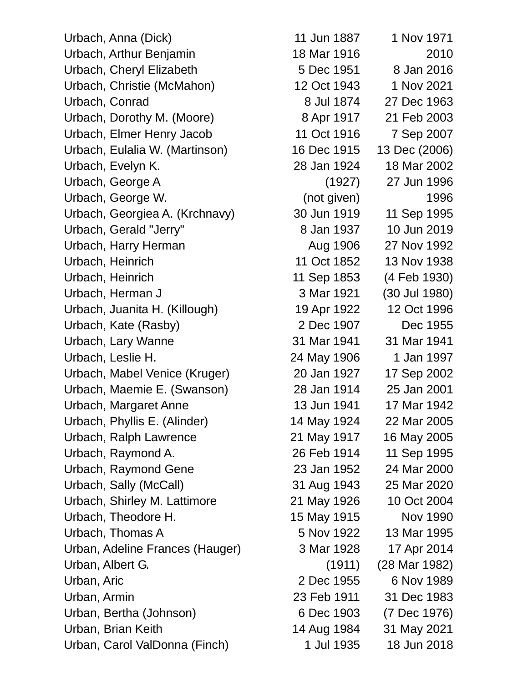Urbach, Anna (Dick) 11 Jun 1887 1 Nov 1971 Urbach, Arthur Benjamin 18 Mar 1916 2010 Urbach, Cheryl Elizabeth 5 Dec 1951 8 Jan 2016 Urbach, Christie (McMahon) 12 Oct 1943 1 Nov 2021 Urbach, Conrad 8 Jul 1874 27 Dec 1963 Urbach, Dorothy M. (Moore) 8 Apr 1917 21 Feb 2003 Urbach, Elmer Henry Jacob 11 Oct 1916 7 Sep 2007 Urbach, Eulalia W. (Martinson) 16 Dec 1915 13 Dec (2006) Urbach, Evelyn K. 28 Jan 1924 18 Mar 2002 Urbach, George A (1927) 27 Jun 1996 Urbach, George W. (not given) 1996 Urbach, Georgiea A. (Krchnavy) 30 Jun 1919 11 Sep 1995 Urbach, Gerald "Jerry" 8 Jan 1937 10 Jun 2019 Urbach, Harry Herman Aug 1906 27 Nov 1992 Urbach, Heinrich 11 Oct 1852 13 Nov 1938 Urbach, Heinrich 11 Sep 1853 (4 Feb 1930) Urbach, Herman J 3 Mar 1921 (30 Jul 1980) Urbach, Juanita H. (Killough) 19 Apr 1922 12 Oct 1996 Urbach, Kate (Rasby) 2 Dec 1907 Dec 1955 Urbach, Lary Wanne 31 Mar 1941 31 Mar 1941 Urbach, Leslie H. 24 May 1906 1 Jan 1997 Urbach, Mabel Venice (Kruger) 20 Jan 1927 17 Sep 2002 Urbach, Maemie E. (Swanson) 28 Jan 1914 25 Jan 2001 Urbach, Margaret Anne 13 Jun 1941 17 Mar 1942 Urbach, Phyllis E. (Alinder) 14 May 1924 22 Mar 2005 Urbach, Ralph Lawrence 21 May 1917 16 May 2005 Urbach, Raymond A. 26 Feb 1914 11 Sep 1995 Urbach, Raymond Gene 23 Jan 1952 24 Mar 2000 Urbach, Sally (McCall) 31 Aug 1943 25 Mar 2020 Urbach, Shirley M. Lattimore 21 May 1926 10 Oct 2004 Urbach, Theodore H. 15 May 1915 Nov 1990 Urbach, Thomas A 5 Nov 1922 13 Mar 1995 Urban, Adeline Frances (Hauger) 3 Mar 1928 17 Apr 2014 Urban, Albert G. (1911) (28 Mar 1982) Urban, Aric 2 Dec 1955 6 Nov 1989 Urban, Armin 23 Feb 1911 31 Dec 1983 Urban, Bertha (Johnson) 6 Dec 1903 (7 Dec 1976) Urban, Brian Keith 14 Aug 1984 31 May 2021 Urban, Carol ValDonna (Finch) 1 Jul 1935 18 Jun 2018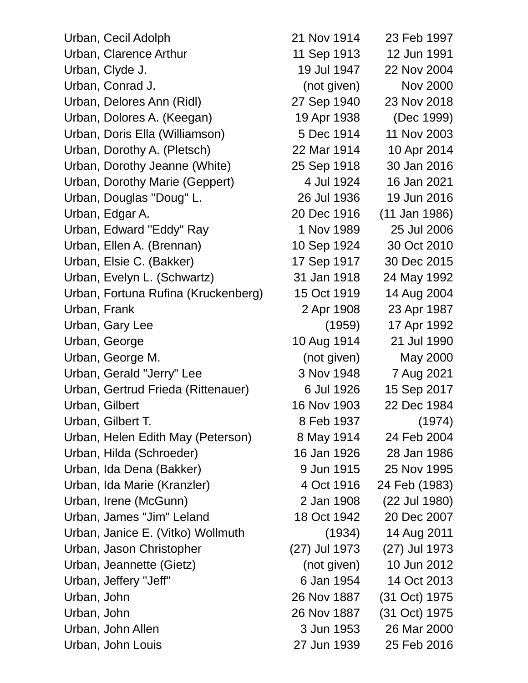Urban, Cecil Adolph 21 Nov 1914 23 Feb 1997 Urban, Clarence Arthur 11 Sep 1913 12 Jun 1991 Urban, Clyde J. 19 Jul 1947 22 Nov 2004 Urban, Conrad J. (not given) Nov 2000 Urban, Delores Ann (Ridl) 27 Sep 1940 23 Nov 2018 Urban, Dolores A. (Keegan) 19 Apr 1938 (Dec 1999) Urban, Doris Ella (Williamson) 5 Dec 1914 11 Nov 2003 Urban, Dorothy A. (Pletsch) 22 Mar 1914 10 Apr 2014 Urban, Dorothy Jeanne (White) 25 Sep 1918 30 Jan 2016 Urban, Dorothy Marie (Geppert) 4 Jul 1924 16 Jan 2021 Urban, Douglas "Doug" L. 26 Jul 1936 19 Jun 2016 Urban, Edgar A. 20 Dec 1916 (11 Jan 1986) Urban, Edward "Eddy" Ray 1 Nov 1989 25 Jul 2006 Urban, Ellen A. (Brennan) 10 Sep 1924 30 Oct 2010 Urban, Elsie C. (Bakker) 17 Sep 1917 30 Dec 2015 Urban, Evelyn L. (Schwartz) 31 Jan 1918 24 May 1992 Urban, Fortuna Rufina (Kruckenberg) 15 Oct 1919 14 Aug 2004 Urban, Frank 2 Apr 1908 23 Apr 1987 Urban, Gary Lee (1959) 17 Apr 1992 Urban, George 10 Aug 1914 21 Jul 1990 Urban, George M. (not given) May 2000 Urban, Gerald "Jerry" Lee 3 Nov 1948 7 Aug 2021 Urban, Gertrud Frieda (Rittenauer) 6 Jul 1926 15 Sep 2017 Urban, Gilbert 16 Nov 1903 22 Dec 1984 Urban, Gilbert T. 68 Feb 1937 (1974) Urban, Helen Edith May (Peterson) 8 May 1914 24 Feb 2004 Urban, Hilda (Schroeder) 16 Jan 1926 28 Jan 1986 Urban, Ida Dena (Bakker) 8 Jun 1915 25 Nov 1995 Urban, Ida Marie (Kranzler) 4 Oct 1916 24 Feb (1983) Urban, Irene (McGunn) 2 Jan 1908 (22 Jul 1980) Urban, James "Jim" Leland 18 Oct 1942 20 Dec 2007 Urban, Janice E. (Vitko) Wollmuth (1934) 14 Aug 2011 Urban, Jason Christopher (27) Jul 1973 (27) Jul 1973 Urban, Jeannette (Gietz) (not given) 10 Jun 2012 Urban, Jeffery "Jeff" 6 Jan 1954 14 Oct 2013 Urban, John 26 Nov 1887 (31 Oct) 1975 Urban, John 26 Nov 1887 (31 Oct) 1975 Urban, John Allen 3 Jun 1953 26 Mar 2000 Urban, John Louis 27 Jun 1939 25 Feb 2016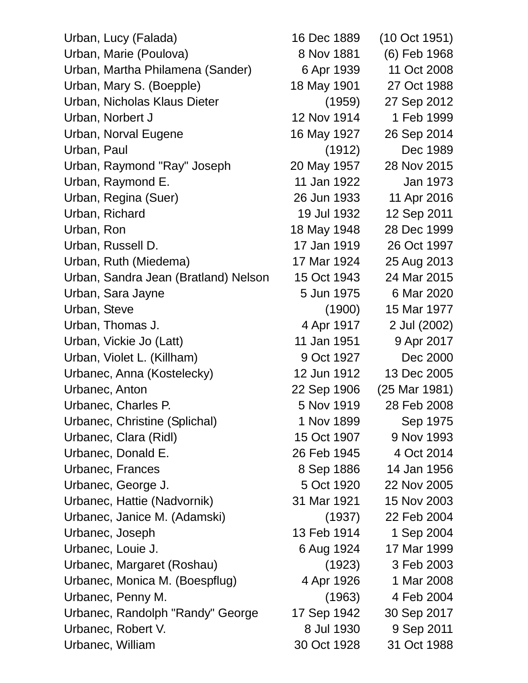Urban, Lucy (Falada) 16 Dec 1889 (10 Oct 1951) Urban, Marie (Poulova) 8 Nov 1881 (6) Feb 1968 Urban, Martha Philamena (Sander) 6 Apr 1939 11 Oct 2008 Urban, Mary S. (Boepple) 18 May 1901 27 Oct 1988 Urban, Nicholas Klaus Dieter (1959) 27 Sep 2012 Urban, Norbert J 12 Nov 1914 1 Feb 1999 Urban, Norval Eugene 16 May 1927 26 Sep 2014 Urban, Paul (1912) Dec 1989 Urban, Raymond "Ray" Joseph 20 May 1957 28 Nov 2015 Urban, Raymond E. 11 Jan 1922 Jan 1973 Urban, Regina (Suer) 26 Jun 1933 11 Apr 2016 Urban, Richard 19 Jul 1932 12 Sep 2011 Urban, Ron 18 May 1948 28 Dec 1999 Urban, Russell D. 17 Jan 1919 26 Oct 1997 Urban, Ruth (Miedema) 17 Mar 1924 25 Aug 2013 Urban, Sandra Jean (Bratland) Nelson 15 Oct 1943 24 Mar 2015 Urban, Sara Jayne 5 Jun 1975 6 Mar 2020 Urban, Steve (1900) 15 Mar 1977 Urban, Thomas J. 4 Apr 1917 2 Jul (2002) Urban, Vickie Jo (Latt) 11 Jan 1951 9 Apr 2017 Urban, Violet L. (Killham) 9 Oct 1927 Dec 2000 Urbanec, Anna (Kostelecky) 12 Jun 1912 13 Dec 2005 Urbanec, Anton 22 Sep 1906 (25 Mar 1981) Urbanec, Charles P. 6 0 1919 1919 18 Feb 2008 Urbanec, Christine (Splichal) 1 Nov 1899 Sep 1975 Urbanec, Clara (Ridl) 15 Oct 1907 9 Nov 1993 Urbanec, Donald E. 26 Feb 1945 4 Oct 2014 Urbanec, Frances 8 Sep 1886 14 Jan 1956 Urbanec, George J. 6 **5 Oct 1920** 22 Nov 2005 Urbanec, Hattie (Nadvornik) 31 Mar 1921 15 Nov 2003 Urbanec, Janice M. (Adamski) (1937) 22 Feb 2004 Urbanec, Joseph 13 Feb 1914 1 Sep 2004 Urbanec, Louie J. 6 Aug 1924 17 Mar 1999 Urbanec, Margaret (Roshau) (1923) 3 Feb 2003 Urbanec, Monica M. (Boespflug) 4 Apr 1926 1 Mar 2008 Urbanec, Penny M. (1963) 4 Feb 2004 Urbanec, Randolph "Randy" George 17 Sep 1942 30 Sep 2017 Urbanec, Robert V. 6 8 Jul 1930 9 Sep 2011 Urbanec, William 30 Oct 1928 31 Oct 1988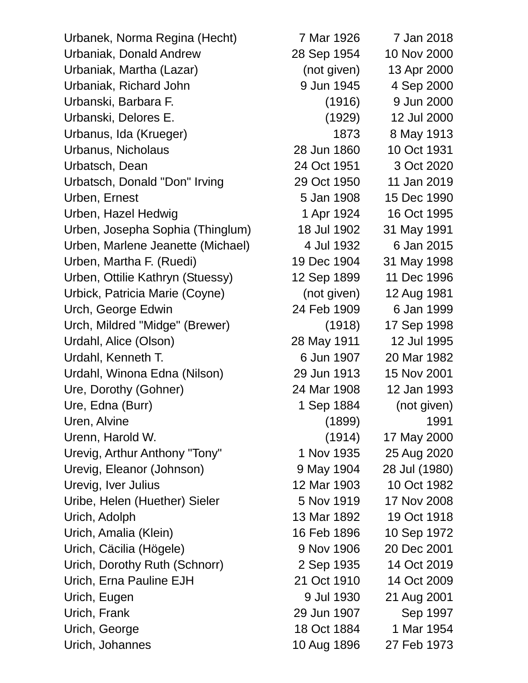Urbanek, Norma Regina (Hecht) 7 Mar 1926 7 Jan 2018 Urbaniak, Donald Andrew 28 Sep 1954 10 Nov 2000 Urbaniak, Martha (Lazar) (not given) 13 Apr 2000 Urbaniak, Richard John 9 Jun 1945 4 Sep 2000 Urbanski, Barbara F. (1916) 9 Jun 2000 Urbanski, Delores E. (1929) 12 Jul 2000 Urbanus, Ida (Krueger) 1873 8 May 1913 Urbanus, Nicholaus 28 Jun 1860 10 Oct 1931 Urbatsch, Dean 24 Oct 1951 3 Oct 2020 Urbatsch, Donald "Don" Irving 29 Oct 1950 11 Jan 2019 Urben, Ernest 6 Jan 1908 15 Dec 1990 Urben, Hazel Hedwig 1 Apr 1924 16 Oct 1995 Urben, Josepha Sophia (Thinglum) 18 Jul 1902 31 May 1991 Urben, Marlene Jeanette (Michael) 4 Jul 1932 6 Jan 2015 Urben, Martha F. (Ruedi) 19 Dec 1904 31 May 1998 Urben, Ottilie Kathryn (Stuessy) 12 Sep 1899 11 Dec 1996 Urbick, Patricia Marie (Coyne) (not given) 12 Aug 1981 Urch, George Edwin 24 Feb 1909 6 Jan 1999 Urch, Mildred "Midge" (Brewer) (1918) 17 Sep 1998 Urdahl, Alice (Olson) 28 May 1911 12 Jul 1995 Urdahl, Kenneth T. 6 Jun 1907 20 Mar 1982 Urdahl, Winona Edna (Nilson) 29 Jun 1913 15 Nov 2001 Ure, Dorothy (Gohner) 24 Mar 1908 12 Jan 1993 Ure, Edna (Burr) 1 Sep 1884 (not given) Uren, Alvine 1991 (1899) 1991 Urenn, Harold W. (1914) 17 May 2000 Urevig, Arthur Anthony "Tony" 1 Nov 1935 25 Aug 2020 Urevig, Eleanor (Johnson) 9 May 1904 28 Jul (1980) Urevig, Iver Julius 12 Mar 1903 10 Oct 1982 Uribe, Helen (Huether) Sieler 5 Nov 1919 17 Nov 2008 Urich, Adolph 13 Mar 1892 19 Oct 1918 Urich, Amalia (Klein) 16 Feb 1896 10 Sep 1972 Urich, Cäcilia (Högele) 9 Nov 1906 20 Dec 2001 Urich, Dorothy Ruth (Schnorr) 2 Sep 1935 14 Oct 2019 Urich, Erna Pauline EJH 21 Oct 1910 14 Oct 2009 Urich, Eugen 9 Jul 1930 21 Aug 2001 Urich, Frank 29 Jun 1907 Sep 1997 Urich, George 18 Oct 1884 1 Mar 1954

Urich, Johannes 10 Aug 1896 27 Feb 1973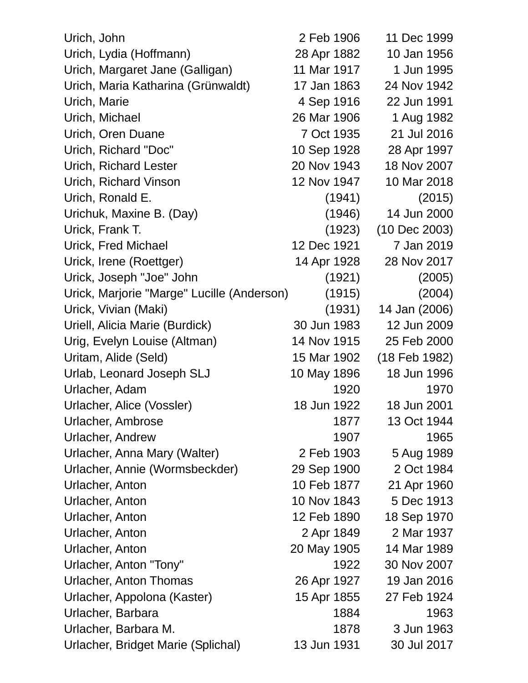| Urich, John                                | 2 Feb 1906  | 11 Dec 1999   |
|--------------------------------------------|-------------|---------------|
| Urich, Lydia (Hoffmann)                    | 28 Apr 1882 | 10 Jan 1956   |
| Urich, Margaret Jane (Galligan)            | 11 Mar 1917 | 1 Jun 1995    |
| Urich, Maria Katharina (Grünwaldt)         | 17 Jan 1863 | 24 Nov 1942   |
| Urich, Marie                               | 4 Sep 1916  | 22 Jun 1991   |
| Urich, Michael                             | 26 Mar 1906 | 1 Aug 1982    |
| Urich, Oren Duane                          | 7 Oct 1935  | 21 Jul 2016   |
| Urich, Richard "Doc"                       | 10 Sep 1928 | 28 Apr 1997   |
| Urich, Richard Lester                      | 20 Nov 1943 | 18 Nov 2007   |
| Urich, Richard Vinson                      | 12 Nov 1947 | 10 Mar 2018   |
| Urich, Ronald E.                           | (1941)      | (2015)        |
| Urichuk, Maxine B. (Day)                   | (1946)      | 14 Jun 2000   |
| Urick, Frank T.                            | (1923)      | (10 Dec 2003) |
| <b>Urick, Fred Michael</b>                 | 12 Dec 1921 | 7 Jan 2019    |
| Urick, Irene (Roettger)                    | 14 Apr 1928 | 28 Nov 2017   |
| Urick, Joseph "Joe" John                   | (1921)      | (2005)        |
| Urick, Marjorie "Marge" Lucille (Anderson) | (1915)      | (2004)        |
| Urick, Vivian (Maki)                       | (1931)      | 14 Jan (2006) |
| Uriell, Alicia Marie (Burdick)             | 30 Jun 1983 | 12 Jun 2009   |
| Urig, Evelyn Louise (Altman)               | 14 Nov 1915 | 25 Feb 2000   |
| Uritam, Alide (Seld)                       | 15 Mar 1902 | (18 Feb 1982) |
| Urlab, Leonard Joseph SLJ                  | 10 May 1896 | 18 Jun 1996   |
| Urlacher, Adam                             | 1920        | 1970          |
| Urlacher, Alice (Vossler)                  | 18 Jun 1922 | 18 Jun 2001   |
| Urlacher, Ambrose                          | 1877        | 13 Oct 1944   |
| Urlacher, Andrew                           | 1907        | 1965          |
| Urlacher, Anna Mary (Walter)               | 2 Feb 1903  | 5 Aug 1989    |
| Urlacher, Annie (Wormsbeckder)             | 29 Sep 1900 | 2 Oct 1984    |
| Urlacher, Anton                            | 10 Feb 1877 | 21 Apr 1960   |
| Urlacher, Anton                            | 10 Nov 1843 | 5 Dec 1913    |
| Urlacher, Anton                            | 12 Feb 1890 | 18 Sep 1970   |
| Urlacher, Anton                            | 2 Apr 1849  | 2 Mar 1937    |
| Urlacher, Anton                            | 20 May 1905 | 14 Mar 1989   |
| Urlacher, Anton "Tony"                     | 1922        | 30 Nov 2007   |
| <b>Urlacher, Anton Thomas</b>              | 26 Apr 1927 | 19 Jan 2016   |
| Urlacher, Appolona (Kaster)                | 15 Apr 1855 | 27 Feb 1924   |
| Urlacher, Barbara                          | 1884        | 1963          |
| Urlacher, Barbara M.                       | 1878        | 3 Jun 1963    |
| Urlacher, Bridget Marie (Splichal)         | 13 Jun 1931 | 30 Jul 2017   |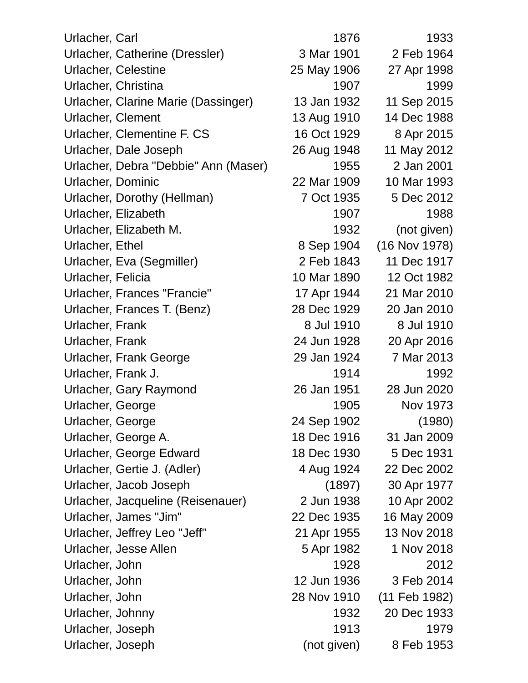| Urlacher, Carl                       | 1876        | 1933          |
|--------------------------------------|-------------|---------------|
| Urlacher, Catherine (Dressler)       | 3 Mar 1901  | 2 Feb 1964    |
| <b>Urlacher, Celestine</b>           | 25 May 1906 | 27 Apr 1998   |
| Urlacher, Christina                  | 1907        | 1999          |
| Urlacher, Clarine Marie (Dassinger)  | 13 Jan 1932 | 11 Sep 2015   |
| Urlacher, Clement                    | 13 Aug 1910 | 14 Dec 1988   |
| Urlacher, Clementine F. CS           | 16 Oct 1929 | 8 Apr 2015    |
| Urlacher, Dale Joseph                | 26 Aug 1948 | 11 May 2012   |
| Urlacher, Debra "Debbie" Ann (Maser) | 1955        | 2 Jan 2001    |
| Urlacher, Dominic                    | 22 Mar 1909 | 10 Mar 1993   |
| Urlacher, Dorothy (Hellman)          | 7 Oct 1935  | 5 Dec 2012    |
| Urlacher, Elizabeth                  | 1907        | 1988          |
| Urlacher, Elizabeth M.               | 1932        | (not given)   |
| Urlacher, Ethel                      | 8 Sep 1904  | (16 Nov 1978) |
| Urlacher, Eva (Segmiller)            | 2 Feb 1843  | 11 Dec 1917   |
| Urlacher, Felicia                    | 10 Mar 1890 | 12 Oct 1982   |
| Urlacher, Frances "Francie"          | 17 Apr 1944 | 21 Mar 2010   |
| Urlacher, Frances T. (Benz)          | 28 Dec 1929 | 20 Jan 2010   |
| Urlacher, Frank                      | 8 Jul 1910  | 8 Jul 1910    |
| Urlacher, Frank                      | 24 Jun 1928 | 20 Apr 2016   |
| Urlacher, Frank George               | 29 Jan 1924 | 7 Mar 2013    |
| Urlacher, Frank J.                   | 1914        | 1992          |
| Urlacher, Gary Raymond               | 26 Jan 1951 | 28 Jun 2020   |
| Urlacher, George                     | 1905        | Nov 1973      |
| Urlacher, George                     | 24 Sep 1902 | (1980)        |
| Urlacher, George A.                  | 18 Dec 1916 | 31 Jan 2009   |
| Urlacher, George Edward              | 18 Dec 1930 | 5 Dec 1931    |
| Urlacher, Gertie J. (Adler)          | 4 Aug 1924  | 22 Dec 2002   |
| Urlacher, Jacob Joseph               | (1897)      | 30 Apr 1977   |
| Urlacher, Jacqueline (Reisenauer)    | 2 Jun 1938  | 10 Apr 2002   |
| Urlacher, James "Jim"                | 22 Dec 1935 | 16 May 2009   |
| Urlacher, Jeffrey Leo "Jeff"         | 21 Apr 1955 | 13 Nov 2018   |
| Urlacher, Jesse Allen                | 5 Apr 1982  | 1 Nov 2018    |
| Urlacher, John                       | 1928        | 2012          |
| Urlacher, John                       | 12 Jun 1936 | 3 Feb 2014    |
| Urlacher, John                       | 28 Nov 1910 | (11 Feb 1982) |
| Urlacher, Johnny                     | 1932        | 20 Dec 1933   |
| Urlacher, Joseph                     | 1913        | 1979          |
| Urlacher, Joseph                     | (not given) | 8 Feb 1953    |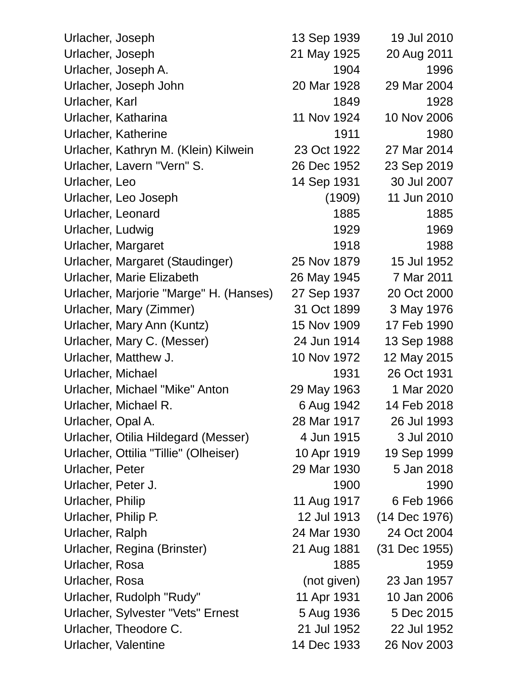| Urlacher, Joseph                       | 13 Sep 1939 | 19 Jul 2010   |
|----------------------------------------|-------------|---------------|
| Urlacher, Joseph                       | 21 May 1925 | 20 Aug 2011   |
| Urlacher, Joseph A.                    | 1904        | 1996          |
| Urlacher, Joseph John                  | 20 Mar 1928 | 29 Mar 2004   |
| Urlacher, Karl                         | 1849        | 1928          |
| Urlacher, Katharina                    | 11 Nov 1924 | 10 Nov 2006   |
| <b>Urlacher, Katherine</b>             | 1911        | 1980          |
| Urlacher, Kathryn M. (Klein) Kilwein   | 23 Oct 1922 | 27 Mar 2014   |
| Urlacher, Lavern "Vern" S.             | 26 Dec 1952 | 23 Sep 2019   |
| Urlacher, Leo                          | 14 Sep 1931 | 30 Jul 2007   |
| Urlacher, Leo Joseph                   | (1909)      | 11 Jun 2010   |
| Urlacher, Leonard                      | 1885        | 1885          |
| Urlacher, Ludwig                       | 1929        | 1969          |
| Urlacher, Margaret                     | 1918        | 1988          |
| Urlacher, Margaret (Staudinger)        | 25 Nov 1879 | 15 Jul 1952   |
| Urlacher, Marie Elizabeth              | 26 May 1945 | 7 Mar 2011    |
| Urlacher, Marjorie "Marge" H. (Hanses) | 27 Sep 1937 | 20 Oct 2000   |
| Urlacher, Mary (Zimmer)                | 31 Oct 1899 | 3 May 1976    |
| Urlacher, Mary Ann (Kuntz)             | 15 Nov 1909 | 17 Feb 1990   |
| Urlacher, Mary C. (Messer)             | 24 Jun 1914 | 13 Sep 1988   |
| Urlacher, Matthew J.                   | 10 Nov 1972 | 12 May 2015   |
| Urlacher, Michael                      | 1931        | 26 Oct 1931   |
| Urlacher, Michael "Mike" Anton         | 29 May 1963 | 1 Mar 2020    |
| Urlacher, Michael R.                   | 6 Aug 1942  | 14 Feb 2018   |
| Urlacher, Opal A.                      | 28 Mar 1917 | 26 Jul 1993   |
| Urlacher, Otilia Hildegard (Messer)    | 4 Jun 1915  | 3 Jul 2010    |
| Urlacher, Ottilia "Tillie" (Olheiser)  | 10 Apr 1919 | 19 Sep 1999   |
| Urlacher, Peter                        | 29 Mar 1930 | 5 Jan 2018    |
| Urlacher, Peter J.                     | 1900        | 1990          |
| Urlacher, Philip                       | 11 Aug 1917 | 6 Feb 1966    |
| Urlacher, Philip P.                    | 12 Jul 1913 | (14 Dec 1976) |
| Urlacher, Ralph                        | 24 Mar 1930 | 24 Oct 2004   |
| Urlacher, Regina (Brinster)            | 21 Aug 1881 | (31 Dec 1955) |
| Urlacher, Rosa                         | 1885        | 1959          |
| Urlacher, Rosa                         | (not given) | 23 Jan 1957   |
| Urlacher, Rudolph "Rudy"               | 11 Apr 1931 | 10 Jan 2006   |
| Urlacher, Sylvester "Vets" Ernest      | 5 Aug 1936  | 5 Dec 2015    |
| Urlacher, Theodore C.                  | 21 Jul 1952 | 22 Jul 1952   |
| Urlacher, Valentine                    | 14 Dec 1933 | 26 Nov 2003   |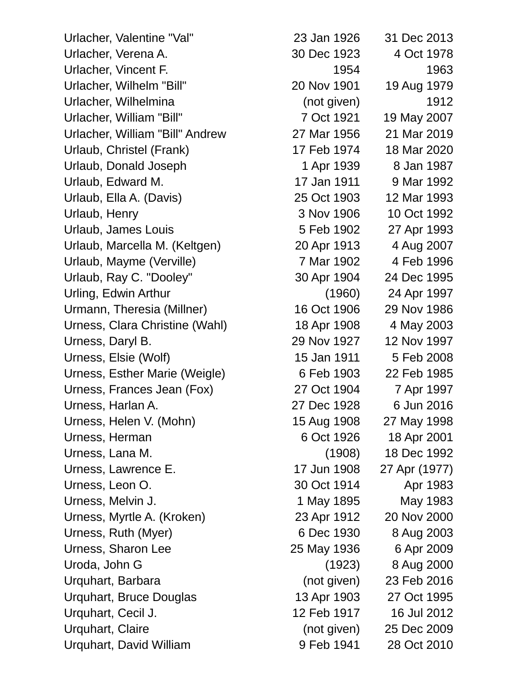Urlacher, Valentine "Val" 23 Jan 1926 31 Dec 2013 Urlacher, Verena A. 30 Dec 1923 4 Oct 1978 Urlacher, Vincent F. 1954 1963 Urlacher, Wilhelm "Bill" 20 Nov 1901 19 Aug 1979 Urlacher, Wilhelmina (not given) 1912 Urlacher, William "Bill" 7 Oct 1921 19 May 2007 Urlacher, William "Bill" Andrew 27 Mar 1956 21 Mar 2019 Urlaub, Christel (Frank) 17 Feb 1974 18 Mar 2020 Urlaub, Donald Joseph 1 Apr 1939 8 Jan 1987 Urlaub, Edward M. 17 Jan 1911 9 Mar 1992 Urlaub, Ella A. (Davis) 25 Oct 1903 12 Mar 1993 Urlaub, Henry 2008 10 Oct 1992 Urlaub, James Louis 5 Feb 1902 27 Apr 1993 Urlaub, Marcella M. (Keltgen) 20 Apr 1913 4 Aug 2007 Urlaub, Mayme (Verville) 7 Mar 1902 4 Feb 1996 Urlaub, Ray C. "Dooley" 30 Apr 1904 24 Dec 1995 Urling, Edwin Arthur (1960) 24 Apr 1997 Urmann, Theresia (Millner) 16 Oct 1906 29 Nov 1986 Urness, Clara Christine (Wahl) 18 Apr 1908 4 May 2003 Urness, Daryl B. 29 Nov 1927 12 Nov 1997 Urness, Elsie (Wolf) 15 Jan 1911 5 Feb 2008 Urness, Esther Marie (Weigle) 6 Feb 1903 22 Feb 1985 Urness, Frances Jean (Fox) 27 Oct 1904 7 Apr 1997 Urness, Harlan A. 27 Dec 1928 6 Jun 2016 Urness, Helen V. (Mohn) 15 Aug 1908 27 May 1998 Urness, Herman 6 Oct 1926 18 Apr 2001 Urness, Lana M. (1908) 18 Dec 1992 Urness, Lawrence E. 17 Jun 1908 27 Apr (1977) Urness, Leon O. 30 Oct 1914 Apr 1983 Urness, Melvin J. (2008) 1984 May 1895 May 1983 Urness, Myrtle A. (Kroken) 23 Apr 1912 20 Nov 2000 Urness, Ruth (Myer) 6 Dec 1930 8 Aug 2003 Urness, Sharon Lee 25 May 1936 6 Apr 2009 Uroda, John G (1923) 8 Aug 2000 Urquhart, Barbara (not given) 23 Feb 2016 Urquhart, Bruce Douglas 13 Apr 1903 27 Oct 1995 Urquhart, Cecil J. 12 Feb 1917 16 Jul 2012 Urquhart, Claire (not given) 25 Dec 2009 Urquhart, David William 9 Feb 1941 28 Oct 2010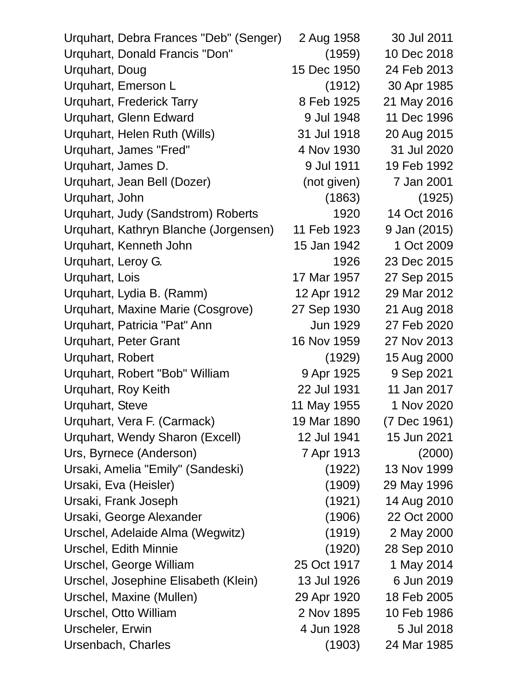| Urquhart, Debra Frances "Deb" (Senger) | 2 Aug 1958  | 30 Jul 2011  |
|----------------------------------------|-------------|--------------|
| Urquhart, Donald Francis "Don"         | (1959)      | 10 Dec 2018  |
| Urquhart, Doug                         | 15 Dec 1950 | 24 Feb 2013  |
| Urquhart, Emerson L                    | (1912)      | 30 Apr 1985  |
| <b>Urquhart, Frederick Tarry</b>       | 8 Feb 1925  | 21 May 2016  |
| Urquhart, Glenn Edward                 | 9 Jul 1948  | 11 Dec 1996  |
| Urquhart, Helen Ruth (Wills)           | 31 Jul 1918 | 20 Aug 2015  |
| Urquhart, James "Fred"                 | 4 Nov 1930  | 31 Jul 2020  |
| Urquhart, James D.                     | 9 Jul 1911  | 19 Feb 1992  |
| Urquhart, Jean Bell (Dozer)            | (not given) | 7 Jan 2001   |
| Urquhart, John                         | (1863)      | (1925)       |
| Urquhart, Judy (Sandstrom) Roberts     | 1920        | 14 Oct 2016  |
| Urquhart, Kathryn Blanche (Jorgensen)  | 11 Feb 1923 | 9 Jan (2015) |
| Urquhart, Kenneth John                 | 15 Jan 1942 | 1 Oct 2009   |
| Urquhart, Leroy G.                     | 1926        | 23 Dec 2015  |
| Urquhart, Lois                         | 17 Mar 1957 | 27 Sep 2015  |
| Urquhart, Lydia B. (Ramm)              | 12 Apr 1912 | 29 Mar 2012  |
| Urquhart, Maxine Marie (Cosgrove)      | 27 Sep 1930 | 21 Aug 2018  |
| Urquhart, Patricia "Pat" Ann           | Jun 1929    | 27 Feb 2020  |
| <b>Urquhart, Peter Grant</b>           | 16 Nov 1959 | 27 Nov 2013  |
| Urquhart, Robert                       | (1929)      | 15 Aug 2000  |
| Urquhart, Robert "Bob" William         | 9 Apr 1925  | 9 Sep 2021   |
| Urquhart, Roy Keith                    | 22 Jul 1931 | 11 Jan 2017  |
| Urquhart, Steve                        | 11 May 1955 | 1 Nov 2020   |
| Urquhart, Vera F. (Carmack)            | 19 Mar 1890 | (7 Dec 1961) |
| Urquhart, Wendy Sharon (Excell)        | 12 Jul 1941 | 15 Jun 2021  |
| Urs, Byrnece (Anderson)                | 7 Apr 1913  | (2000)       |
| Ursaki, Amelia "Emily" (Sandeski)      | (1922)      | 13 Nov 1999  |
| Ursaki, Eva (Heisler)                  | (1909)      | 29 May 1996  |
| Ursaki, Frank Joseph                   | (1921)      | 14 Aug 2010  |
| Ursaki, George Alexander               | (1906)      | 22 Oct 2000  |
| Urschel, Adelaide Alma (Wegwitz)       | (1919)      | 2 May 2000   |
| Urschel, Edith Minnie                  | (1920)      | 28 Sep 2010  |
| Urschel, George William                | 25 Oct 1917 | 1 May 2014   |
| Urschel, Josephine Elisabeth (Klein)   | 13 Jul 1926 | 6 Jun 2019   |
| Urschel, Maxine (Mullen)               | 29 Apr 1920 | 18 Feb 2005  |
| Urschel, Otto William                  | 2 Nov 1895  | 10 Feb 1986  |
| Urscheler, Erwin                       | 4 Jun 1928  | 5 Jul 2018   |
| Ursenbach, Charles                     | (1903)      | 24 Mar 1985  |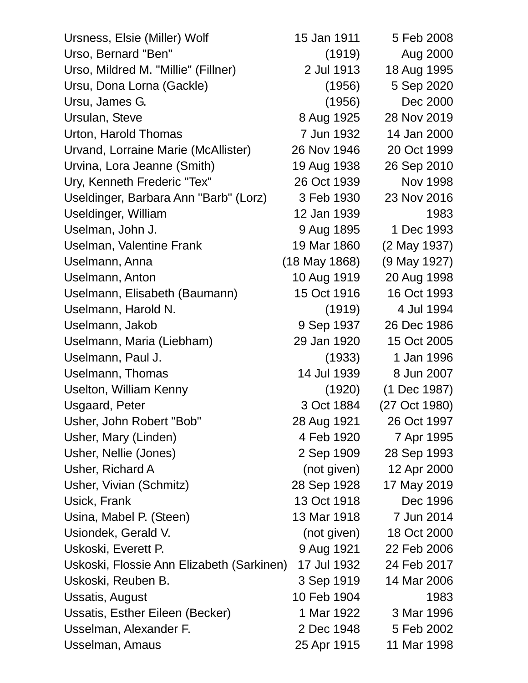| Ursness, Elsie (Miller) Wolf              | 15 Jan 1911     | 5 Feb 2008      |
|-------------------------------------------|-----------------|-----------------|
| Urso, Bernard "Ben"                       | (1919)          | Aug 2000        |
| Urso, Mildred M. "Millie" (Fillner)       | 2 Jul 1913      | 18 Aug 1995     |
| Ursu, Dona Lorna (Gackle)                 | (1956)          | 5 Sep 2020      |
| Ursu, James G.                            | (1956)          | Dec 2000        |
| Ursulan, Steve                            | 8 Aug 1925      | 28 Nov 2019     |
| Urton, Harold Thomas                      | 7 Jun 1932      | 14 Jan 2000     |
| Urvand, Lorraine Marie (McAllister)       | 26 Nov 1946     | 20 Oct 1999     |
| Urvina, Lora Jeanne (Smith)               | 19 Aug 1938     | 26 Sep 2010     |
| Ury, Kenneth Frederic "Tex"               | 26 Oct 1939     | <b>Nov 1998</b> |
| Useldinger, Barbara Ann "Barb" (Lorz)     | 3 Feb 1930      | 23 Nov 2016     |
| Useldinger, William                       | 12 Jan 1939     | 1983            |
| Uselman, John J.                          | 9 Aug 1895      | 1 Dec 1993      |
| Uselman, Valentine Frank                  | 19 Mar 1860     | (2 May 1937)    |
| Uselmann, Anna                            | $(18$ May 1868) | (9 May 1927)    |
| Uselmann, Anton                           | 10 Aug 1919     | 20 Aug 1998     |
| Uselmann, Elisabeth (Baumann)             | 15 Oct 1916     | 16 Oct 1993     |
| Uselmann, Harold N.                       | (1919)          | 4 Jul 1994      |
| Uselmann, Jakob                           | 9 Sep 1937      | 26 Dec 1986     |
| Uselmann, Maria (Liebham)                 | 29 Jan 1920     | 15 Oct 2005     |
| Uselmann, Paul J.                         | (1933)          | 1 Jan 1996      |
| Uselmann, Thomas                          | 14 Jul 1939     | 8 Jun 2007      |
| Uselton, William Kenny                    | (1920)          | (1 Dec 1987)    |
| <b>Usgaard, Peter</b>                     | 3 Oct 1884      | (27 Oct 1980)   |
| Usher, John Robert "Bob"                  | 28 Aug 1921     | 26 Oct 1997     |
| Usher, Mary (Linden)                      | 4 Feb 1920      | 7 Apr 1995      |
| Usher, Nellie (Jones)                     | 2 Sep 1909      | 28 Sep 1993     |
| Usher, Richard A                          | (not given)     | 12 Apr 2000     |
| Usher, Vivian (Schmitz)                   | 28 Sep 1928     | 17 May 2019     |
| Usick, Frank                              | 13 Oct 1918     | Dec 1996        |
| Usina, Mabel P. (Steen)                   | 13 Mar 1918     | 7 Jun 2014      |
| Usiondek, Gerald V.                       | (not given)     | 18 Oct 2000     |
| Uskoski, Everett P.                       | 9 Aug 1921      | 22 Feb 2006     |
| Uskoski, Flossie Ann Elizabeth (Sarkinen) | 17 Jul 1932     | 24 Feb 2017     |
| Uskoski, Reuben B.                        | 3 Sep 1919      | 14 Mar 2006     |
| Ussatis, August                           | 10 Feb 1904     | 1983            |
| Ussatis, Esther Eileen (Becker)           | 1 Mar 1922      | 3 Mar 1996      |
| Usselman, Alexander F.                    | 2 Dec 1948      | 5 Feb 2002      |
| Usselman, Amaus                           | 25 Apr 1915     | 11 Mar 1998     |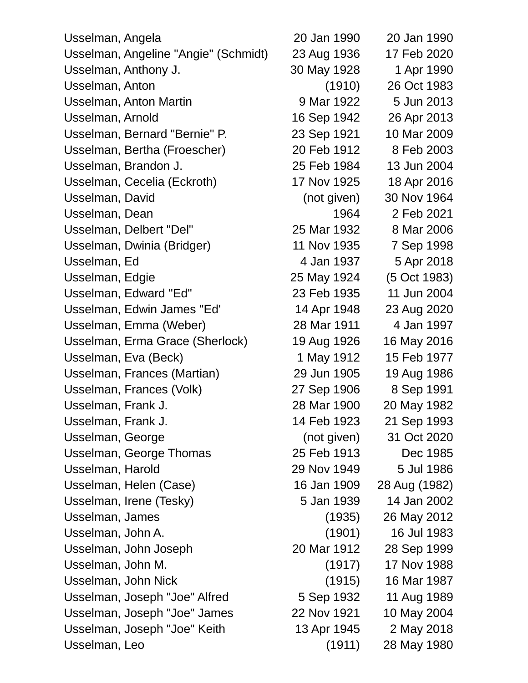| Usselman, Angela                     | 20 Jan 1990 | 20 Jan 1990   |
|--------------------------------------|-------------|---------------|
| Usselman, Angeline "Angie" (Schmidt) | 23 Aug 1936 | 17 Feb 2020   |
| Usselman, Anthony J.                 | 30 May 1928 | 1 Apr 1990    |
| Usselman, Anton                      | (1910)      | 26 Oct 1983   |
| <b>Usselman, Anton Martin</b>        | 9 Mar 1922  | 5 Jun 2013    |
| Usselman, Arnold                     | 16 Sep 1942 | 26 Apr 2013   |
| Usselman, Bernard "Bernie" P.        | 23 Sep 1921 | 10 Mar 2009   |
| Usselman, Bertha (Froescher)         | 20 Feb 1912 | 8 Feb 2003    |
| Usselman, Brandon J.                 | 25 Feb 1984 | 13 Jun 2004   |
| Usselman, Cecelia (Eckroth)          | 17 Nov 1925 | 18 Apr 2016   |
| Usselman, David                      | (not given) | 30 Nov 1964   |
| Usselman, Dean                       | 1964        | 2 Feb 2021    |
| Usselman, Delbert "Del"              | 25 Mar 1932 | 8 Mar 2006    |
| Usselman, Dwinia (Bridger)           | 11 Nov 1935 | 7 Sep 1998    |
| Usselman, Ed                         | 4 Jan 1937  | 5 Apr 2018    |
| Usselman, Edgie                      | 25 May 1924 | (5 Oct 1983)  |
| Usselman, Edward "Ed"                | 23 Feb 1935 | 11 Jun 2004   |
| Usselman, Edwin James "Ed"           | 14 Apr 1948 | 23 Aug 2020   |
| Usselman, Emma (Weber)               | 28 Mar 1911 | 4 Jan 1997    |
| Usselman, Erma Grace (Sherlock)      | 19 Aug 1926 | 16 May 2016   |
| Usselman, Eva (Beck)                 | 1 May 1912  | 15 Feb 1977   |
| Usselman, Frances (Martian)          | 29 Jun 1905 | 19 Aug 1986   |
| Usselman, Frances (Volk)             | 27 Sep 1906 | 8 Sep 1991    |
| Usselman, Frank J.                   | 28 Mar 1900 | 20 May 1982   |
| Usselman, Frank J.                   | 14 Feb 1923 | 21 Sep 1993   |
| Usselman, George                     | (not given) | 31 Oct 2020   |
| Usselman, George Thomas              | 25 Feb 1913 | Dec 1985      |
| Usselman, Harold                     | 29 Nov 1949 | 5 Jul 1986    |
| Usselman, Helen (Case)               | 16 Jan 1909 | 28 Aug (1982) |
| Usselman, Irene (Tesky)              | 5 Jan 1939  | 14 Jan 2002   |
| Usselman, James                      | (1935)      | 26 May 2012   |
| Usselman, John A.                    | (1901)      | 16 Jul 1983   |
| Usselman, John Joseph                | 20 Mar 1912 | 28 Sep 1999   |
| Usselman, John M.                    | (1917)      | 17 Nov 1988   |
| Usselman, John Nick                  | (1915)      | 16 Mar 1987   |
| Usselman, Joseph "Joe" Alfred        | 5 Sep 1932  | 11 Aug 1989   |
| Usselman, Joseph "Joe" James         | 22 Nov 1921 | 10 May 2004   |
| Usselman, Joseph "Joe" Keith         | 13 Apr 1945 | 2 May 2018    |
| Usselman, Leo                        | (1911)      | 28 May 1980   |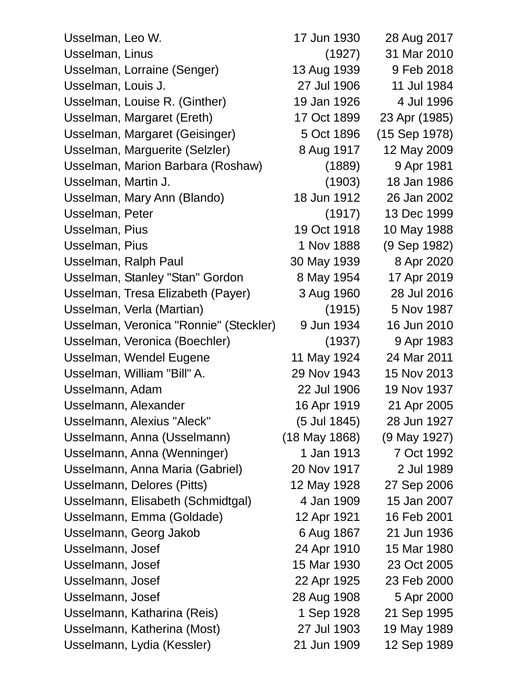| Usselman, Leo W.                       | 17 Jun 1930   | 28 Aug 2017   |
|----------------------------------------|---------------|---------------|
| Usselman, Linus                        | (1927)        | 31 Mar 2010   |
| Usselman, Lorraine (Senger)            | 13 Aug 1939   | 9 Feb 2018    |
| Usselman, Louis J.                     | 27 Jul 1906   | 11 Jul 1984   |
| Usselman, Louise R. (Ginther)          | 19 Jan 1926   | 4 Jul 1996    |
| Usselman, Margaret (Ereth)             | 17 Oct 1899   | 23 Apr (1985) |
| Usselman, Margaret (Geisinger)         | 5 Oct 1896    | (15 Sep 1978) |
| Usselman, Marguerite (Selzler)         | 8 Aug 1917    | 12 May 2009   |
| Usselman, Marion Barbara (Roshaw)      | (1889)        | 9 Apr 1981    |
| Usselman, Martin J.                    | (1903)        | 18 Jan 1986   |
| Usselman, Mary Ann (Blando)            | 18 Jun 1912   | 26 Jan 2002   |
| Usselman, Peter                        | (1917)        | 13 Dec 1999   |
| Usselman, Pius                         | 19 Oct 1918   | 10 May 1988   |
| Usselman, Pius                         | 1 Nov 1888    | (9 Sep 1982)  |
| Usselman, Ralph Paul                   | 30 May 1939   | 8 Apr 2020    |
| Usselman, Stanley "Stan" Gordon        | 8 May 1954    | 17 Apr 2019   |
| Usselman, Tresa Elizabeth (Payer)      | 3 Aug 1960    | 28 Jul 2016   |
| Usselman, Verla (Martian)              | (1915)        | 5 Nov 1987    |
| Usselman, Veronica "Ronnie" (Steckler) | 9 Jun 1934    | 16 Jun 2010   |
| Usselman, Veronica (Boechler)          | (1937)        | 9 Apr 1983    |
| Usselman, Wendel Eugene                | 11 May 1924   | 24 Mar 2011   |
| Usselman, William "Bill" A.            | 29 Nov 1943   | 15 Nov 2013   |
| Usselmann, Adam                        | 22 Jul 1906   | 19 Nov 1937   |
| Usselmann, Alexander                   | 16 Apr 1919   | 21 Apr 2005   |
| Usselmann, Alexius "Aleck"             | (5 Jul 1845)  | 28 Jun 1927   |
| Usselmann, Anna (Usselmann)            | (18 May 1868) | (9 May 1927)  |
| Usselmann, Anna (Wenninger)            | 1 Jan 1913    | 7 Oct 1992    |
| Usselmann, Anna Maria (Gabriel)        | 20 Nov 1917   | 2 Jul 1989    |
| Usselmann, Delores (Pitts)             | 12 May 1928   | 27 Sep 2006   |
| Usselmann, Elisabeth (Schmidtgal)      | 4 Jan 1909    | 15 Jan 2007   |
| Usselmann, Emma (Goldade)              | 12 Apr 1921   | 16 Feb 2001   |
| Usselmann, Georg Jakob                 | 6 Aug 1867    | 21 Jun 1936   |
| Usselmann, Josef                       | 24 Apr 1910   | 15 Mar 1980   |
| Usselmann, Josef                       | 15 Mar 1930   | 23 Oct 2005   |
| Usselmann, Josef                       | 22 Apr 1925   | 23 Feb 2000   |
| Usselmann, Josef                       | 28 Aug 1908   | 5 Apr 2000    |
| Usselmann, Katharina (Reis)            | 1 Sep 1928    | 21 Sep 1995   |
| Usselmann, Katherina (Most)            | 27 Jul 1903   | 19 May 1989   |
| Usselmann, Lydia (Kessler)             | 21 Jun 1909   | 12 Sep 1989   |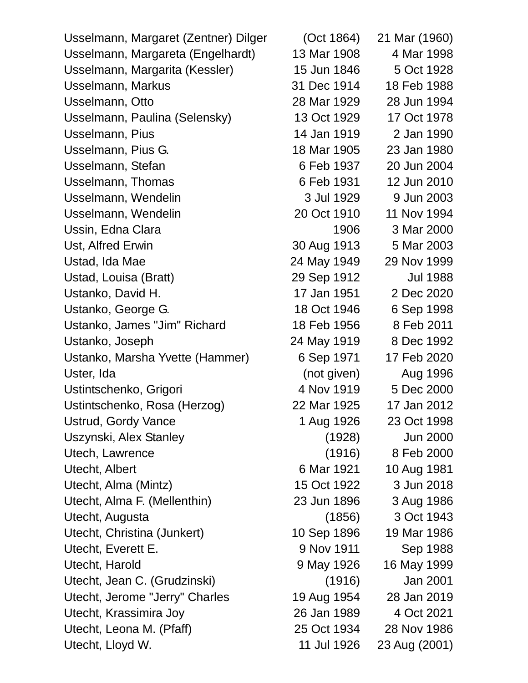| Usselmann, Margaret (Zentner) Dilger | (Oct 1864)  | 21 Mar (1960)   |
|--------------------------------------|-------------|-----------------|
| Usselmann, Margareta (Engelhardt)    | 13 Mar 1908 | 4 Mar 1998      |
| Usselmann, Margarita (Kessler)       | 15 Jun 1846 | 5 Oct 1928      |
| Usselmann, Markus                    | 31 Dec 1914 | 18 Feb 1988     |
| Usselmann, Otto                      | 28 Mar 1929 | 28 Jun 1994     |
| Usselmann, Paulina (Selensky)        | 13 Oct 1929 | 17 Oct 1978     |
| Usselmann, Pius                      | 14 Jan 1919 | 2 Jan 1990      |
| Usselmann, Pius G.                   | 18 Mar 1905 | 23 Jan 1980     |
| Usselmann, Stefan                    | 6 Feb 1937  | 20 Jun 2004     |
| Usselmann, Thomas                    | 6 Feb 1931  | 12 Jun 2010     |
| Usselmann, Wendelin                  | 3 Jul 1929  | 9 Jun 2003      |
| Usselmann, Wendelin                  | 20 Oct 1910 | 11 Nov 1994     |
| Ussin, Edna Clara                    | 1906        | 3 Mar 2000      |
| Ust, Alfred Erwin                    | 30 Aug 1913 | 5 Mar 2003      |
| Ustad, Ida Mae                       | 24 May 1949 | 29 Nov 1999     |
| Ustad, Louisa (Bratt)                | 29 Sep 1912 | <b>Jul 1988</b> |
| Ustanko, David H.                    | 17 Jan 1951 | 2 Dec 2020      |
| Ustanko, George G.                   | 18 Oct 1946 | 6 Sep 1998      |
| Ustanko, James "Jim" Richard         | 18 Feb 1956 | 8 Feb 2011      |
| Ustanko, Joseph                      | 24 May 1919 | 8 Dec 1992      |
| Ustanko, Marsha Yvette (Hammer)      | 6 Sep 1971  | 17 Feb 2020     |
| Uster, Ida                           | (not given) | Aug 1996        |
| Ustintschenko, Grigori               | 4 Nov 1919  | 5 Dec 2000      |
| Ustintschenko, Rosa (Herzog)         | 22 Mar 1925 | 17 Jan 2012     |
| <b>Ustrud, Gordy Vance</b>           | 1 Aug 1926  | 23 Oct 1998     |
| Uszynski, Alex Stanley               | (1928)      | <b>Jun 2000</b> |
| Utech, Lawrence                      | (1916)      | 8 Feb 2000      |
| Utecht, Albert                       | 6 Mar 1921  | 10 Aug 1981     |
| Utecht, Alma (Mintz)                 | 15 Oct 1922 | 3 Jun 2018      |
| Utecht, Alma F. (Mellenthin)         | 23 Jun 1896 | 3 Aug 1986      |
| Utecht, Augusta                      | (1856)      | 3 Oct 1943      |
| Utecht, Christina (Junkert)          | 10 Sep 1896 | 19 Mar 1986     |
| Utecht, Everett E.                   | 9 Nov 1911  | Sep 1988        |
| Utecht, Harold                       | 9 May 1926  | 16 May 1999     |
| Utecht, Jean C. (Grudzinski)         | (1916)      | Jan 2001        |
| Utecht, Jerome "Jerry" Charles       | 19 Aug 1954 | 28 Jan 2019     |
| Utecht, Krassimira Joy               | 26 Jan 1989 | 4 Oct 2021      |
| Utecht, Leona M. (Pfaff)             | 25 Oct 1934 | 28 Nov 1986     |
| Utecht, Lloyd W.                     | 11 Jul 1926 | 23 Aug (2001)   |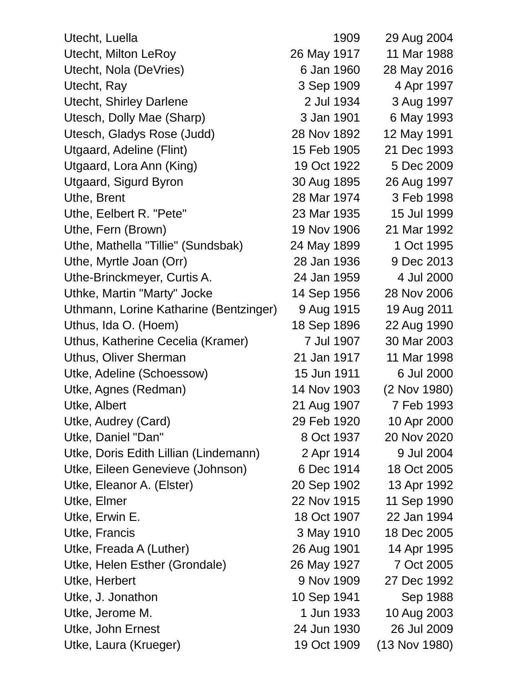| Utecht, Luella                         | 1909        | 29 Aug 2004     |
|----------------------------------------|-------------|-----------------|
| <b>Utecht, Milton LeRoy</b>            | 26 May 1917 | 11 Mar 1988     |
| Utecht, Nola (DeVries)                 | 6 Jan 1960  | 28 May 2016     |
| Utecht, Ray                            | 3 Sep 1909  | 4 Apr 1997      |
| <b>Utecht, Shirley Darlene</b>         | 2 Jul 1934  | 3 Aug 1997      |
| Utesch, Dolly Mae (Sharp)              | 3 Jan 1901  | 6 May 1993      |
| Utesch, Gladys Rose (Judd)             | 28 Nov 1892 | 12 May 1991     |
| Utgaard, Adeline (Flint)               | 15 Feb 1905 | 21 Dec 1993     |
| Utgaard, Lora Ann (King)               | 19 Oct 1922 | 5 Dec 2009      |
| <b>Utgaard, Sigurd Byron</b>           | 30 Aug 1895 | 26 Aug 1997     |
| Uthe, Brent                            | 28 Mar 1974 | 3 Feb 1998      |
| Uthe, Eelbert R. "Pete"                | 23 Mar 1935 | 15 Jul 1999     |
| Uthe, Fern (Brown)                     | 19 Nov 1906 | 21 Mar 1992     |
| Uthe, Mathella "Tillie" (Sundsbak)     | 24 May 1899 | 1 Oct 1995      |
| Uthe, Myrtle Joan (Orr)                | 28 Jan 1936 | 9 Dec 2013      |
| Uthe-Brinckmeyer, Curtis A.            | 24 Jan 1959 | 4 Jul 2000      |
| Uthke, Martin "Marty" Jocke            | 14 Sep 1956 | 28 Nov 2006     |
| Uthmann, Lorine Katharine (Bentzinger) | 9 Aug 1915  | 19 Aug 2011     |
| Uthus, Ida O. (Hoem)                   | 18 Sep 1896 | 22 Aug 1990     |
| Uthus, Katherine Cecelia (Kramer)      | 7 Jul 1907  | 30 Mar 2003     |
| Uthus, Oliver Sherman                  | 21 Jan 1917 | 11 Mar 1998     |
| Utke, Adeline (Schoessow)              | 15 Jun 1911 | 6 Jul 2000      |
| Utke, Agnes (Redman)                   | 14 Nov 1903 | (2 Nov 1980)    |
| Utke, Albert                           | 21 Aug 1907 | 7 Feb 1993      |
| Utke, Audrey (Card)                    | 29 Feb 1920 | 10 Apr 2000     |
| Utke, Daniel "Dan"                     | 8 Oct 1937  | 20 Nov 2020     |
| Utke, Doris Edith Lillian (Lindemann)  | 2 Apr 1914  | 9 Jul 2004      |
| Utke, Eileen Genevieve (Johnson)       | 6 Dec 1914  | 18 Oct 2005     |
| Utke, Eleanor A. (Elster)              | 20 Sep 1902 | 13 Apr 1992     |
| Utke, Elmer                            | 22 Nov 1915 | 11 Sep 1990     |
| Utke, Erwin E.                         | 18 Oct 1907 | 22 Jan 1994     |
| Utke, Francis                          | 3 May 1910  | 18 Dec 2005     |
| Utke, Freada A (Luther)                | 26 Aug 1901 | 14 Apr 1995     |
| Utke, Helen Esther (Grondale)          | 26 May 1927 | 7 Oct 2005      |
| Utke, Herbert                          | 9 Nov 1909  | 27 Dec 1992     |
| Utke, J. Jonathon                      | 10 Sep 1941 | Sep 1988        |
| Utke, Jerome M.                        | 1 Jun 1933  | 10 Aug 2003     |
| Utke, John Ernest                      | 24 Jun 1930 | 26 Jul 2009     |
| Utke, Laura (Krueger)                  | 19 Oct 1909 | $(13$ Nov 1980) |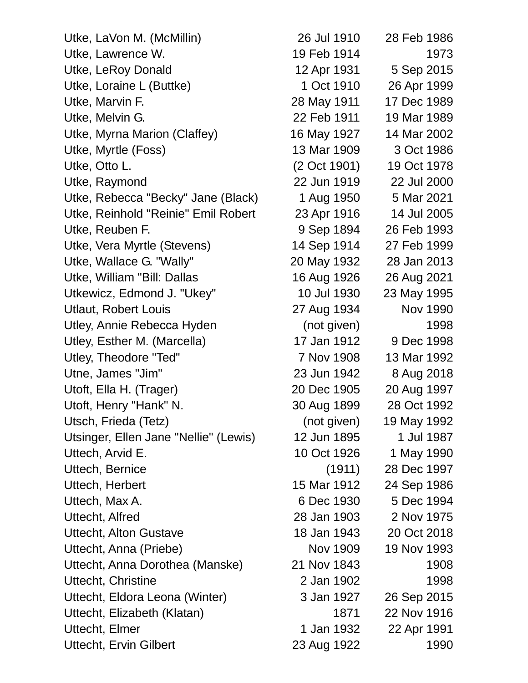| Utke, LaVon M. (McMillin)             | 26 Jul 1910  | 28 Feb 1986     |
|---------------------------------------|--------------|-----------------|
| Utke, Lawrence W.                     | 19 Feb 1914  | 1973            |
| Utke, LeRoy Donald                    | 12 Apr 1931  | 5 Sep 2015      |
| Utke, Loraine L (Buttke)              | 1 Oct 1910   | 26 Apr 1999     |
| Utke, Marvin F.                       | 28 May 1911  | 17 Dec 1989     |
| Utke, Melvin G.                       | 22 Feb 1911  | 19 Mar 1989     |
| Utke, Myrna Marion (Claffey)          | 16 May 1927  | 14 Mar 2002     |
| Utke, Myrtle (Foss)                   | 13 Mar 1909  | 3 Oct 1986      |
| Utke, Otto L.                         | (2 Oct 1901) | 19 Oct 1978     |
| Utke, Raymond                         | 22 Jun 1919  | 22 Jul 2000     |
| Utke, Rebecca "Becky" Jane (Black)    | 1 Aug 1950   | 5 Mar 2021      |
| Utke, Reinhold "Reinie" Emil Robert   | 23 Apr 1916  | 14 Jul 2005     |
| Utke, Reuben F.                       | 9 Sep 1894   | 26 Feb 1993     |
| Utke, Vera Myrtle (Stevens)           | 14 Sep 1914  | 27 Feb 1999     |
| Utke, Wallace G. "Wally"              | 20 May 1932  | 28 Jan 2013     |
| Utke, William "Bill: Dallas           | 16 Aug 1926  | 26 Aug 2021     |
| Utkewicz, Edmond J. "Ukey"            | 10 Jul 1930  | 23 May 1995     |
| <b>Utlaut, Robert Louis</b>           | 27 Aug 1934  | <b>Nov 1990</b> |
| Utley, Annie Rebecca Hyden            | (not given)  | 1998            |
| Utley, Esther M. (Marcella)           | 17 Jan 1912  | 9 Dec 1998      |
| Utley, Theodore "Ted"                 | 7 Nov 1908   | 13 Mar 1992     |
| Utne, James "Jim"                     | 23 Jun 1942  | 8 Aug 2018      |
| Utoft, Ella H. (Trager)               | 20 Dec 1905  | 20 Aug 1997     |
| Utoft, Henry "Hank" N.                | 30 Aug 1899  | 28 Oct 1992     |
| Utsch, Frieda (Tetz)                  | (not given)  | 19 May 1992     |
| Utsinger, Ellen Jane "Nellie" (Lewis) | 12 Jun 1895  | 1 Jul 1987      |
| Uttech, Arvid E.                      | 10 Oct 1926  | 1 May 1990      |
| Uttech, Bernice                       | (1911)       | 28 Dec 1997     |
| Uttech, Herbert                       | 15 Mar 1912  | 24 Sep 1986     |
| Uttech, Max A.                        | 6 Dec 1930   | 5 Dec 1994      |
| Uttecht, Alfred                       | 28 Jan 1903  | 2 Nov 1975      |
| <b>Uttecht, Alton Gustave</b>         | 18 Jan 1943  | 20 Oct 2018     |
| Uttecht, Anna (Priebe)                | Nov 1909     | 19 Nov 1993     |
| Uttecht, Anna Dorothea (Manske)       | 21 Nov 1843  | 1908            |
| Uttecht, Christine                    | 2 Jan 1902   | 1998            |
| Uttecht, Eldora Leona (Winter)        | 3 Jan 1927   | 26 Sep 2015     |
| Uttecht, Elizabeth (Klatan)           | 1871         | 22 Nov 1916     |
| Uttecht, Elmer                        | 1 Jan 1932   | 22 Apr 1991     |
| <b>Uttecht, Ervin Gilbert</b>         | 23 Aug 1922  | 1990            |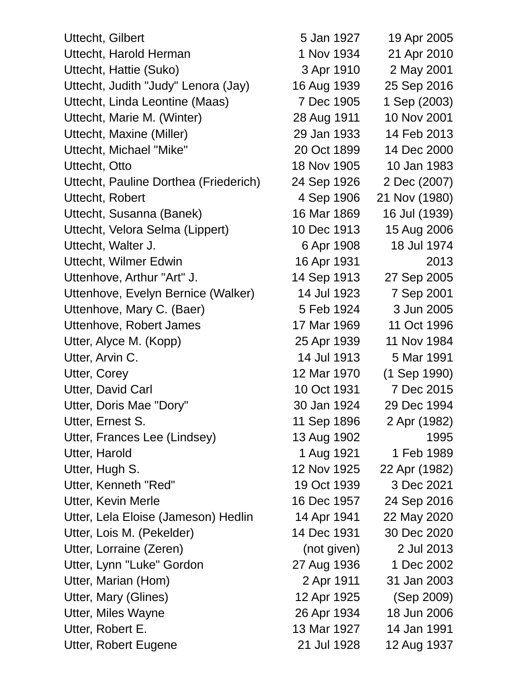Uttecht, Gilbert 5 Jan 1927 19 Apr 2005 Uttecht, Harold Herman 1 Nov 1934 21 Apr 2010 Uttecht, Hattie (Suko) 3 Apr 1910 2 May 2001 Uttecht, Judith "Judy" Lenora (Jay) 16 Aug 1939 25 Sep 2016 Uttecht, Linda Leontine (Maas) 7 Dec 1905 1 Sep (2003) Uttecht, Marie M. (Winter) 28 Aug 1911 10 Nov 2001 Uttecht, Maxine (Miller) 29 Jan 1933 14 Feb 2013 Uttecht, Michael "Mike" 20 Oct 1899 14 Dec 2000 Uttecht, Otto 18 Nov 1905 10 Jan 1983 Uttecht, Pauline Dorthea (Friederich) 24 Sep 1926 2 Dec (2007) Uttecht, Robert 4 Sep 1906 21 Nov (1980) Uttecht, Susanna (Banek) 16 Mar 1869 16 Jul (1939) Uttecht, Velora Selma (Lippert) 10 Dec 1913 15 Aug 2006 Uttecht, Walter J. 6 Apr 1908 18 Jul 1974 Uttecht, Wilmer Edwin 16 Apr 1931 2013 Uttenhove, Arthur "Art" J. 14 Sep 1913 27 Sep 2005 Uttenhove, Evelyn Bernice (Walker) 14 Jul 1923 7 Sep 2001 Uttenhove, Mary C. (Baer) 5 Feb 1924 3 Jun 2005 Uttenhove, Robert James 17 Mar 1969 11 Oct 1996 Utter, Alyce M. (Kopp) 25 Apr 1939 11 Nov 1984 Utter, Arvin C. 14 Jul 1913 5 Mar 1991 Utter, Corey 2012 12 Mar 1970 (1 Sep 1990) Utter, David Carl 10 Oct 1931 7 Dec 2015 Utter, Doris Mae "Dory" 30 Jan 1924 29 Dec 1994 Utter, Ernest S. 11 Sep 1896 2 Apr (1982) Utter, Frances Lee (Lindsey) 13 Aug 1902 1995 Utter, Harold **1 Aug 1921** 1 Feb 1989 Utter, Hugh S. 12 Nov 1925 22 Apr (1982) Utter, Kenneth "Red" 19 Oct 1939 3 Dec 2021 Utter, Kevin Merle 16 Dec 1957 24 Sep 2016 Utter, Lela Eloise (Jameson) Hedlin 14 Apr 1941 22 May 2020 Utter, Lois M. (Pekelder) 14 Dec 1931 30 Dec 2020 Utter, Lorraine (Zeren) (not given) 2 Jul 2013 Utter, Lynn "Luke" Gordon 27 Aug 1936 1 Dec 2002 Utter, Marian (Hom) 2 Apr 1911 31 Jan 2003 Utter, Mary (Glines) 12 Apr 1925 (Sep 2009) Utter, Miles Wayne 26 Apr 1934 18 Jun 2006 Utter, Robert E. 13 Mar 1927 14 Jan 1991 Utter, Robert Eugene 21 Jul 1928 12 Aug 1937